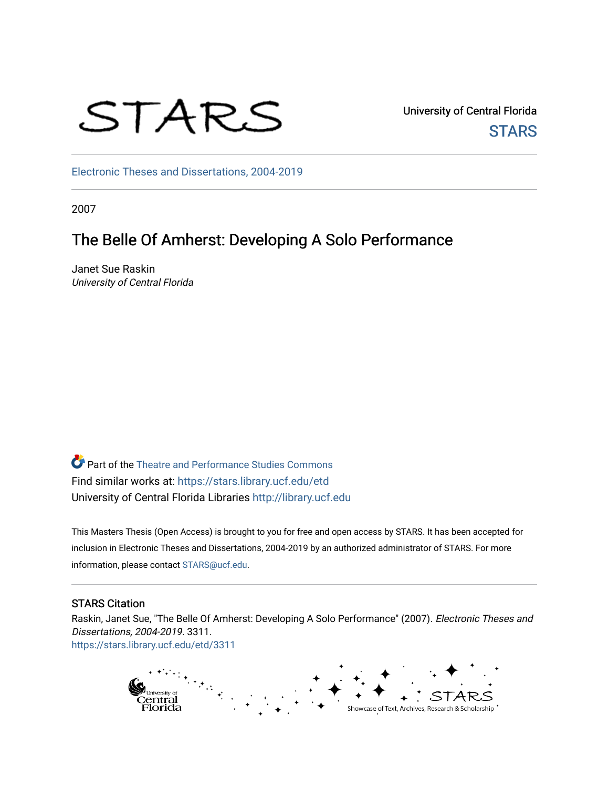# STARS

University of Central Florida **STARS** 

[Electronic Theses and Dissertations, 2004-2019](https://stars.library.ucf.edu/etd) 

2007

# The Belle Of Amherst: Developing A Solo Performance

Janet Sue Raskin University of Central Florida

Part of the [Theatre and Performance Studies Commons](http://network.bepress.com/hgg/discipline/552?utm_source=stars.library.ucf.edu%2Fetd%2F3311&utm_medium=PDF&utm_campaign=PDFCoverPages)  Find similar works at: <https://stars.library.ucf.edu/etd> University of Central Florida Libraries [http://library.ucf.edu](http://library.ucf.edu/) 

This Masters Thesis (Open Access) is brought to you for free and open access by STARS. It has been accepted for inclusion in Electronic Theses and Dissertations, 2004-2019 by an authorized administrator of STARS. For more information, please contact [STARS@ucf.edu.](mailto:STARS@ucf.edu)

## STARS Citation

Raskin, Janet Sue, "The Belle Of Amherst: Developing A Solo Performance" (2007). Electronic Theses and Dissertations, 2004-2019. 3311. [https://stars.library.ucf.edu/etd/3311](https://stars.library.ucf.edu/etd/3311?utm_source=stars.library.ucf.edu%2Fetd%2F3311&utm_medium=PDF&utm_campaign=PDFCoverPages) 

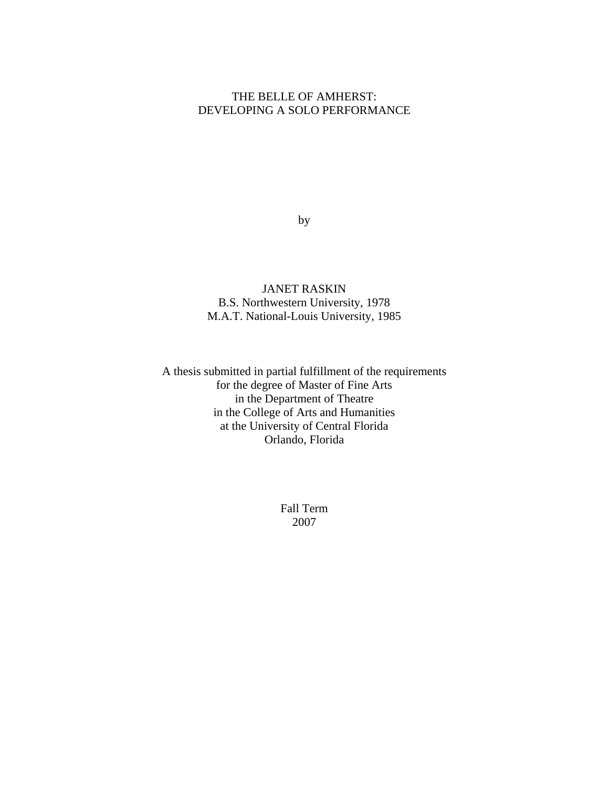# THE BELLE OF AMHERST: DEVELOPING A SOLO PERFORMANCE

by

JANET RASKIN B.S. Northwestern University, 1978 M.A.T. National-Louis University, 1985

A thesis submitted in partial fulfillment of the requirements for the degree of Master of Fine Arts in the Department of Theatre in the College of Arts and Humanities at the University of Central Florida Orlando, Florida

> Fall Term 2007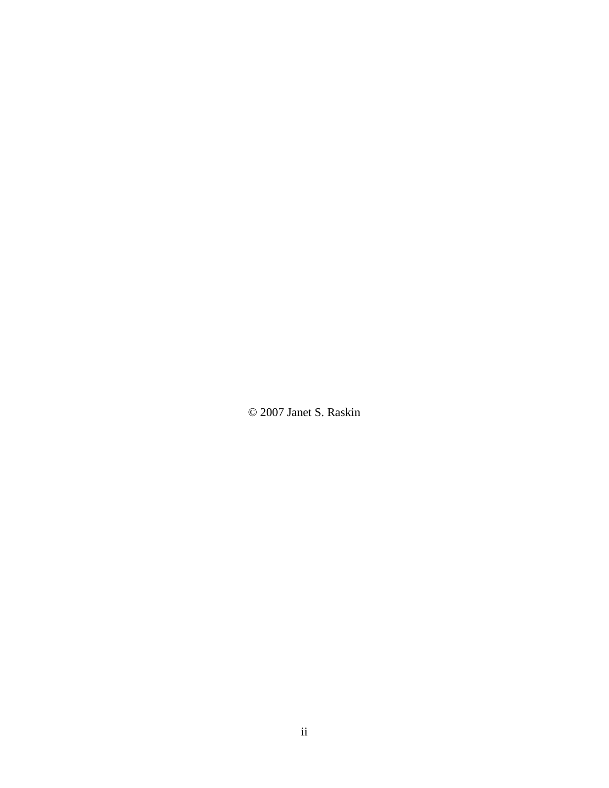© 2007 Janet S. Raskin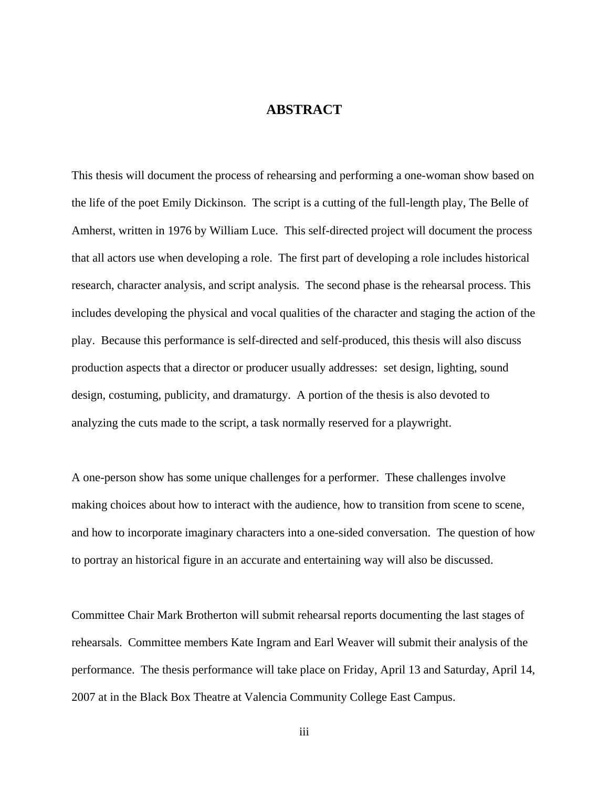# **ABSTRACT**

This thesis will document the process of rehearsing and performing a one-woman show based on the life of the poet Emily Dickinson. The script is a cutting of the full-length play, The Belle of Amherst, written in 1976 by William Luce. This self-directed project will document the process that all actors use when developing a role. The first part of developing a role includes historical research, character analysis, and script analysis. The second phase is the rehearsal process. This includes developing the physical and vocal qualities of the character and staging the action of the play. Because this performance is self-directed and self-produced, this thesis will also discuss production aspects that a director or producer usually addresses: set design, lighting, sound design, costuming, publicity, and dramaturgy. A portion of the thesis is also devoted to analyzing the cuts made to the script, a task normally reserved for a playwright.

A one-person show has some unique challenges for a performer. These challenges involve making choices about how to interact with the audience, how to transition from scene to scene, and how to incorporate imaginary characters into a one-sided conversation. The question of how to portray an historical figure in an accurate and entertaining way will also be discussed.

Committee Chair Mark Brotherton will submit rehearsal reports documenting the last stages of rehearsals. Committee members Kate Ingram and Earl Weaver will submit their analysis of the performance. The thesis performance will take place on Friday, April 13 and Saturday, April 14, 2007 at in the Black Box Theatre at Valencia Community College East Campus.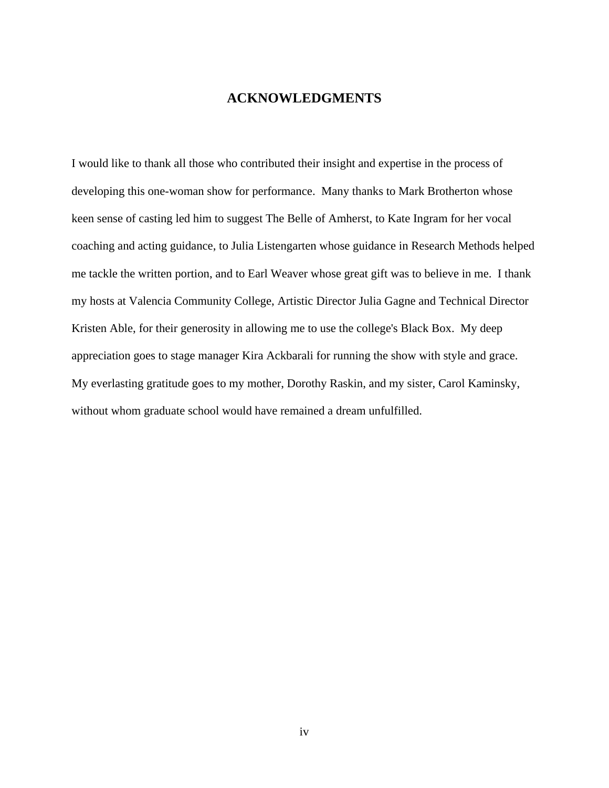## **ACKNOWLEDGMENTS**

I would like to thank all those who contributed their insight and expertise in the process of developing this one-woman show for performance. Many thanks to Mark Brotherton whose keen sense of casting led him to suggest The Belle of Amherst, to Kate Ingram for her vocal coaching and acting guidance, to Julia Listengarten whose guidance in Research Methods helped me tackle the written portion, and to Earl Weaver whose great gift was to believe in me. I thank my hosts at Valencia Community College, Artistic Director Julia Gagne and Technical Director Kristen Able, for their generosity in allowing me to use the college's Black Box. My deep appreciation goes to stage manager Kira Ackbarali for running the show with style and grace. My everlasting gratitude goes to my mother, Dorothy Raskin, and my sister, Carol Kaminsky, without whom graduate school would have remained a dream unfulfilled.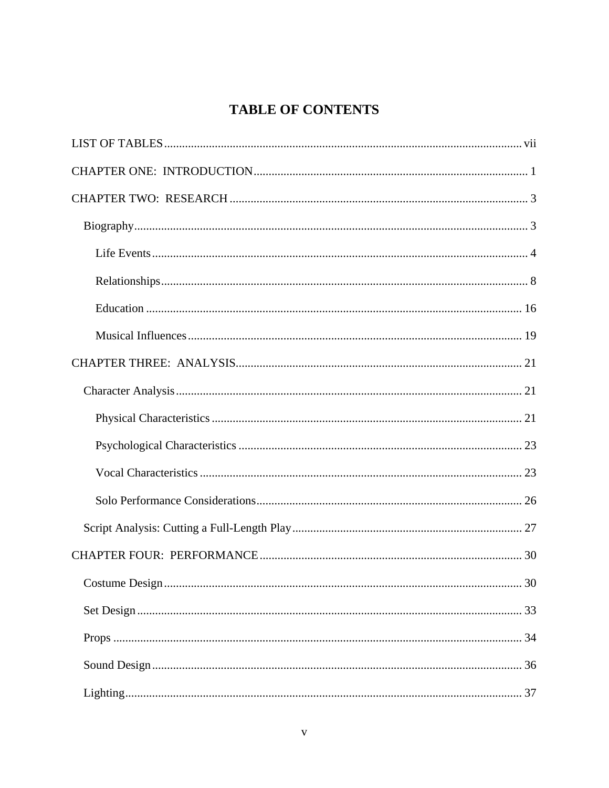# **TABLE OF CONTENTS**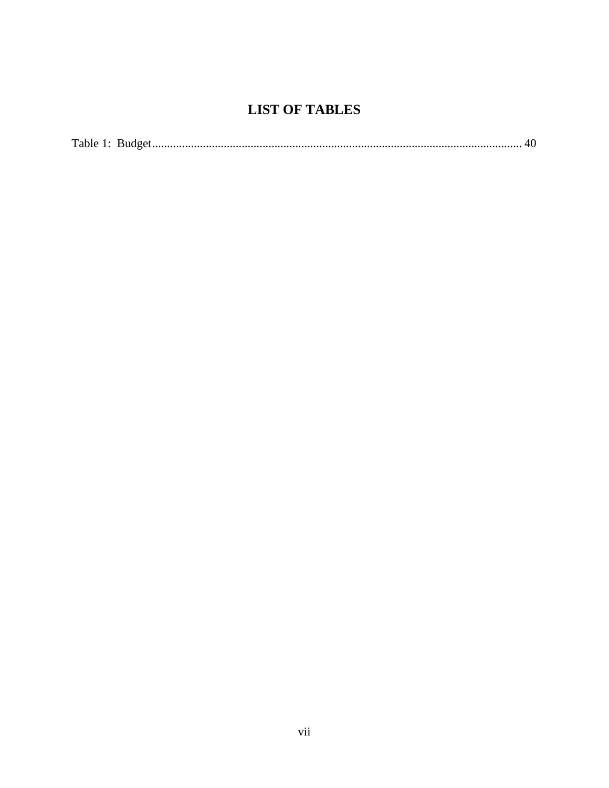# <span id="page-7-0"></span>**LIST OF TABLES**

|--|--|--|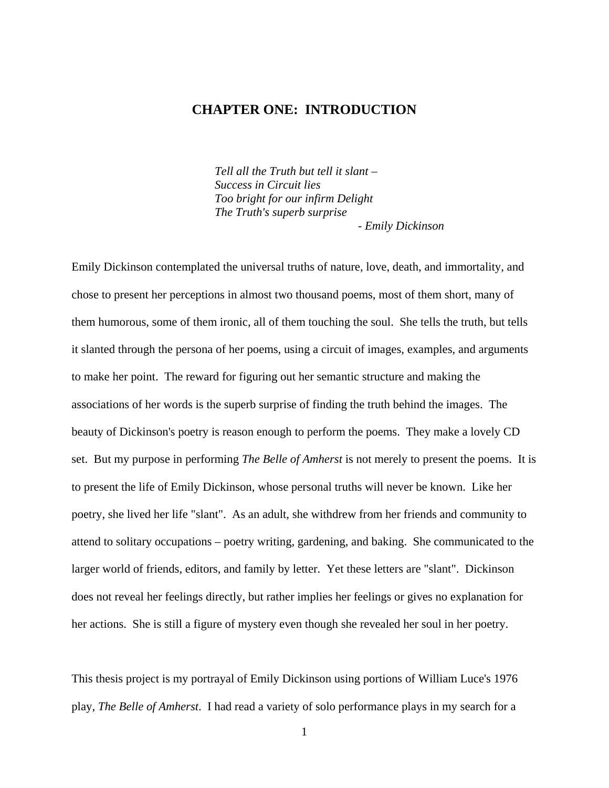# <span id="page-8-0"></span>**CHAPTER ONE: INTRODUCTION**

*Tell all the Truth but tell it slant – Success in Circuit lies Too bright for our infirm Delight The Truth's superb surprise - Emily Dickinson* 

Emily Dickinson contemplated the universal truths of nature, love, death, and immortality, and chose to present her perceptions in almost two thousand poems, most of them short, many of them humorous, some of them ironic, all of them touching the soul. She tells the truth, but tells it slanted through the persona of her poems, using a circuit of images, examples, and arguments to make her point. The reward for figuring out her semantic structure and making the associations of her words is the superb surprise of finding the truth behind the images. The beauty of Dickinson's poetry is reason enough to perform the poems. They make a lovely CD set. But my purpose in performing *The Belle of Amherst* is not merely to present the poems. It is to present the life of Emily Dickinson, whose personal truths will never be known. Like her poetry, she lived her life "slant". As an adult, she withdrew from her friends and community to attend to solitary occupations – poetry writing, gardening, and baking. She communicated to the larger world of friends, editors, and family by letter. Yet these letters are "slant". Dickinson does not reveal her feelings directly, but rather implies her feelings or gives no explanation for her actions. She is still a figure of mystery even though she revealed her soul in her poetry.

This thesis project is my portrayal of Emily Dickinson using portions of William Luce's 1976 play, *The Belle of Amherst*. I had read a variety of solo performance plays in my search for a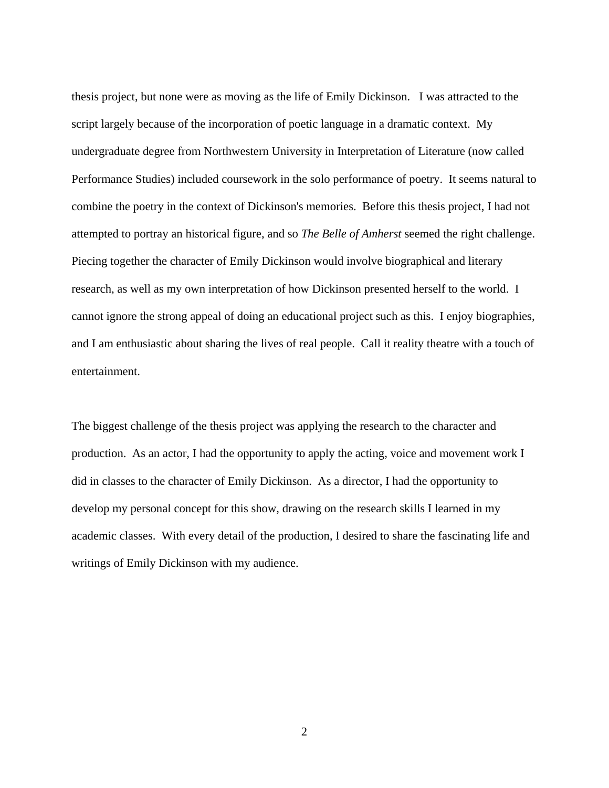thesis project, but none were as moving as the life of Emily Dickinson. I was attracted to the script largely because of the incorporation of poetic language in a dramatic context. My undergraduate degree from Northwestern University in Interpretation of Literature (now called Performance Studies) included coursework in the solo performance of poetry. It seems natural to combine the poetry in the context of Dickinson's memories. Before this thesis project, I had not attempted to portray an historical figure, and so *The Belle of Amherst* seemed the right challenge. Piecing together the character of Emily Dickinson would involve biographical and literary research, as well as my own interpretation of how Dickinson presented herself to the world. I cannot ignore the strong appeal of doing an educational project such as this. I enjoy biographies, and I am enthusiastic about sharing the lives of real people. Call it reality theatre with a touch of entertainment.

The biggest challenge of the thesis project was applying the research to the character and production. As an actor, I had the opportunity to apply the acting, voice and movement work I did in classes to the character of Emily Dickinson. As a director, I had the opportunity to develop my personal concept for this show, drawing on the research skills I learned in my academic classes. With every detail of the production, I desired to share the fascinating life and writings of Emily Dickinson with my audience.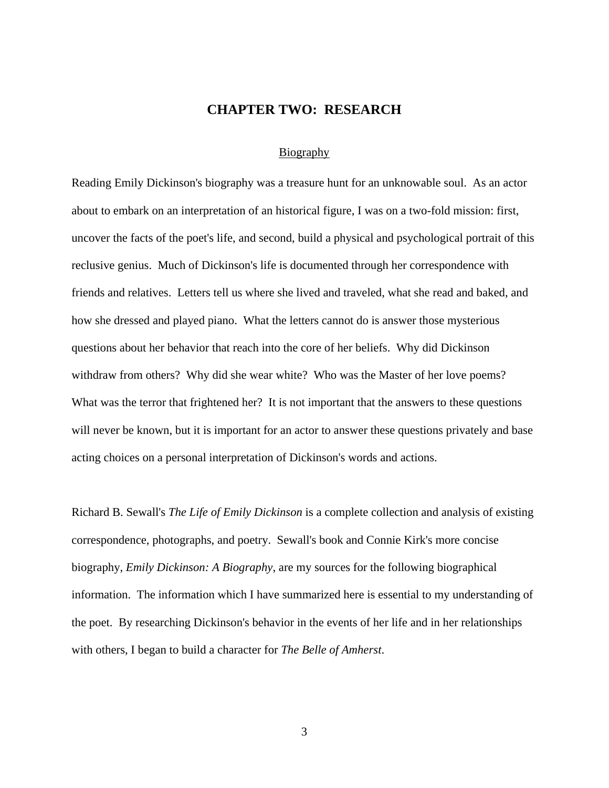# <span id="page-10-0"></span>**CHAPTER TWO: RESEARCH**

#### <span id="page-10-1"></span>**Biography**

Reading Emily Dickinson's biography was a treasure hunt for an unknowable soul. As an actor about to embark on an interpretation of an historical figure, I was on a two-fold mission: first, uncover the facts of the poet's life, and second, build a physical and psychological portrait of this reclusive genius. Much of Dickinson's life is documented through her correspondence with friends and relatives. Letters tell us where she lived and traveled, what she read and baked, and how she dressed and played piano. What the letters cannot do is answer those mysterious questions about her behavior that reach into the core of her beliefs. Why did Dickinson withdraw from others? Why did she wear white? Who was the Master of her love poems? What was the terror that frightened her? It is not important that the answers to these questions will never be known, but it is important for an actor to answer these questions privately and base acting choices on a personal interpretation of Dickinson's words and actions.

Richard B. Sewall's *The Life of Emily Dickinson* is a complete collection and analysis of existing correspondence, photographs, and poetry. Sewall's book and Connie Kirk's more concise biography, *Emily Dickinson: A Biography*, are my sources for the following biographical information. The information which I have summarized here is essential to my understanding of the poet. By researching Dickinson's behavior in the events of her life and in her relationships with others, I began to build a character for *The Belle of Amherst*.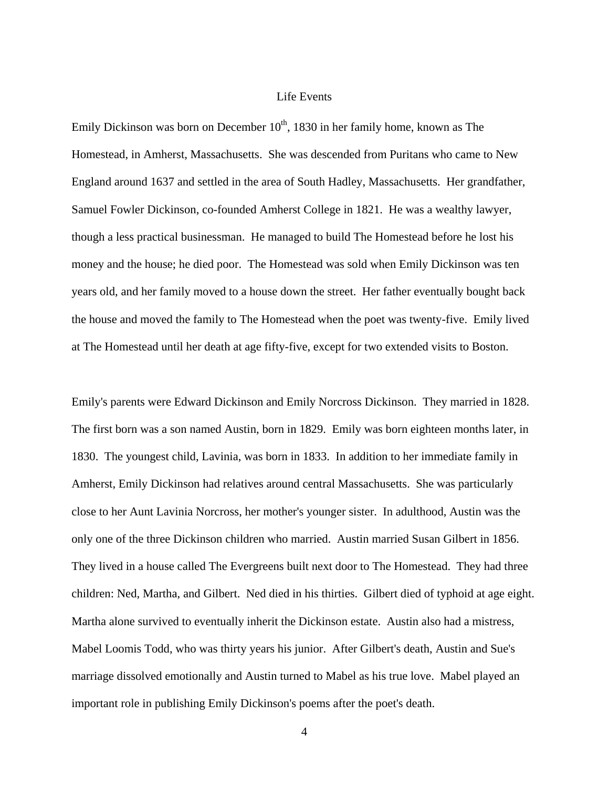#### <span id="page-11-0"></span>Life Events

Emily Dickinson was born on December  $10<sup>th</sup>$ , 1830 in her family home, known as The Homestead, in Amherst, Massachusetts. She was descended from Puritans who came to New England around 1637 and settled in the area of South Hadley, Massachusetts. Her grandfather, Samuel Fowler Dickinson, co-founded Amherst College in 1821. He was a wealthy lawyer, though a less practical businessman. He managed to build The Homestead before he lost his money and the house; he died poor. The Homestead was sold when Emily Dickinson was ten years old, and her family moved to a house down the street. Her father eventually bought back the house and moved the family to The Homestead when the poet was twenty-five. Emily lived at The Homestead until her death at age fifty-five, except for two extended visits to Boston.

Emily's parents were Edward Dickinson and Emily Norcross Dickinson. They married in 1828. The first born was a son named Austin, born in 1829. Emily was born eighteen months later, in 1830. The youngest child, Lavinia, was born in 1833. In addition to her immediate family in Amherst, Emily Dickinson had relatives around central Massachusetts. She was particularly close to her Aunt Lavinia Norcross, her mother's younger sister. In adulthood, Austin was the only one of the three Dickinson children who married. Austin married Susan Gilbert in 1856. They lived in a house called The Evergreens built next door to The Homestead. They had three children: Ned, Martha, and Gilbert. Ned died in his thirties. Gilbert died of typhoid at age eight. Martha alone survived to eventually inherit the Dickinson estate. Austin also had a mistress, Mabel Loomis Todd, who was thirty years his junior. After Gilbert's death, Austin and Sue's marriage dissolved emotionally and Austin turned to Mabel as his true love. Mabel played an important role in publishing Emily Dickinson's poems after the poet's death.

<sup>4</sup>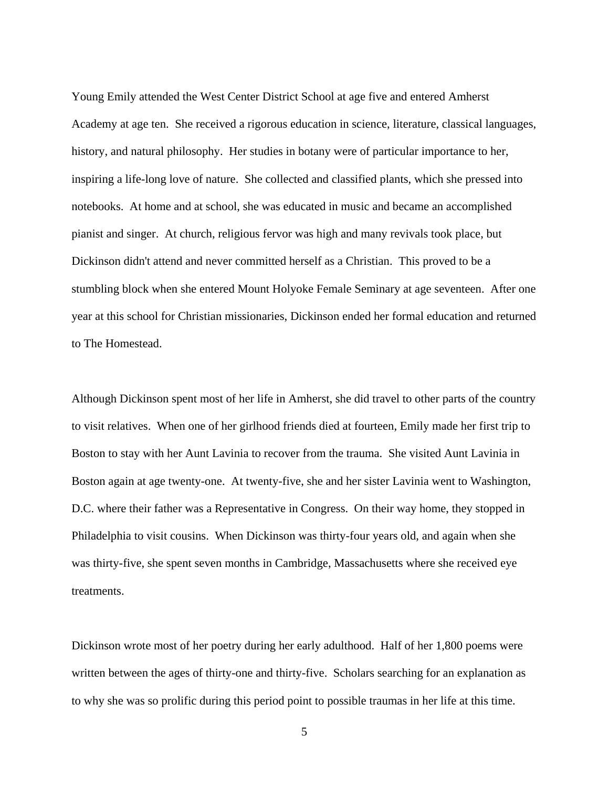Young Emily attended the West Center District School at age five and entered Amherst Academy at age ten. She received a rigorous education in science, literature, classical languages, history, and natural philosophy. Her studies in botany were of particular importance to her, inspiring a life-long love of nature. She collected and classified plants, which she pressed into notebooks. At home and at school, she was educated in music and became an accomplished pianist and singer. At church, religious fervor was high and many revivals took place, but Dickinson didn't attend and never committed herself as a Christian. This proved to be a stumbling block when she entered Mount Holyoke Female Seminary at age seventeen. After one year at this school for Christian missionaries, Dickinson ended her formal education and returned to The Homestead.

Although Dickinson spent most of her life in Amherst, she did travel to other parts of the country to visit relatives. When one of her girlhood friends died at fourteen, Emily made her first trip to Boston to stay with her Aunt Lavinia to recover from the trauma. She visited Aunt Lavinia in Boston again at age twenty-one. At twenty-five, she and her sister Lavinia went to Washington, D.C. where their father was a Representative in Congress. On their way home, they stopped in Philadelphia to visit cousins. When Dickinson was thirty-four years old, and again when she was thirty-five, she spent seven months in Cambridge, Massachusetts where she received eye treatments.

Dickinson wrote most of her poetry during her early adulthood. Half of her 1,800 poems were written between the ages of thirty-one and thirty-five. Scholars searching for an explanation as to why she was so prolific during this period point to possible traumas in her life at this time.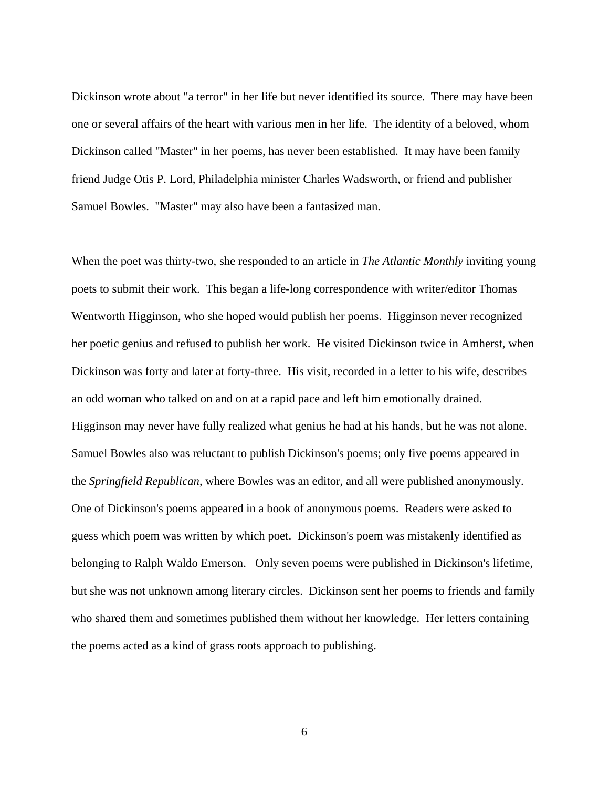Dickinson wrote about "a terror" in her life but never identified its source. There may have been one or several affairs of the heart with various men in her life. The identity of a beloved, whom Dickinson called "Master" in her poems, has never been established. It may have been family friend Judge Otis P. Lord, Philadelphia minister Charles Wadsworth, or friend and publisher Samuel Bowles. "Master" may also have been a fantasized man.

When the poet was thirty-two, she responded to an article in *The Atlantic Monthly* inviting young poets to submit their work. This began a life-long correspondence with writer/editor Thomas Wentworth Higginson, who she hoped would publish her poems. Higginson never recognized her poetic genius and refused to publish her work. He visited Dickinson twice in Amherst, when Dickinson was forty and later at forty-three. His visit, recorded in a letter to his wife, describes an odd woman who talked on and on at a rapid pace and left him emotionally drained. Higginson may never have fully realized what genius he had at his hands, but he was not alone. Samuel Bowles also was reluctant to publish Dickinson's poems; only five poems appeared in the *Springfield Republican*, where Bowles was an editor, and all were published anonymously. One of Dickinson's poems appeared in a book of anonymous poems. Readers were asked to guess which poem was written by which poet. Dickinson's poem was mistakenly identified as belonging to Ralph Waldo Emerson. Only seven poems were published in Dickinson's lifetime, but she was not unknown among literary circles. Dickinson sent her poems to friends and family who shared them and sometimes published them without her knowledge. Her letters containing the poems acted as a kind of grass roots approach to publishing.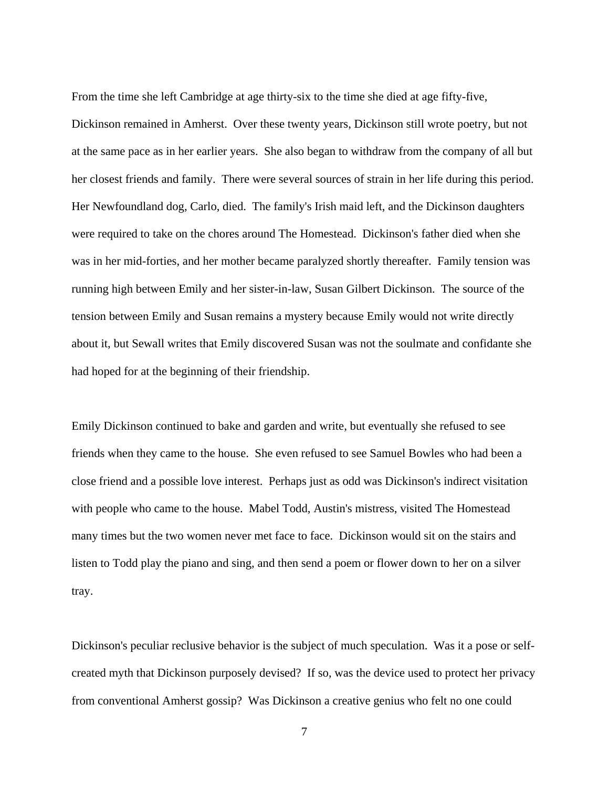From the time she left Cambridge at age thirty-six to the time she died at age fifty-five, Dickinson remained in Amherst. Over these twenty years, Dickinson still wrote poetry, but not at the same pace as in her earlier years. She also began to withdraw from the company of all but her closest friends and family. There were several sources of strain in her life during this period. Her Newfoundland dog, Carlo, died. The family's Irish maid left, and the Dickinson daughters were required to take on the chores around The Homestead. Dickinson's father died when she was in her mid-forties, and her mother became paralyzed shortly thereafter. Family tension was running high between Emily and her sister-in-law, Susan Gilbert Dickinson. The source of the tension between Emily and Susan remains a mystery because Emily would not write directly about it, but Sewall writes that Emily discovered Susan was not the soulmate and confidante she had hoped for at the beginning of their friendship.

Emily Dickinson continued to bake and garden and write, but eventually she refused to see friends when they came to the house. She even refused to see Samuel Bowles who had been a close friend and a possible love interest. Perhaps just as odd was Dickinson's indirect visitation with people who came to the house. Mabel Todd, Austin's mistress, visited The Homestead many times but the two women never met face to face. Dickinson would sit on the stairs and listen to Todd play the piano and sing, and then send a poem or flower down to her on a silver tray.

Dickinson's peculiar reclusive behavior is the subject of much speculation. Was it a pose or selfcreated myth that Dickinson purposely devised? If so, was the device used to protect her privacy from conventional Amherst gossip? Was Dickinson a creative genius who felt no one could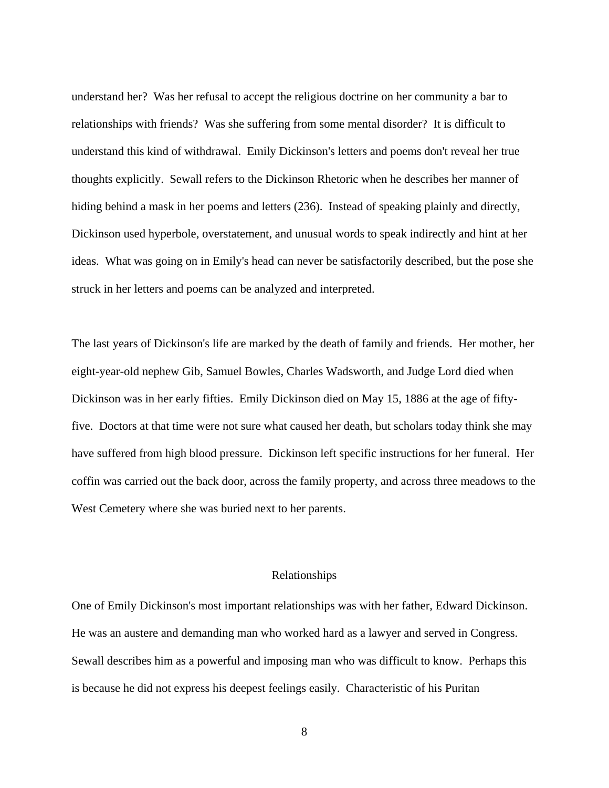understand her? Was her refusal to accept the religious doctrine on her community a bar to relationships with friends? Was she suffering from some mental disorder? It is difficult to understand this kind of withdrawal. Emily Dickinson's letters and poems don't reveal her true thoughts explicitly. Sewall refers to the Dickinson Rhetoric when he describes her manner of hiding behind a mask in her poems and letters (236). Instead of speaking plainly and directly, Dickinson used hyperbole, overstatement, and unusual words to speak indirectly and hint at her ideas. What was going on in Emily's head can never be satisfactorily described, but the pose she struck in her letters and poems can be analyzed and interpreted.

The last years of Dickinson's life are marked by the death of family and friends. Her mother, her eight-year-old nephew Gib, Samuel Bowles, Charles Wadsworth, and Judge Lord died when Dickinson was in her early fifties. Emily Dickinson died on May 15, 1886 at the age of fiftyfive. Doctors at that time were not sure what caused her death, but scholars today think she may have suffered from high blood pressure. Dickinson left specific instructions for her funeral. Her coffin was carried out the back door, across the family property, and across three meadows to the West Cemetery where she was buried next to her parents.

#### <span id="page-15-0"></span>Relationships

One of Emily Dickinson's most important relationships was with her father, Edward Dickinson. He was an austere and demanding man who worked hard as a lawyer and served in Congress. Sewall describes him as a powerful and imposing man who was difficult to know. Perhaps this is because he did not express his deepest feelings easily. Characteristic of his Puritan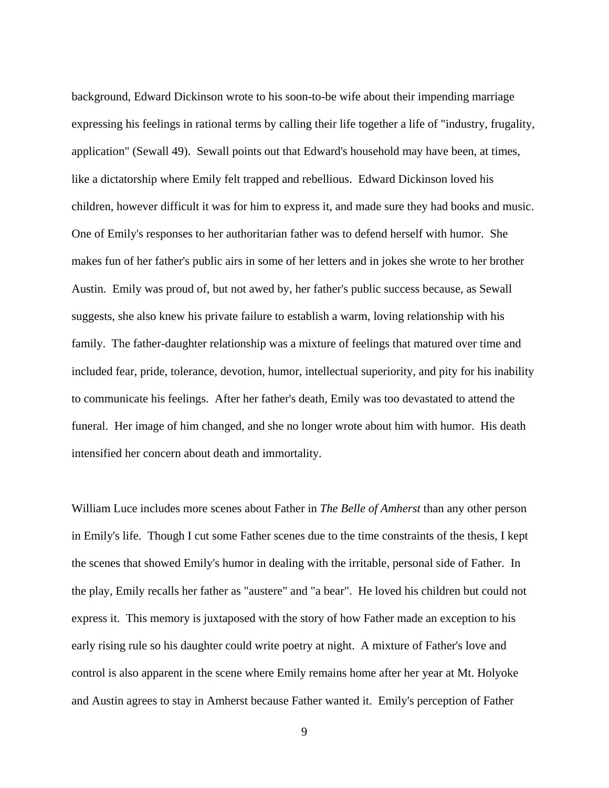background, Edward Dickinson wrote to his soon-to-be wife about their impending marriage expressing his feelings in rational terms by calling their life together a life of "industry, frugality, application" (Sewall 49). Sewall points out that Edward's household may have been, at times, like a dictatorship where Emily felt trapped and rebellious. Edward Dickinson loved his children, however difficult it was for him to express it, and made sure they had books and music. One of Emily's responses to her authoritarian father was to defend herself with humor. She makes fun of her father's public airs in some of her letters and in jokes she wrote to her brother Austin. Emily was proud of, but not awed by, her father's public success because, as Sewall suggests, she also knew his private failure to establish a warm, loving relationship with his family. The father-daughter relationship was a mixture of feelings that matured over time and included fear, pride, tolerance, devotion, humor, intellectual superiority, and pity for his inability to communicate his feelings. After her father's death, Emily was too devastated to attend the funeral. Her image of him changed, and she no longer wrote about him with humor. His death intensified her concern about death and immortality.

William Luce includes more scenes about Father in *The Belle of Amherst* than any other person in Emily's life. Though I cut some Father scenes due to the time constraints of the thesis, I kept the scenes that showed Emily's humor in dealing with the irritable, personal side of Father. In the play, Emily recalls her father as "austere" and "a bear". He loved his children but could not express it. This memory is juxtaposed with the story of how Father made an exception to his early rising rule so his daughter could write poetry at night. A mixture of Father's love and control is also apparent in the scene where Emily remains home after her year at Mt. Holyoke and Austin agrees to stay in Amherst because Father wanted it. Emily's perception of Father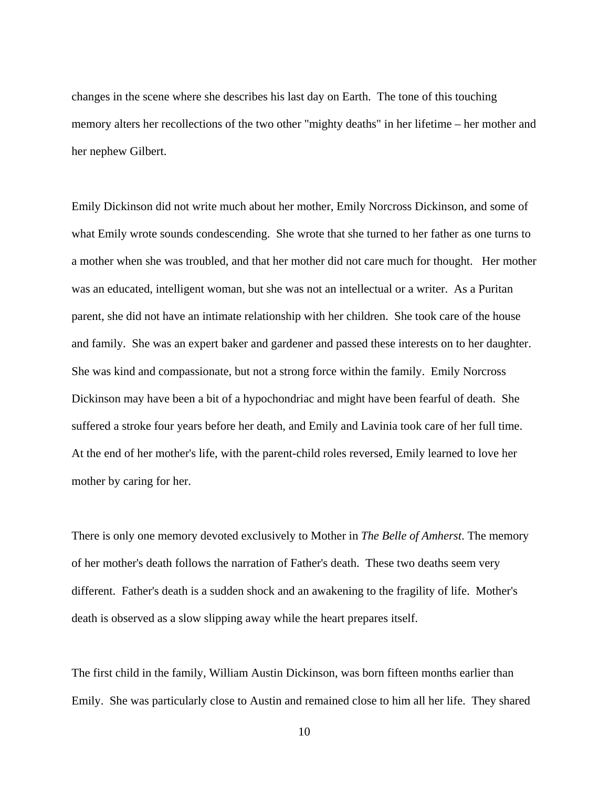changes in the scene where she describes his last day on Earth. The tone of this touching memory alters her recollections of the two other "mighty deaths" in her lifetime – her mother and her nephew Gilbert.

Emily Dickinson did not write much about her mother, Emily Norcross Dickinson, and some of what Emily wrote sounds condescending. She wrote that she turned to her father as one turns to a mother when she was troubled, and that her mother did not care much for thought. Her mother was an educated, intelligent woman, but she was not an intellectual or a writer. As a Puritan parent, she did not have an intimate relationship with her children. She took care of the house and family. She was an expert baker and gardener and passed these interests on to her daughter. She was kind and compassionate, but not a strong force within the family. Emily Norcross Dickinson may have been a bit of a hypochondriac and might have been fearful of death. She suffered a stroke four years before her death, and Emily and Lavinia took care of her full time. At the end of her mother's life, with the parent-child roles reversed, Emily learned to love her mother by caring for her.

There is only one memory devoted exclusively to Mother in *The Belle of Amherst*. The memory of her mother's death follows the narration of Father's death. These two deaths seem very different. Father's death is a sudden shock and an awakening to the fragility of life. Mother's death is observed as a slow slipping away while the heart prepares itself.

The first child in the family, William Austin Dickinson, was born fifteen months earlier than Emily. She was particularly close to Austin and remained close to him all her life. They shared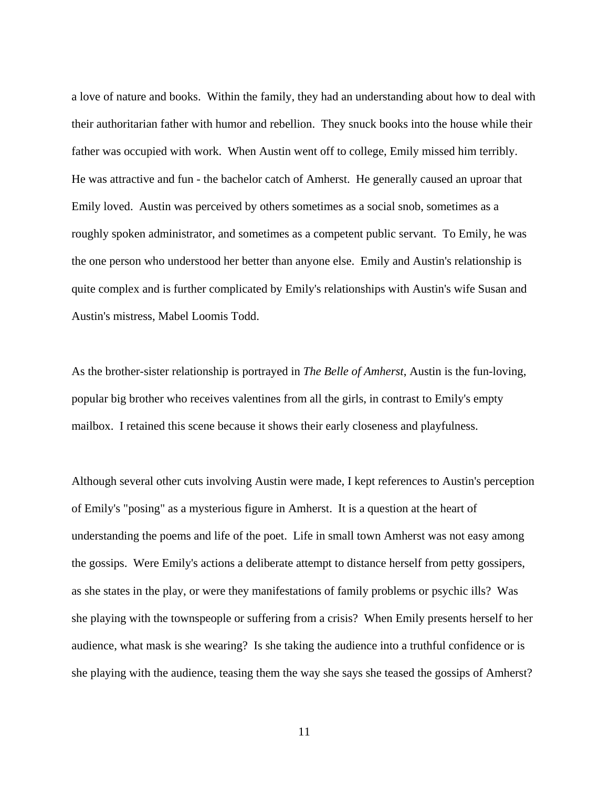a love of nature and books. Within the family, they had an understanding about how to deal with their authoritarian father with humor and rebellion. They snuck books into the house while their father was occupied with work. When Austin went off to college, Emily missed him terribly. He was attractive and fun - the bachelor catch of Amherst. He generally caused an uproar that Emily loved. Austin was perceived by others sometimes as a social snob, sometimes as a roughly spoken administrator, and sometimes as a competent public servant. To Emily, he was the one person who understood her better than anyone else. Emily and Austin's relationship is quite complex and is further complicated by Emily's relationships with Austin's wife Susan and Austin's mistress, Mabel Loomis Todd.

As the brother-sister relationship is portrayed in *The Belle of Amherst*, Austin is the fun-loving, popular big brother who receives valentines from all the girls, in contrast to Emily's empty mailbox. I retained this scene because it shows their early closeness and playfulness.

Although several other cuts involving Austin were made, I kept references to Austin's perception of Emily's "posing" as a mysterious figure in Amherst. It is a question at the heart of understanding the poems and life of the poet. Life in small town Amherst was not easy among the gossips. Were Emily's actions a deliberate attempt to distance herself from petty gossipers, as she states in the play, or were they manifestations of family problems or psychic ills? Was she playing with the townspeople or suffering from a crisis? When Emily presents herself to her audience, what mask is she wearing? Is she taking the audience into a truthful confidence or is she playing with the audience, teasing them the way she says she teased the gossips of Amherst?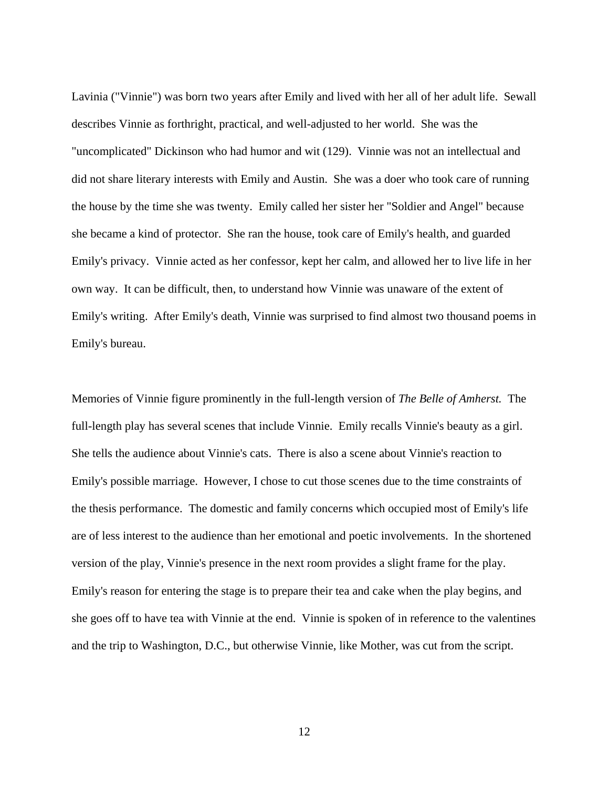Lavinia ("Vinnie") was born two years after Emily and lived with her all of her adult life. Sewall describes Vinnie as forthright, practical, and well-adjusted to her world. She was the "uncomplicated" Dickinson who had humor and wit (129). Vinnie was not an intellectual and did not share literary interests with Emily and Austin. She was a doer who took care of running the house by the time she was twenty. Emily called her sister her "Soldier and Angel" because she became a kind of protector. She ran the house, took care of Emily's health, and guarded Emily's privacy. Vinnie acted as her confessor, kept her calm, and allowed her to live life in her own way. It can be difficult, then, to understand how Vinnie was unaware of the extent of Emily's writing. After Emily's death, Vinnie was surprised to find almost two thousand poems in Emily's bureau.

Memories of Vinnie figure prominently in the full-length version of *The Belle of Amherst.* The full-length play has several scenes that include Vinnie. Emily recalls Vinnie's beauty as a girl. She tells the audience about Vinnie's cats. There is also a scene about Vinnie's reaction to Emily's possible marriage. However, I chose to cut those scenes due to the time constraints of the thesis performance. The domestic and family concerns which occupied most of Emily's life are of less interest to the audience than her emotional and poetic involvements. In the shortened version of the play, Vinnie's presence in the next room provides a slight frame for the play. Emily's reason for entering the stage is to prepare their tea and cake when the play begins, and she goes off to have tea with Vinnie at the end. Vinnie is spoken of in reference to the valentines and the trip to Washington, D.C., but otherwise Vinnie, like Mother, was cut from the script.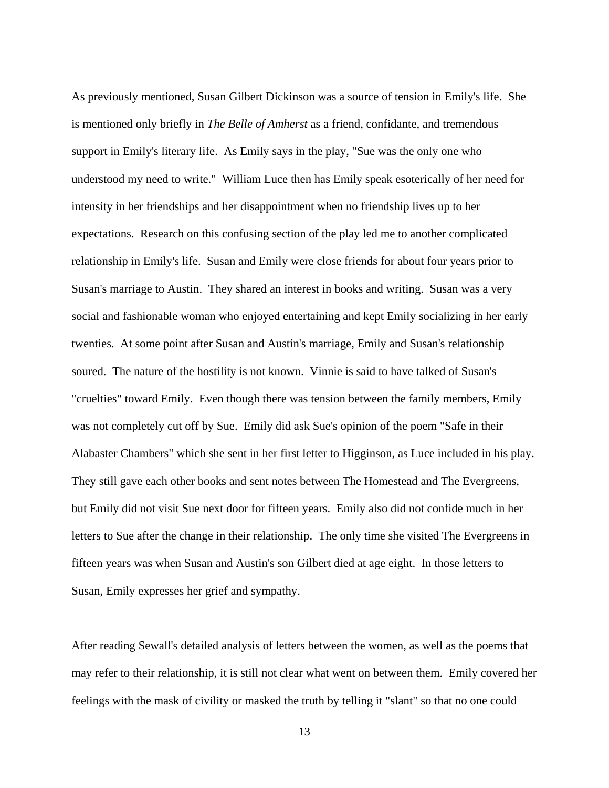As previously mentioned, Susan Gilbert Dickinson was a source of tension in Emily's life. She is mentioned only briefly in *The Belle of Amherst* as a friend, confidante, and tremendous support in Emily's literary life. As Emily says in the play, "Sue was the only one who understood my need to write." William Luce then has Emily speak esoterically of her need for intensity in her friendships and her disappointment when no friendship lives up to her expectations. Research on this confusing section of the play led me to another complicated relationship in Emily's life. Susan and Emily were close friends for about four years prior to Susan's marriage to Austin. They shared an interest in books and writing. Susan was a very social and fashionable woman who enjoyed entertaining and kept Emily socializing in her early twenties. At some point after Susan and Austin's marriage, Emily and Susan's relationship soured. The nature of the hostility is not known. Vinnie is said to have talked of Susan's "cruelties" toward Emily. Even though there was tension between the family members, Emily was not completely cut off by Sue. Emily did ask Sue's opinion of the poem "Safe in their Alabaster Chambers" which she sent in her first letter to Higginson, as Luce included in his play. They still gave each other books and sent notes between The Homestead and The Evergreens, but Emily did not visit Sue next door for fifteen years. Emily also did not confide much in her letters to Sue after the change in their relationship. The only time she visited The Evergreens in fifteen years was when Susan and Austin's son Gilbert died at age eight. In those letters to Susan, Emily expresses her grief and sympathy.

After reading Sewall's detailed analysis of letters between the women, as well as the poems that may refer to their relationship, it is still not clear what went on between them. Emily covered her feelings with the mask of civility or masked the truth by telling it "slant" so that no one could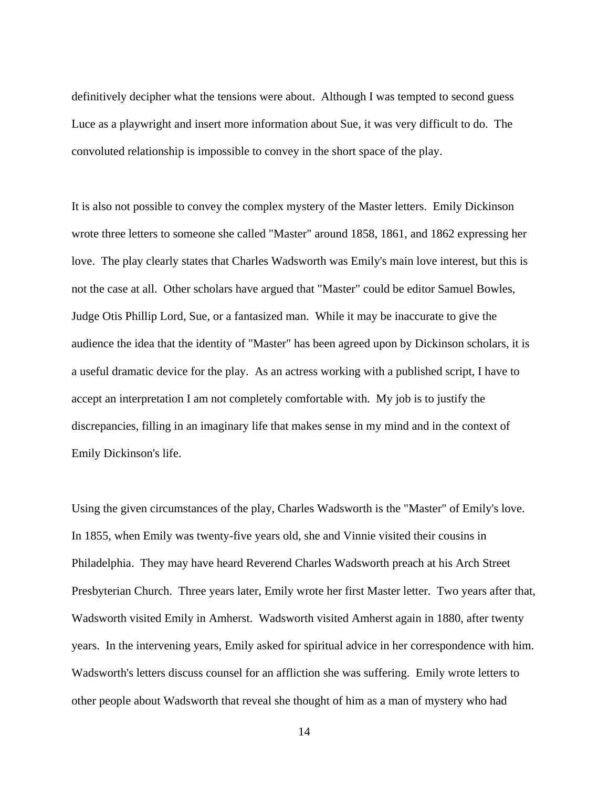definitively decipher what the tensions were about. Although I was tempted to second guess Luce as a playwright and insert more information about Sue, it was very difficult to do. The convoluted relationship is impossible to convey in the short space of the play.

It is also not possible to convey the complex mystery of the Master letters. Emily Dickinson wrote three letters to someone she called "Master" around 1858, 1861, and 1862 expressing her love. The play clearly states that Charles Wadsworth was Emily's main love interest, but this is not the case at all. Other scholars have argued that "Master" could be editor Samuel Bowles, Judge Otis Phillip Lord, Sue, or a fantasized man. While it may be inaccurate to give the audience the idea that the identity of "Master" has been agreed upon by Dickinson scholars, it is a useful dramatic device for the play. As an actress working with a published script, I have to accept an interpretation I am not completely comfortable with. My job is to justify the discrepancies, filling in an imaginary life that makes sense in my mind and in the context of Emily Dickinson's life.

Using the given circumstances of the play, Charles Wadsworth is the "Master" of Emily's love. In 1855, when Emily was twenty-five years old, she and Vinnie visited their cousins in Philadelphia. They may have heard Reverend Charles Wadsworth preach at his Arch Street Presbyterian Church. Three years later, Emily wrote her first Master letter. Two years after that, Wadsworth visited Emily in Amherst. Wadsworth visited Amherst again in 1880, after twenty years. In the intervening years, Emily asked for spiritual advice in her correspondence with him. Wadsworth's letters discuss counsel for an affliction she was suffering. Emily wrote letters to other people about Wadsworth that reveal she thought of him as a man of mystery who had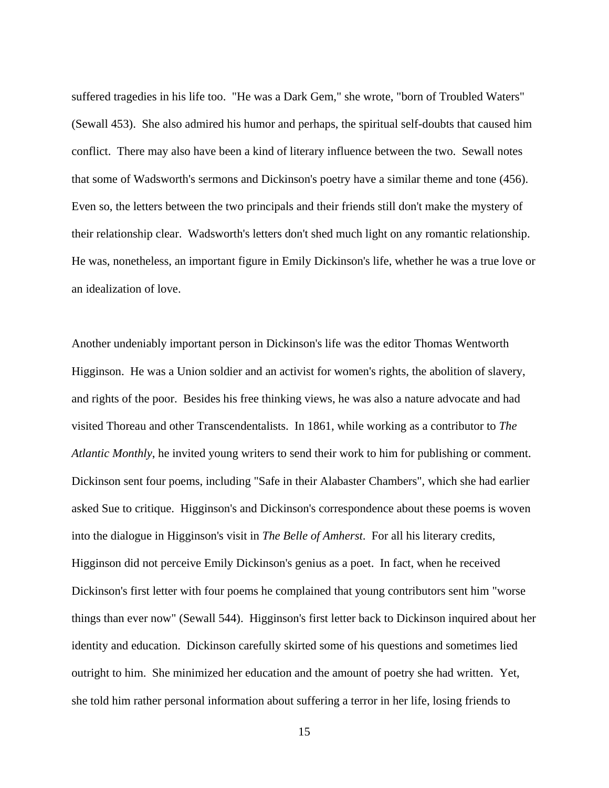suffered tragedies in his life too. "He was a Dark Gem," she wrote, "born of Troubled Waters" (Sewall 453). She also admired his humor and perhaps, the spiritual self-doubts that caused him conflict. There may also have been a kind of literary influence between the two. Sewall notes that some of Wadsworth's sermons and Dickinson's poetry have a similar theme and tone (456). Even so, the letters between the two principals and their friends still don't make the mystery of their relationship clear. Wadsworth's letters don't shed much light on any romantic relationship. He was, nonetheless, an important figure in Emily Dickinson's life, whether he was a true love or an idealization of love.

Another undeniably important person in Dickinson's life was the editor Thomas Wentworth Higginson. He was a Union soldier and an activist for women's rights, the abolition of slavery, and rights of the poor. Besides his free thinking views, he was also a nature advocate and had visited Thoreau and other Transcendentalists. In 1861, while working as a contributor to *The Atlantic Monthly*, he invited young writers to send their work to him for publishing or comment. Dickinson sent four poems, including "Safe in their Alabaster Chambers", which she had earlier asked Sue to critique. Higginson's and Dickinson's correspondence about these poems is woven into the dialogue in Higginson's visit in *The Belle of Amherst*. For all his literary credits, Higginson did not perceive Emily Dickinson's genius as a poet. In fact, when he received Dickinson's first letter with four poems he complained that young contributors sent him "worse things than ever now" (Sewall 544). Higginson's first letter back to Dickinson inquired about her identity and education. Dickinson carefully skirted some of his questions and sometimes lied outright to him. She minimized her education and the amount of poetry she had written. Yet, she told him rather personal information about suffering a terror in her life, losing friends to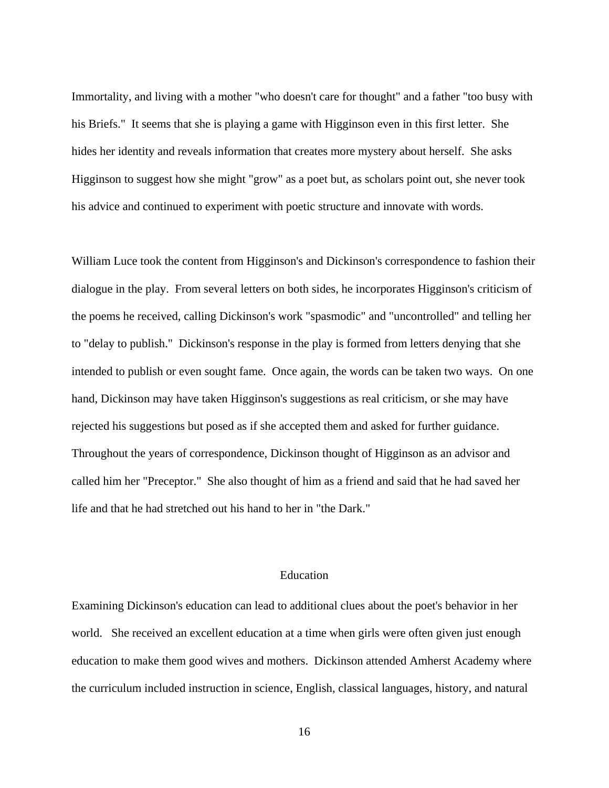Immortality, and living with a mother "who doesn't care for thought" and a father "too busy with his Briefs." It seems that she is playing a game with Higginson even in this first letter. She hides her identity and reveals information that creates more mystery about herself. She asks Higginson to suggest how she might "grow" as a poet but, as scholars point out, she never took his advice and continued to experiment with poetic structure and innovate with words.

William Luce took the content from Higginson's and Dickinson's correspondence to fashion their dialogue in the play. From several letters on both sides, he incorporates Higginson's criticism of the poems he received, calling Dickinson's work "spasmodic" and "uncontrolled" and telling her to "delay to publish." Dickinson's response in the play is formed from letters denying that she intended to publish or even sought fame. Once again, the words can be taken two ways. On one hand, Dickinson may have taken Higginson's suggestions as real criticism, or she may have rejected his suggestions but posed as if she accepted them and asked for further guidance. Throughout the years of correspondence, Dickinson thought of Higginson as an advisor and called him her "Preceptor." She also thought of him as a friend and said that he had saved her life and that he had stretched out his hand to her in "the Dark."

#### <span id="page-23-0"></span>Education

Examining Dickinson's education can lead to additional clues about the poet's behavior in her world. She received an excellent education at a time when girls were often given just enough education to make them good wives and mothers. Dickinson attended Amherst Academy where the curriculum included instruction in science, English, classical languages, history, and natural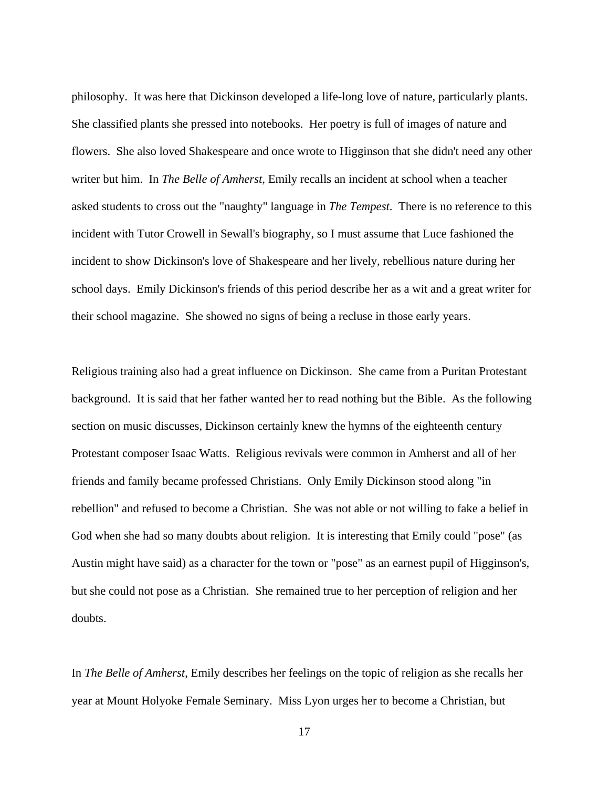philosophy. It was here that Dickinson developed a life-long love of nature, particularly plants. She classified plants she pressed into notebooks. Her poetry is full of images of nature and flowers. She also loved Shakespeare and once wrote to Higginson that she didn't need any other writer but him. In *The Belle of Amherst*, Emily recalls an incident at school when a teacher asked students to cross out the "naughty" language in *The Tempest*. There is no reference to this incident with Tutor Crowell in Sewall's biography, so I must assume that Luce fashioned the incident to show Dickinson's love of Shakespeare and her lively, rebellious nature during her school days. Emily Dickinson's friends of this period describe her as a wit and a great writer for their school magazine. She showed no signs of being a recluse in those early years.

Religious training also had a great influence on Dickinson. She came from a Puritan Protestant background. It is said that her father wanted her to read nothing but the Bible. As the following section on music discusses, Dickinson certainly knew the hymns of the eighteenth century Protestant composer Isaac Watts. Religious revivals were common in Amherst and all of her friends and family became professed Christians. Only Emily Dickinson stood along "in rebellion" and refused to become a Christian. She was not able or not willing to fake a belief in God when she had so many doubts about religion. It is interesting that Emily could "pose" (as Austin might have said) as a character for the town or "pose" as an earnest pupil of Higginson's, but she could not pose as a Christian. She remained true to her perception of religion and her doubts.

In *The Belle of Amherst*, Emily describes her feelings on the topic of religion as she recalls her year at Mount Holyoke Female Seminary. Miss Lyon urges her to become a Christian, but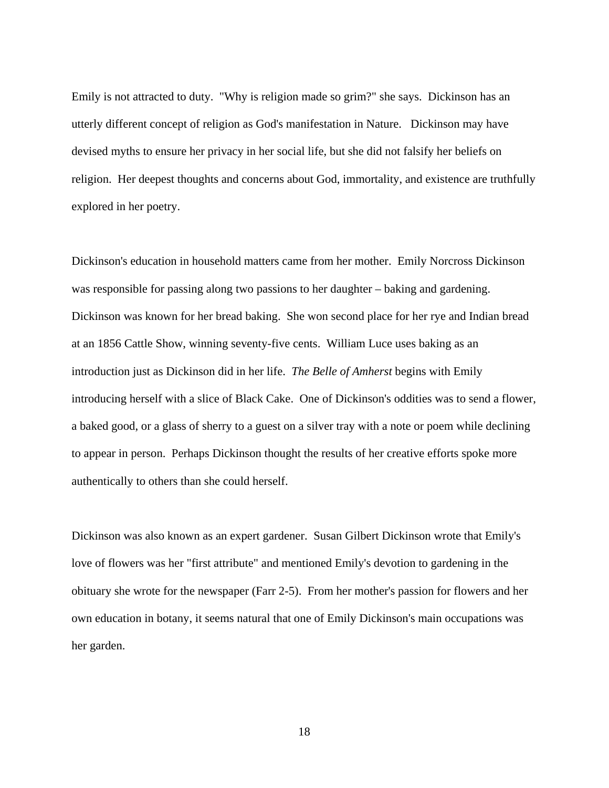Emily is not attracted to duty. "Why is religion made so grim?" she says. Dickinson has an utterly different concept of religion as God's manifestation in Nature. Dickinson may have devised myths to ensure her privacy in her social life, but she did not falsify her beliefs on religion. Her deepest thoughts and concerns about God, immortality, and existence are truthfully explored in her poetry.

Dickinson's education in household matters came from her mother. Emily Norcross Dickinson was responsible for passing along two passions to her daughter – baking and gardening. Dickinson was known for her bread baking. She won second place for her rye and Indian bread at an 1856 Cattle Show, winning seventy-five cents. William Luce uses baking as an introduction just as Dickinson did in her life. *The Belle of Amherst* begins with Emily introducing herself with a slice of Black Cake. One of Dickinson's oddities was to send a flower, a baked good, or a glass of sherry to a guest on a silver tray with a note or poem while declining to appear in person. Perhaps Dickinson thought the results of her creative efforts spoke more authentically to others than she could herself.

Dickinson was also known as an expert gardener. Susan Gilbert Dickinson wrote that Emily's love of flowers was her "first attribute" and mentioned Emily's devotion to gardening in the obituary she wrote for the newspaper (Farr 2-5). From her mother's passion for flowers and her own education in botany, it seems natural that one of Emily Dickinson's main occupations was her garden.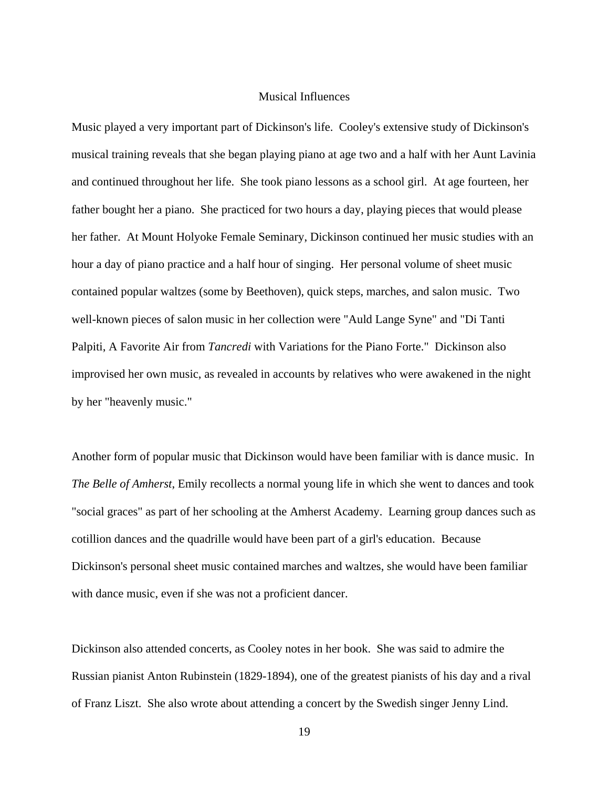#### <span id="page-26-0"></span>Musical Influences

Music played a very important part of Dickinson's life. Cooley's extensive study of Dickinson's musical training reveals that she began playing piano at age two and a half with her Aunt Lavinia and continued throughout her life. She took piano lessons as a school girl. At age fourteen, her father bought her a piano. She practiced for two hours a day, playing pieces that would please her father. At Mount Holyoke Female Seminary, Dickinson continued her music studies with an hour a day of piano practice and a half hour of singing. Her personal volume of sheet music contained popular waltzes (some by Beethoven), quick steps, marches, and salon music. Two well-known pieces of salon music in her collection were "Auld Lange Syne" and "Di Tanti Palpiti, A Favorite Air from *Tancredi* with Variations for the Piano Forte." Dickinson also improvised her own music, as revealed in accounts by relatives who were awakened in the night by her "heavenly music."

Another form of popular music that Dickinson would have been familiar with is dance music. In *The Belle of Amherst*, Emily recollects a normal young life in which she went to dances and took "social graces" as part of her schooling at the Amherst Academy. Learning group dances such as cotillion dances and the quadrille would have been part of a girl's education. Because Dickinson's personal sheet music contained marches and waltzes, she would have been familiar with dance music, even if she was not a proficient dancer.

Dickinson also attended concerts, as Cooley notes in her book. She was said to admire the Russian pianist Anton Rubinstein (1829-1894), one of the greatest pianists of his day and a rival of Franz Liszt. She also wrote about attending a concert by the Swedish singer Jenny Lind.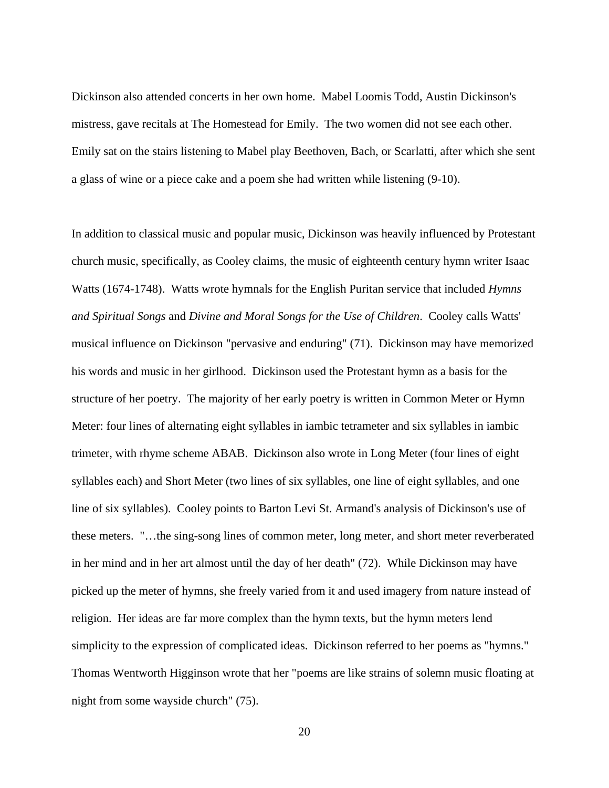Dickinson also attended concerts in her own home. Mabel Loomis Todd, Austin Dickinson's mistress, gave recitals at The Homestead for Emily. The two women did not see each other. Emily sat on the stairs listening to Mabel play Beethoven, Bach, or Scarlatti, after which she sent a glass of wine or a piece cake and a poem she had written while listening (9-10).

In addition to classical music and popular music, Dickinson was heavily influenced by Protestant church music, specifically, as Cooley claims, the music of eighteenth century hymn writer Isaac Watts (1674-1748). Watts wrote hymnals for the English Puritan service that included *Hymns and Spiritual Songs* and *Divine and Moral Songs for the Use of Children*. Cooley calls Watts' musical influence on Dickinson "pervasive and enduring" (71). Dickinson may have memorized his words and music in her girlhood. Dickinson used the Protestant hymn as a basis for the structure of her poetry. The majority of her early poetry is written in Common Meter or Hymn Meter: four lines of alternating eight syllables in iambic tetrameter and six syllables in iambic trimeter, with rhyme scheme ABAB. Dickinson also wrote in Long Meter (four lines of eight syllables each) and Short Meter (two lines of six syllables, one line of eight syllables, and one line of six syllables). Cooley points to Barton Levi St. Armand's analysis of Dickinson's use of these meters. "…the sing-song lines of common meter, long meter, and short meter reverberated in her mind and in her art almost until the day of her death" (72). While Dickinson may have picked up the meter of hymns, she freely varied from it and used imagery from nature instead of religion. Her ideas are far more complex than the hymn texts, but the hymn meters lend simplicity to the expression of complicated ideas. Dickinson referred to her poems as "hymns." Thomas Wentworth Higginson wrote that her "poems are like strains of solemn music floating at night from some wayside church" (75).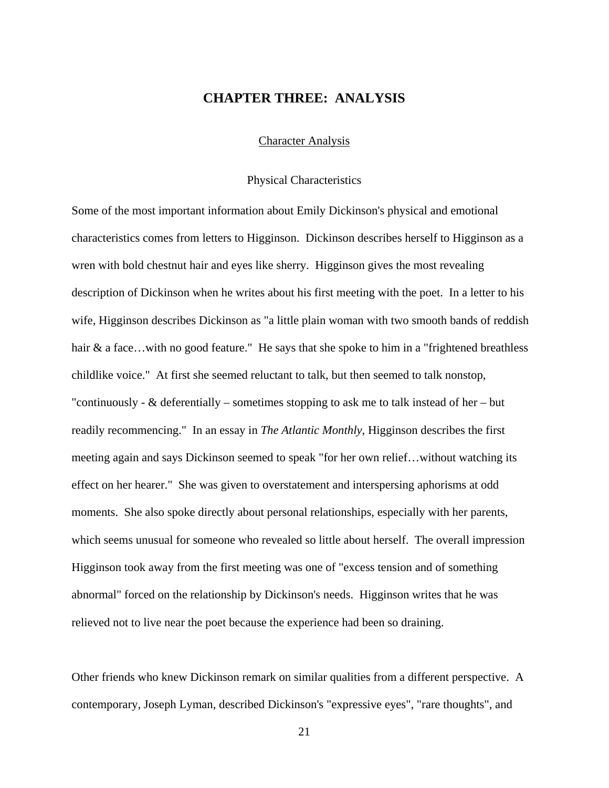## <span id="page-28-0"></span>**CHAPTER THREE: ANALYSIS**

#### <span id="page-28-1"></span>Character Analysis

#### <span id="page-28-2"></span>Physical Characteristics

Some of the most important information about Emily Dickinson's physical and emotional characteristics comes from letters to Higginson. Dickinson describes herself to Higginson as a wren with bold chestnut hair and eyes like sherry. Higginson gives the most revealing description of Dickinson when he writes about his first meeting with the poet. In a letter to his wife, Higginson describes Dickinson as "a little plain woman with two smooth bands of reddish hair & a face...with no good feature." He says that she spoke to him in a "frightened breathless" childlike voice." At first she seemed reluctant to talk, but then seemed to talk nonstop, "continuously -  $\&$  deferentially – sometimes stopping to ask me to talk instead of her – but readily recommencing." In an essay in *The Atlantic Monthly*, Higginson describes the first meeting again and says Dickinson seemed to speak "for her own relief…without watching its effect on her hearer." She was given to overstatement and interspersing aphorisms at odd moments. She also spoke directly about personal relationships, especially with her parents, which seems unusual for someone who revealed so little about herself. The overall impression Higginson took away from the first meeting was one of "excess tension and of something abnormal" forced on the relationship by Dickinson's needs. Higginson writes that he was relieved not to live near the poet because the experience had been so draining.

Other friends who knew Dickinson remark on similar qualities from a different perspective. A contemporary, Joseph Lyman, described Dickinson's "expressive eyes", "rare thoughts", and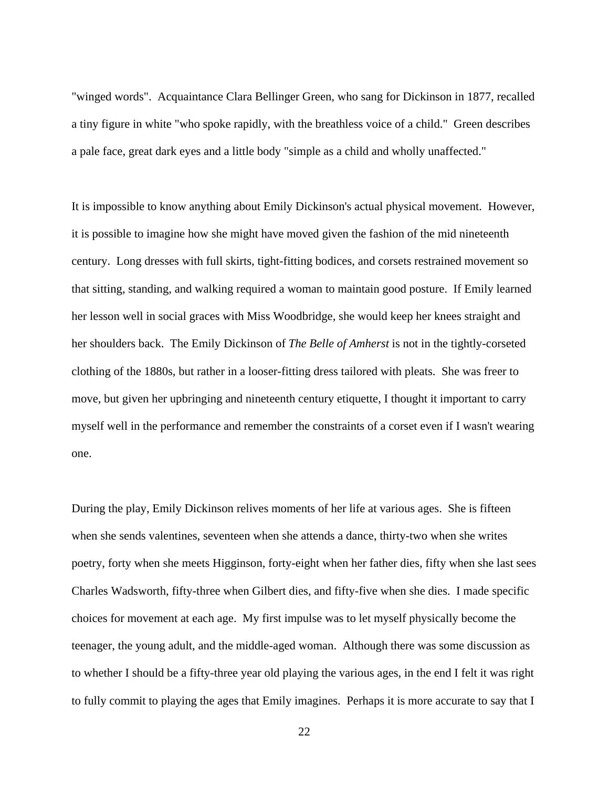"winged words". Acquaintance Clara Bellinger Green, who sang for Dickinson in 1877, recalled a tiny figure in white "who spoke rapidly, with the breathless voice of a child." Green describes a pale face, great dark eyes and a little body "simple as a child and wholly unaffected."

It is impossible to know anything about Emily Dickinson's actual physical movement. However, it is possible to imagine how she might have moved given the fashion of the mid nineteenth century. Long dresses with full skirts, tight-fitting bodices, and corsets restrained movement so that sitting, standing, and walking required a woman to maintain good posture. If Emily learned her lesson well in social graces with Miss Woodbridge, she would keep her knees straight and her shoulders back. The Emily Dickinson of *The Belle of Amherst* is not in the tightly-corseted clothing of the 1880s, but rather in a looser-fitting dress tailored with pleats. She was freer to move, but given her upbringing and nineteenth century etiquette, I thought it important to carry myself well in the performance and remember the constraints of a corset even if I wasn't wearing one.

During the play, Emily Dickinson relives moments of her life at various ages. She is fifteen when she sends valentines, seventeen when she attends a dance, thirty-two when she writes poetry, forty when she meets Higginson, forty-eight when her father dies, fifty when she last sees Charles Wadsworth, fifty-three when Gilbert dies, and fifty-five when she dies. I made specific choices for movement at each age. My first impulse was to let myself physically become the teenager, the young adult, and the middle-aged woman. Although there was some discussion as to whether I should be a fifty-three year old playing the various ages, in the end I felt it was right to fully commit to playing the ages that Emily imagines. Perhaps it is more accurate to say that I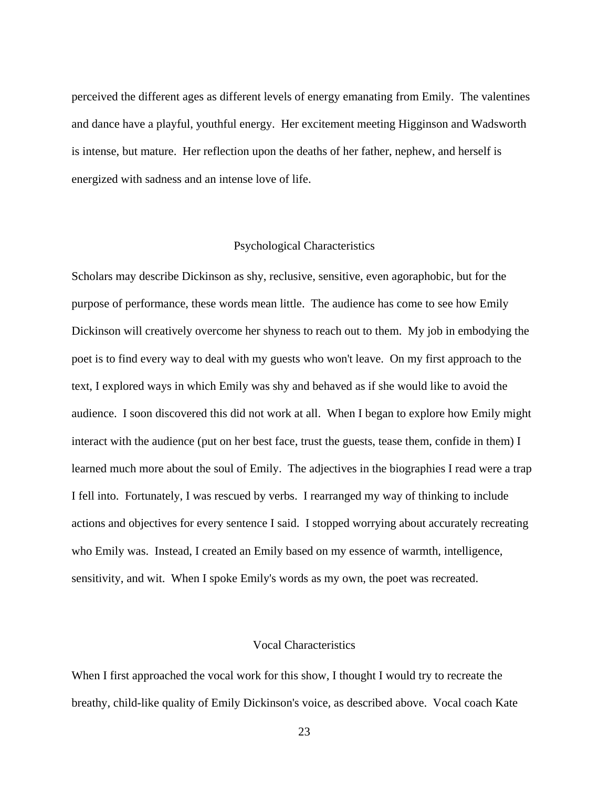perceived the different ages as different levels of energy emanating from Emily. The valentines and dance have a playful, youthful energy. Her excitement meeting Higginson and Wadsworth is intense, but mature. Her reflection upon the deaths of her father, nephew, and herself is energized with sadness and an intense love of life.

#### <span id="page-30-0"></span>Psychological Characteristics

Scholars may describe Dickinson as shy, reclusive, sensitive, even agoraphobic, but for the purpose of performance, these words mean little. The audience has come to see how Emily Dickinson will creatively overcome her shyness to reach out to them. My job in embodying the poet is to find every way to deal with my guests who won't leave. On my first approach to the text, I explored ways in which Emily was shy and behaved as if she would like to avoid the audience. I soon discovered this did not work at all. When I began to explore how Emily might interact with the audience (put on her best face, trust the guests, tease them, confide in them) I learned much more about the soul of Emily. The adjectives in the biographies I read were a trap I fell into. Fortunately, I was rescued by verbs. I rearranged my way of thinking to include actions and objectives for every sentence I said. I stopped worrying about accurately recreating who Emily was. Instead, I created an Emily based on my essence of warmth, intelligence, sensitivity, and wit. When I spoke Emily's words as my own, the poet was recreated.

#### <span id="page-30-1"></span>Vocal Characteristics

When I first approached the vocal work for this show, I thought I would try to recreate the breathy, child-like quality of Emily Dickinson's voice, as described above. Vocal coach Kate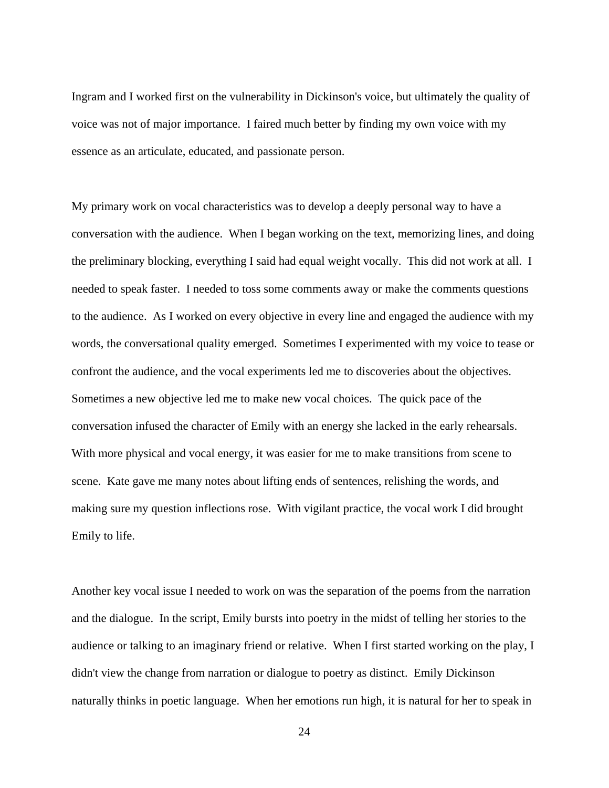Ingram and I worked first on the vulnerability in Dickinson's voice, but ultimately the quality of voice was not of major importance. I faired much better by finding my own voice with my essence as an articulate, educated, and passionate person.

My primary work on vocal characteristics was to develop a deeply personal way to have a conversation with the audience. When I began working on the text, memorizing lines, and doing the preliminary blocking, everything I said had equal weight vocally. This did not work at all. I needed to speak faster. I needed to toss some comments away or make the comments questions to the audience. As I worked on every objective in every line and engaged the audience with my words, the conversational quality emerged. Sometimes I experimented with my voice to tease or confront the audience, and the vocal experiments led me to discoveries about the objectives. Sometimes a new objective led me to make new vocal choices. The quick pace of the conversation infused the character of Emily with an energy she lacked in the early rehearsals. With more physical and vocal energy, it was easier for me to make transitions from scene to scene. Kate gave me many notes about lifting ends of sentences, relishing the words, and making sure my question inflections rose. With vigilant practice, the vocal work I did brought Emily to life.

Another key vocal issue I needed to work on was the separation of the poems from the narration and the dialogue. In the script, Emily bursts into poetry in the midst of telling her stories to the audience or talking to an imaginary friend or relative. When I first started working on the play, I didn't view the change from narration or dialogue to poetry as distinct. Emily Dickinson naturally thinks in poetic language. When her emotions run high, it is natural for her to speak in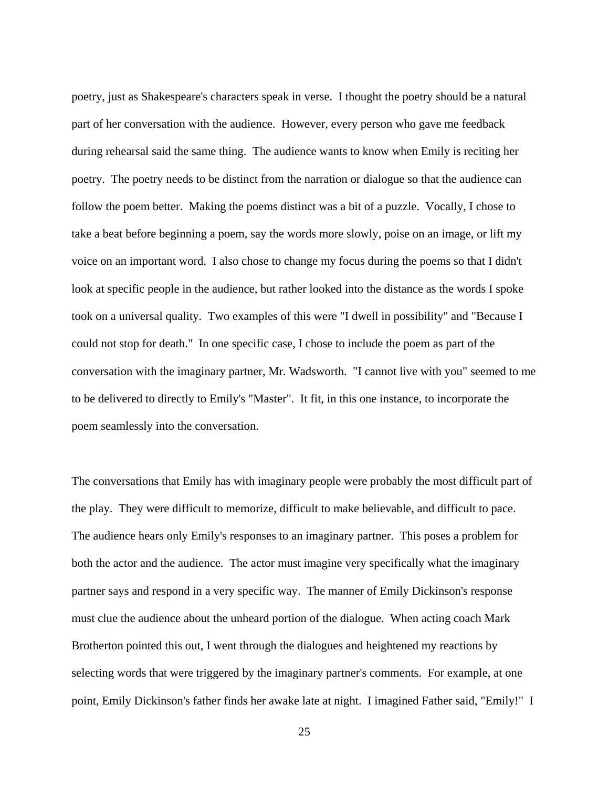poetry, just as Shakespeare's characters speak in verse. I thought the poetry should be a natural part of her conversation with the audience. However, every person who gave me feedback during rehearsal said the same thing. The audience wants to know when Emily is reciting her poetry. The poetry needs to be distinct from the narration or dialogue so that the audience can follow the poem better. Making the poems distinct was a bit of a puzzle. Vocally, I chose to take a beat before beginning a poem, say the words more slowly, poise on an image, or lift my voice on an important word. I also chose to change my focus during the poems so that I didn't look at specific people in the audience, but rather looked into the distance as the words I spoke took on a universal quality. Two examples of this were "I dwell in possibility" and "Because I could not stop for death." In one specific case, I chose to include the poem as part of the conversation with the imaginary partner, Mr. Wadsworth. "I cannot live with you" seemed to me to be delivered to directly to Emily's "Master". It fit, in this one instance, to incorporate the poem seamlessly into the conversation.

The conversations that Emily has with imaginary people were probably the most difficult part of the play. They were difficult to memorize, difficult to make believable, and difficult to pace. The audience hears only Emily's responses to an imaginary partner. This poses a problem for both the actor and the audience. The actor must imagine very specifically what the imaginary partner says and respond in a very specific way. The manner of Emily Dickinson's response must clue the audience about the unheard portion of the dialogue. When acting coach Mark Brotherton pointed this out, I went through the dialogues and heightened my reactions by selecting words that were triggered by the imaginary partner's comments. For example, at one point, Emily Dickinson's father finds her awake late at night. I imagined Father said, "Emily!" I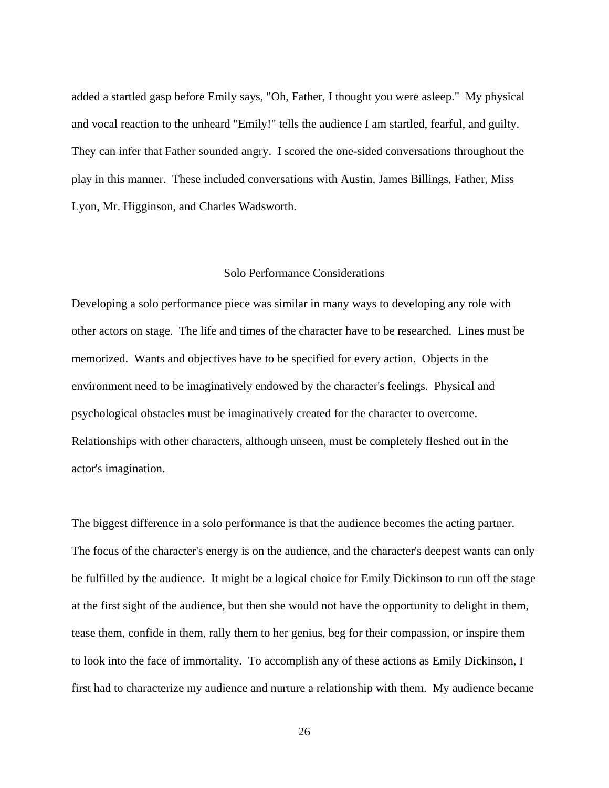added a startled gasp before Emily says, "Oh, Father, I thought you were asleep." My physical and vocal reaction to the unheard "Emily!" tells the audience I am startled, fearful, and guilty. They can infer that Father sounded angry. I scored the one-sided conversations throughout the play in this manner. These included conversations with Austin, James Billings, Father, Miss Lyon, Mr. Higginson, and Charles Wadsworth.

#### <span id="page-33-0"></span>Solo Performance Considerations

Developing a solo performance piece was similar in many ways to developing any role with other actors on stage. The life and times of the character have to be researched. Lines must be memorized. Wants and objectives have to be specified for every action. Objects in the environment need to be imaginatively endowed by the character's feelings. Physical and psychological obstacles must be imaginatively created for the character to overcome. Relationships with other characters, although unseen, must be completely fleshed out in the actor's imagination.

The biggest difference in a solo performance is that the audience becomes the acting partner. The focus of the character's energy is on the audience, and the character's deepest wants can only be fulfilled by the audience. It might be a logical choice for Emily Dickinson to run off the stage at the first sight of the audience, but then she would not have the opportunity to delight in them, tease them, confide in them, rally them to her genius, beg for their compassion, or inspire them to look into the face of immortality. To accomplish any of these actions as Emily Dickinson, I first had to characterize my audience and nurture a relationship with them. My audience became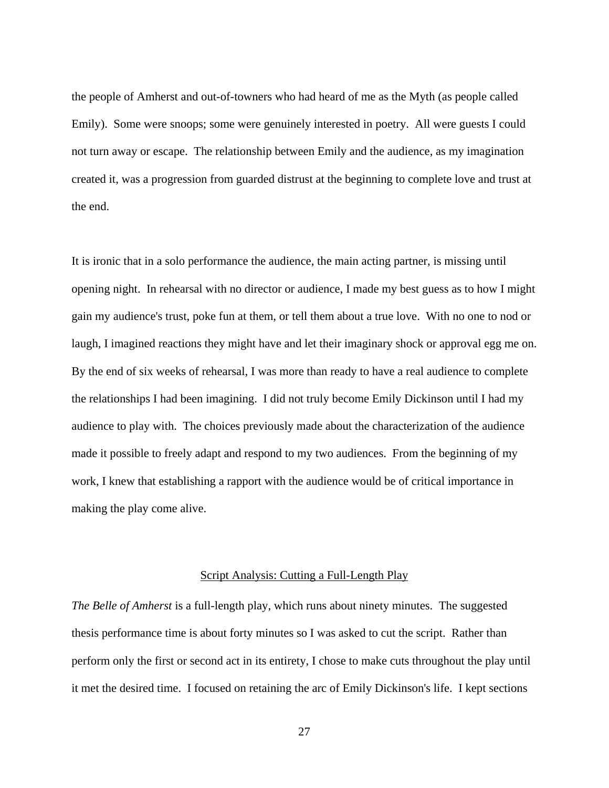the people of Amherst and out-of-towners who had heard of me as the Myth (as people called Emily). Some were snoops; some were genuinely interested in poetry. All were guests I could not turn away or escape. The relationship between Emily and the audience, as my imagination created it, was a progression from guarded distrust at the beginning to complete love and trust at the end.

It is ironic that in a solo performance the audience, the main acting partner, is missing until opening night. In rehearsal with no director or audience, I made my best guess as to how I might gain my audience's trust, poke fun at them, or tell them about a true love. With no one to nod or laugh, I imagined reactions they might have and let their imaginary shock or approval egg me on. By the end of six weeks of rehearsal, I was more than ready to have a real audience to complete the relationships I had been imagining. I did not truly become Emily Dickinson until I had my audience to play with. The choices previously made about the characterization of the audience made it possible to freely adapt and respond to my two audiences. From the beginning of my work, I knew that establishing a rapport with the audience would be of critical importance in making the play come alive.

#### <span id="page-34-0"></span>Script Analysis: Cutting a Full-Length Play

*The Belle of Amherst* is a full-length play, which runs about ninety minutes. The suggested thesis performance time is about forty minutes so I was asked to cut the script. Rather than perform only the first or second act in its entirety, I chose to make cuts throughout the play until it met the desired time. I focused on retaining the arc of Emily Dickinson's life. I kept sections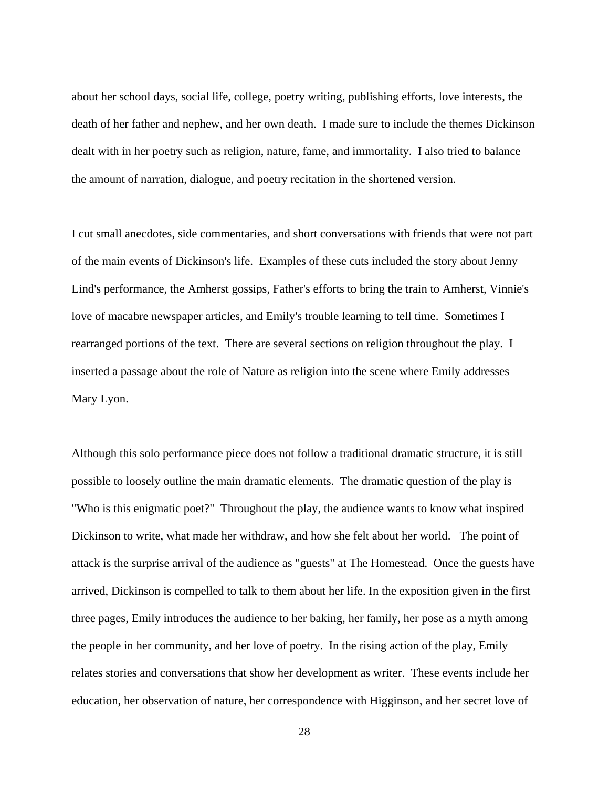about her school days, social life, college, poetry writing, publishing efforts, love interests, the death of her father and nephew, and her own death. I made sure to include the themes Dickinson dealt with in her poetry such as religion, nature, fame, and immortality. I also tried to balance the amount of narration, dialogue, and poetry recitation in the shortened version.

I cut small anecdotes, side commentaries, and short conversations with friends that were not part of the main events of Dickinson's life. Examples of these cuts included the story about Jenny Lind's performance, the Amherst gossips, Father's efforts to bring the train to Amherst, Vinnie's love of macabre newspaper articles, and Emily's trouble learning to tell time. Sometimes I rearranged portions of the text. There are several sections on religion throughout the play. I inserted a passage about the role of Nature as religion into the scene where Emily addresses Mary Lyon.

Although this solo performance piece does not follow a traditional dramatic structure, it is still possible to loosely outline the main dramatic elements. The dramatic question of the play is "Who is this enigmatic poet?" Throughout the play, the audience wants to know what inspired Dickinson to write, what made her withdraw, and how she felt about her world. The point of attack is the surprise arrival of the audience as "guests" at The Homestead. Once the guests have arrived, Dickinson is compelled to talk to them about her life. In the exposition given in the first three pages, Emily introduces the audience to her baking, her family, her pose as a myth among the people in her community, and her love of poetry. In the rising action of the play, Emily relates stories and conversations that show her development as writer. These events include her education, her observation of nature, her correspondence with Higginson, and her secret love of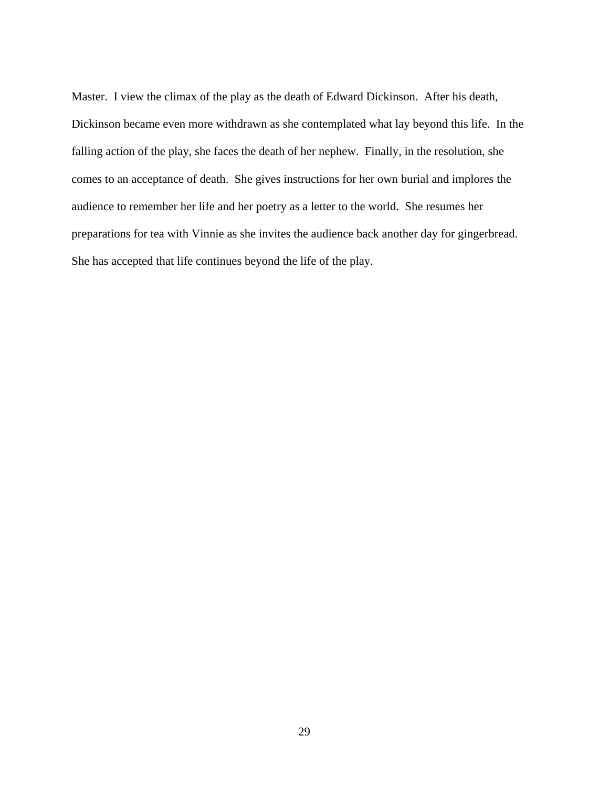Master. I view the climax of the play as the death of Edward Dickinson. After his death, Dickinson became even more withdrawn as she contemplated what lay beyond this life. In the falling action of the play, she faces the death of her nephew. Finally, in the resolution, she comes to an acceptance of death. She gives instructions for her own burial and implores the audience to remember her life and her poetry as a letter to the world. She resumes her preparations for tea with Vinnie as she invites the audience back another day for gingerbread. She has accepted that life continues beyond the life of the play.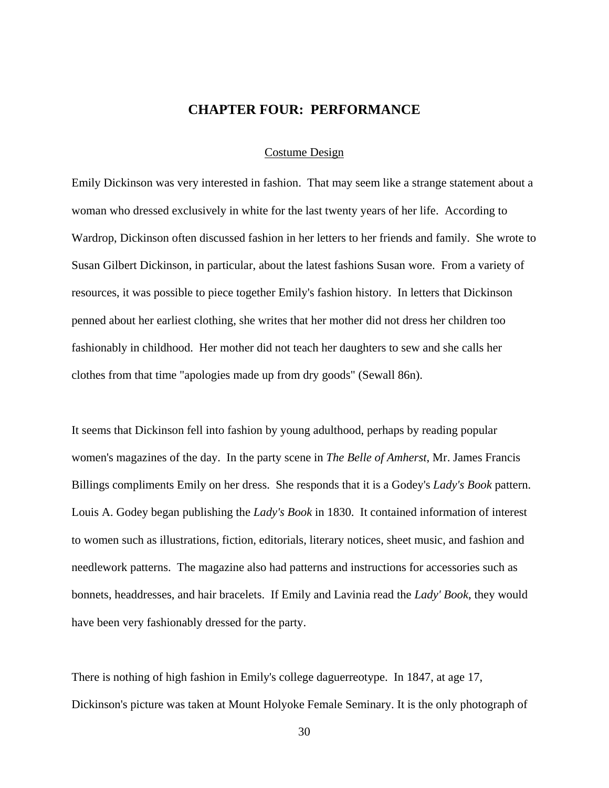# **CHAPTER FOUR: PERFORMANCE**

## Costume Design

Emily Dickinson was very interested in fashion. That may seem like a strange statement about a woman who dressed exclusively in white for the last twenty years of her life. According to Wardrop, Dickinson often discussed fashion in her letters to her friends and family. She wrote to Susan Gilbert Dickinson, in particular, about the latest fashions Susan wore. From a variety of resources, it was possible to piece together Emily's fashion history. In letters that Dickinson penned about her earliest clothing, she writes that her mother did not dress her children too fashionably in childhood. Her mother did not teach her daughters to sew and she calls her clothes from that time "apologies made up from dry goods" (Sewall 86n).

It seems that Dickinson fell into fashion by young adulthood, perhaps by reading popular women's magazines of the day. In the party scene in *The Belle of Amherst*, Mr. James Francis Billings compliments Emily on her dress. She responds that it is a Godey's *Lady's Book* pattern. Louis A. Godey began publishing the *Lady's Book* in 1830. It contained information of interest to women such as illustrations, fiction, editorials, literary notices, sheet music, and fashion and needlework patterns. The magazine also had patterns and instructions for accessories such as bonnets, headdresses, and hair bracelets. If Emily and Lavinia read the *Lady' Book*, they would have been very fashionably dressed for the party.

There is nothing of high fashion in Emily's college daguerreotype. In 1847, at age 17, Dickinson's picture was taken at Mount Holyoke Female Seminary. It is the only photograph of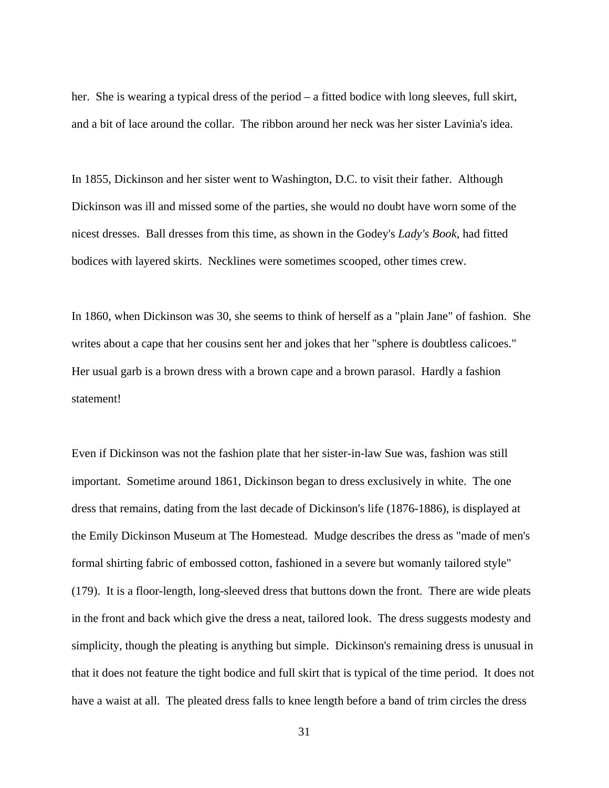her. She is wearing a typical dress of the period – a fitted bodice with long sleeves, full skirt, and a bit of lace around the collar. The ribbon around her neck was her sister Lavinia's idea.

In 1855, Dickinson and her sister went to Washington, D.C. to visit their father. Although Dickinson was ill and missed some of the parties, she would no doubt have worn some of the nicest dresses. Ball dresses from this time, as shown in the Godey's *Lady's Book*, had fitted bodices with layered skirts. Necklines were sometimes scooped, other times crew.

In 1860, when Dickinson was 30, she seems to think of herself as a "plain Jane" of fashion. She writes about a cape that her cousins sent her and jokes that her "sphere is doubtless calicoes." Her usual garb is a brown dress with a brown cape and a brown parasol. Hardly a fashion statement!

Even if Dickinson was not the fashion plate that her sister-in-law Sue was, fashion was still important. Sometime around 1861, Dickinson began to dress exclusively in white. The one dress that remains, dating from the last decade of Dickinson's life (1876-1886), is displayed at the Emily Dickinson Museum at The Homestead. Mudge describes the dress as "made of men's formal shirting fabric of embossed cotton, fashioned in a severe but womanly tailored style" (179). It is a floor-length, long-sleeved dress that buttons down the front. There are wide pleats in the front and back which give the dress a neat, tailored look. The dress suggests modesty and simplicity, though the pleating is anything but simple. Dickinson's remaining dress is unusual in that it does not feature the tight bodice and full skirt that is typical of the time period. It does not have a waist at all. The pleated dress falls to knee length before a band of trim circles the dress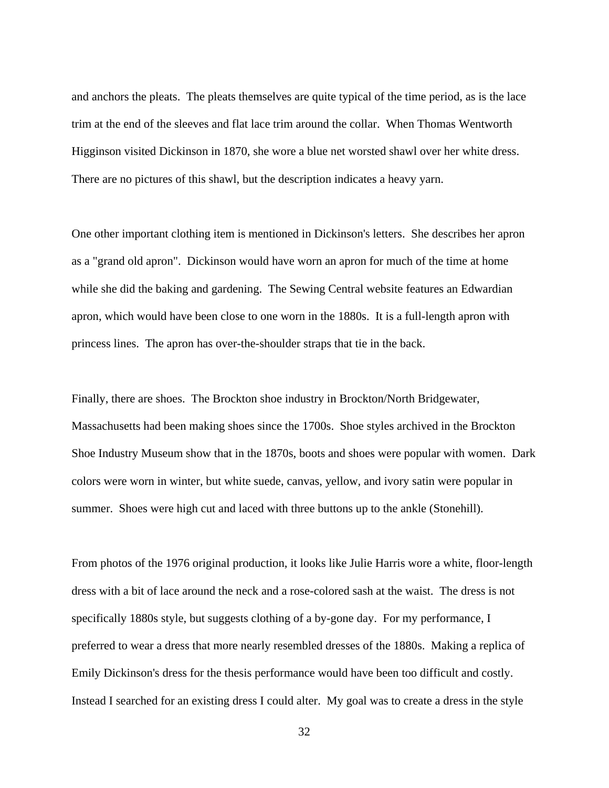and anchors the pleats. The pleats themselves are quite typical of the time period, as is the lace trim at the end of the sleeves and flat lace trim around the collar. When Thomas Wentworth Higginson visited Dickinson in 1870, she wore a blue net worsted shawl over her white dress. There are no pictures of this shawl, but the description indicates a heavy yarn.

One other important clothing item is mentioned in Dickinson's letters. She describes her apron as a "grand old apron". Dickinson would have worn an apron for much of the time at home while she did the baking and gardening. The Sewing Central website features an Edwardian apron, which would have been close to one worn in the 1880s. It is a full-length apron with princess lines. The apron has over-the-shoulder straps that tie in the back.

Finally, there are shoes. The Brockton shoe industry in Brockton/North Bridgewater, Massachusetts had been making shoes since the 1700s. Shoe styles archived in the Brockton Shoe Industry Museum show that in the 1870s, boots and shoes were popular with women. Dark colors were worn in winter, but white suede, canvas, yellow, and ivory satin were popular in summer. Shoes were high cut and laced with three buttons up to the ankle (Stonehill).

From photos of the 1976 original production, it looks like Julie Harris wore a white, floor-length dress with a bit of lace around the neck and a rose-colored sash at the waist. The dress is not specifically 1880s style, but suggests clothing of a by-gone day. For my performance, I preferred to wear a dress that more nearly resembled dresses of the 1880s. Making a replica of Emily Dickinson's dress for the thesis performance would have been too difficult and costly. Instead I searched for an existing dress I could alter. My goal was to create a dress in the style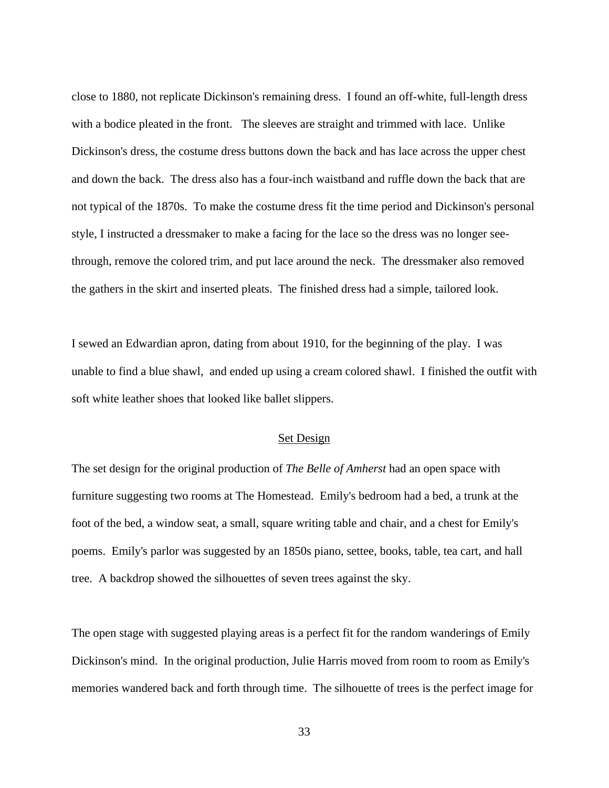close to 1880, not replicate Dickinson's remaining dress. I found an off-white, full-length dress with a bodice pleated in the front. The sleeves are straight and trimmed with lace. Unlike Dickinson's dress, the costume dress buttons down the back and has lace across the upper chest and down the back. The dress also has a four-inch waistband and ruffle down the back that are not typical of the 1870s. To make the costume dress fit the time period and Dickinson's personal style, I instructed a dressmaker to make a facing for the lace so the dress was no longer seethrough, remove the colored trim, and put lace around the neck. The dressmaker also removed the gathers in the skirt and inserted pleats. The finished dress had a simple, tailored look.

I sewed an Edwardian apron, dating from about 1910, for the beginning of the play. I was unable to find a blue shawl, and ended up using a cream colored shawl. I finished the outfit with soft white leather shoes that looked like ballet slippers.

# Set Design

The set design for the original production of *The Belle of Amherst* had an open space with furniture suggesting two rooms at The Homestead. Emily's bedroom had a bed, a trunk at the foot of the bed, a window seat, a small, square writing table and chair, and a chest for Emily's poems. Emily's parlor was suggested by an 1850s piano, settee, books, table, tea cart, and hall tree. A backdrop showed the silhouettes of seven trees against the sky.

The open stage with suggested playing areas is a perfect fit for the random wanderings of Emily Dickinson's mind. In the original production, Julie Harris moved from room to room as Emily's memories wandered back and forth through time. The silhouette of trees is the perfect image for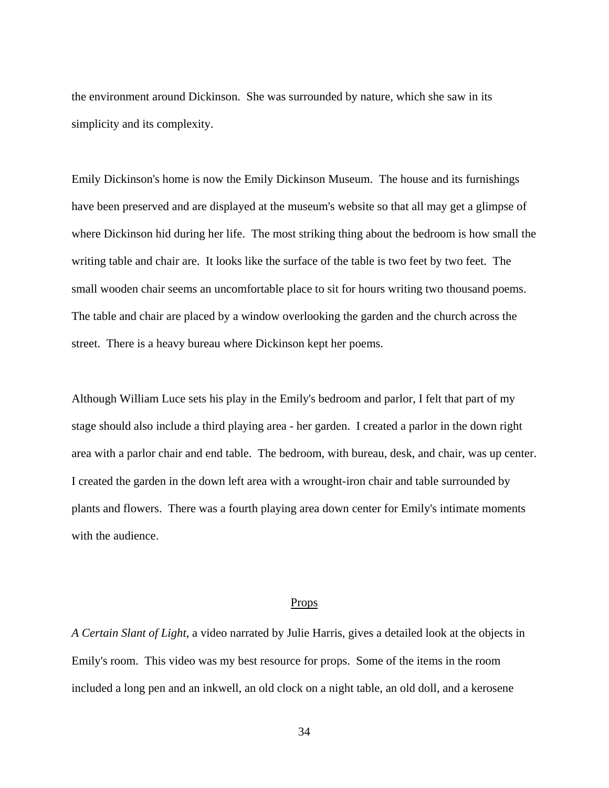the environment around Dickinson. She was surrounded by nature, which she saw in its simplicity and its complexity.

Emily Dickinson's home is now the Emily Dickinson Museum. The house and its furnishings have been preserved and are displayed at the museum's website so that all may get a glimpse of where Dickinson hid during her life. The most striking thing about the bedroom is how small the writing table and chair are. It looks like the surface of the table is two feet by two feet. The small wooden chair seems an uncomfortable place to sit for hours writing two thousand poems. The table and chair are placed by a window overlooking the garden and the church across the street. There is a heavy bureau where Dickinson kept her poems.

Although William Luce sets his play in the Emily's bedroom and parlor, I felt that part of my stage should also include a third playing area - her garden. I created a parlor in the down right area with a parlor chair and end table. The bedroom, with bureau, desk, and chair, was up center. I created the garden in the down left area with a wrought-iron chair and table surrounded by plants and flowers. There was a fourth playing area down center for Emily's intimate moments with the audience.

#### Props

*A Certain Slant of Light*, a video narrated by Julie Harris, gives a detailed look at the objects in Emily's room. This video was my best resource for props. Some of the items in the room included a long pen and an inkwell, an old clock on a night table, an old doll, and a kerosene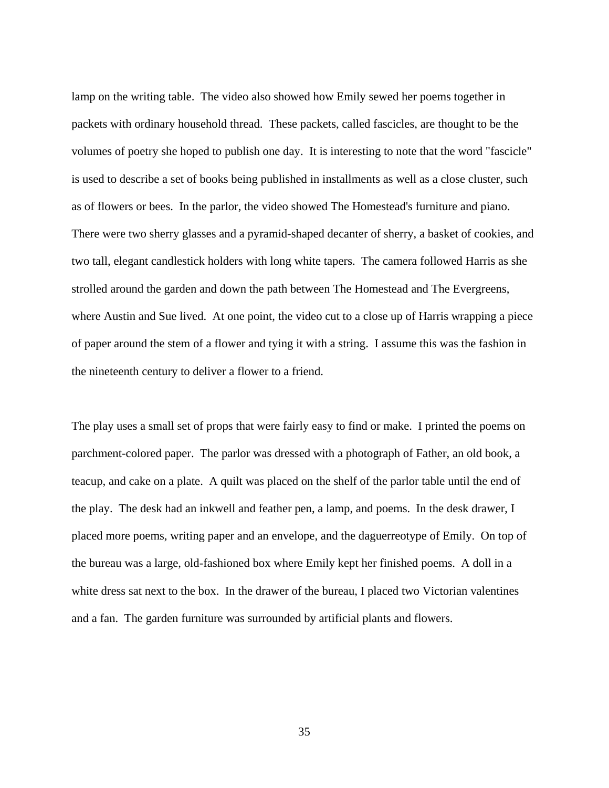lamp on the writing table. The video also showed how Emily sewed her poems together in packets with ordinary household thread. These packets, called fascicles, are thought to be the volumes of poetry she hoped to publish one day. It is interesting to note that the word "fascicle" is used to describe a set of books being published in installments as well as a close cluster, such as of flowers or bees. In the parlor, the video showed The Homestead's furniture and piano. There were two sherry glasses and a pyramid-shaped decanter of sherry, a basket of cookies, and two tall, elegant candlestick holders with long white tapers. The camera followed Harris as she strolled around the garden and down the path between The Homestead and The Evergreens, where Austin and Sue lived. At one point, the video cut to a close up of Harris wrapping a piece of paper around the stem of a flower and tying it with a string. I assume this was the fashion in the nineteenth century to deliver a flower to a friend.

The play uses a small set of props that were fairly easy to find or make. I printed the poems on parchment-colored paper. The parlor was dressed with a photograph of Father, an old book, a teacup, and cake on a plate. A quilt was placed on the shelf of the parlor table until the end of the play. The desk had an inkwell and feather pen, a lamp, and poems. In the desk drawer, I placed more poems, writing paper and an envelope, and the daguerreotype of Emily. On top of the bureau was a large, old-fashioned box where Emily kept her finished poems. A doll in a white dress sat next to the box. In the drawer of the bureau, I placed two Victorian valentines and a fan. The garden furniture was surrounded by artificial plants and flowers.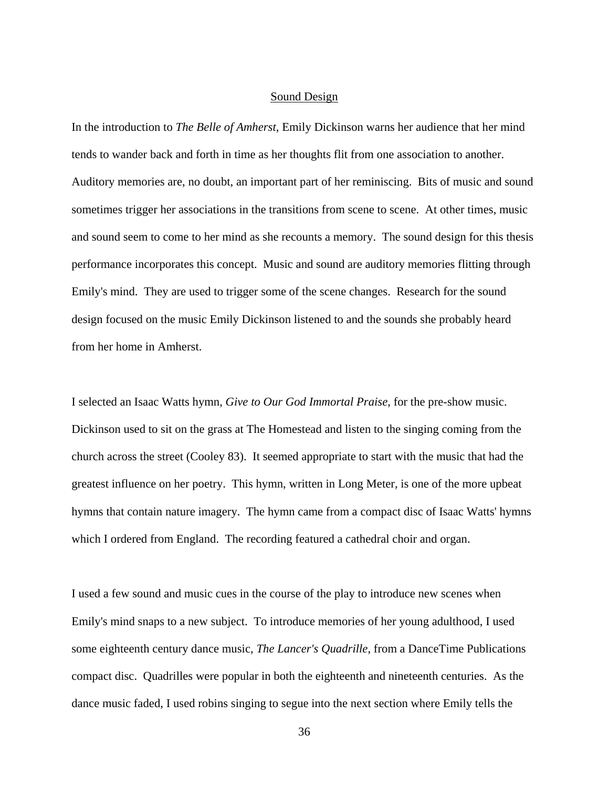#### Sound Design

In the introduction to *The Belle of Amherst*, Emily Dickinson warns her audience that her mind tends to wander back and forth in time as her thoughts flit from one association to another. Auditory memories are, no doubt, an important part of her reminiscing. Bits of music and sound sometimes trigger her associations in the transitions from scene to scene. At other times, music and sound seem to come to her mind as she recounts a memory. The sound design for this thesis performance incorporates this concept. Music and sound are auditory memories flitting through Emily's mind. They are used to trigger some of the scene changes. Research for the sound design focused on the music Emily Dickinson listened to and the sounds she probably heard from her home in Amherst.

I selected an Isaac Watts hymn, *Give to Our God Immortal Praise*, for the pre-show music. Dickinson used to sit on the grass at The Homestead and listen to the singing coming from the church across the street (Cooley 83). It seemed appropriate to start with the music that had the greatest influence on her poetry. This hymn, written in Long Meter, is one of the more upbeat hymns that contain nature imagery. The hymn came from a compact disc of Isaac Watts' hymns which I ordered from England. The recording featured a cathedral choir and organ.

I used a few sound and music cues in the course of the play to introduce new scenes when Emily's mind snaps to a new subject. To introduce memories of her young adulthood, I used some eighteenth century dance music, *The Lancer's Quadrille*, from a DanceTime Publications compact disc. Quadrilles were popular in both the eighteenth and nineteenth centuries. As the dance music faded, I used robins singing to segue into the next section where Emily tells the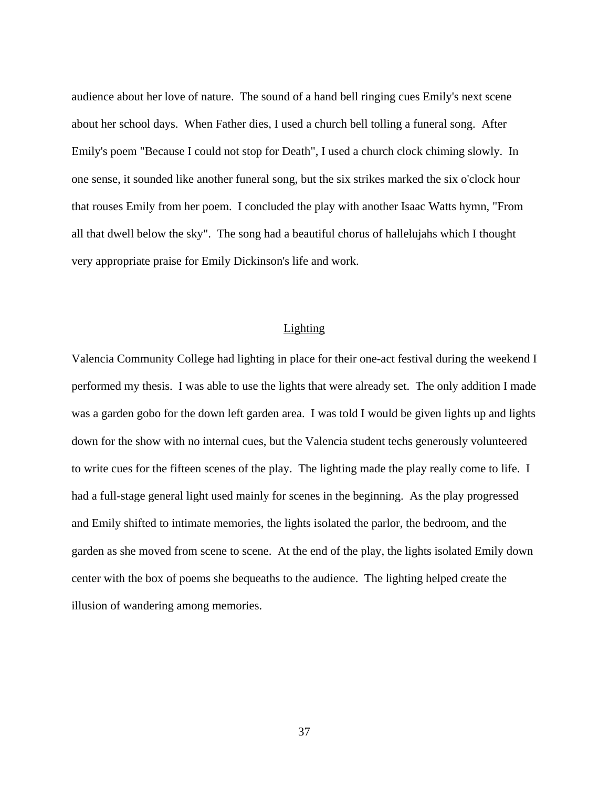audience about her love of nature. The sound of a hand bell ringing cues Emily's next scene about her school days. When Father dies, I used a church bell tolling a funeral song. After Emily's poem "Because I could not stop for Death", I used a church clock chiming slowly. In one sense, it sounded like another funeral song, but the six strikes marked the six o'clock hour that rouses Emily from her poem. I concluded the play with another Isaac Watts hymn, "From all that dwell below the sky". The song had a beautiful chorus of hallelujahs which I thought very appropriate praise for Emily Dickinson's life and work.

# Lighting

Valencia Community College had lighting in place for their one-act festival during the weekend I performed my thesis. I was able to use the lights that were already set. The only addition I made was a garden gobo for the down left garden area. I was told I would be given lights up and lights down for the show with no internal cues, but the Valencia student techs generously volunteered to write cues for the fifteen scenes of the play. The lighting made the play really come to life. I had a full-stage general light used mainly for scenes in the beginning. As the play progressed and Emily shifted to intimate memories, the lights isolated the parlor, the bedroom, and the garden as she moved from scene to scene. At the end of the play, the lights isolated Emily down center with the box of poems she bequeaths to the audience. The lighting helped create the illusion of wandering among memories.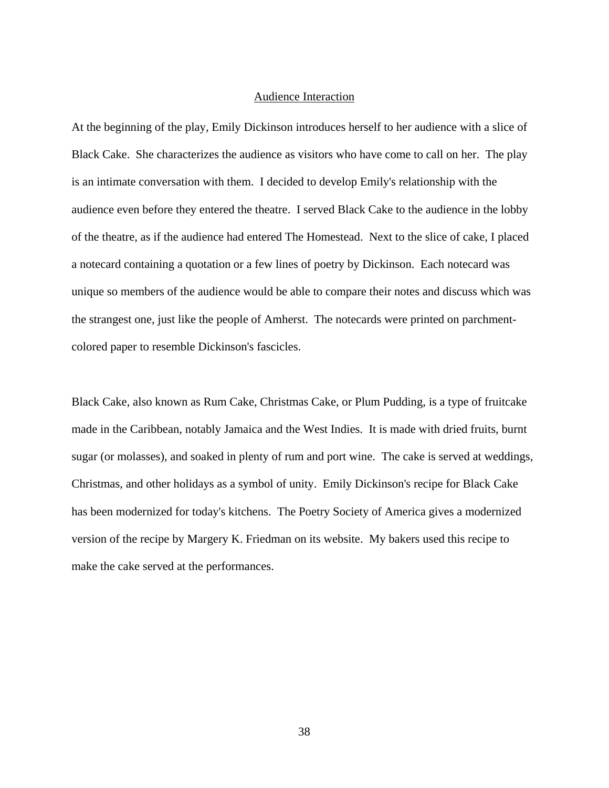## Audience Interaction

At the beginning of the play, Emily Dickinson introduces herself to her audience with a slice of Black Cake. She characterizes the audience as visitors who have come to call on her. The play is an intimate conversation with them. I decided to develop Emily's relationship with the audience even before they entered the theatre. I served Black Cake to the audience in the lobby of the theatre, as if the audience had entered The Homestead. Next to the slice of cake, I placed a notecard containing a quotation or a few lines of poetry by Dickinson. Each notecard was unique so members of the audience would be able to compare their notes and discuss which was the strangest one, just like the people of Amherst. The notecards were printed on parchmentcolored paper to resemble Dickinson's fascicles.

Black Cake, also known as Rum Cake, Christmas Cake, or Plum Pudding, is a type of fruitcake made in the Caribbean, notably Jamaica and the West Indies. It is made with dried fruits, burnt sugar (or molasses), and soaked in plenty of rum and port wine. The cake is served at weddings, Christmas, and other holidays as a symbol of unity. Emily Dickinson's recipe for Black Cake has been modernized for today's kitchens. The Poetry Society of America gives a modernized version of the recipe by Margery K. Friedman on its website. My bakers used this recipe to make the cake served at the performances.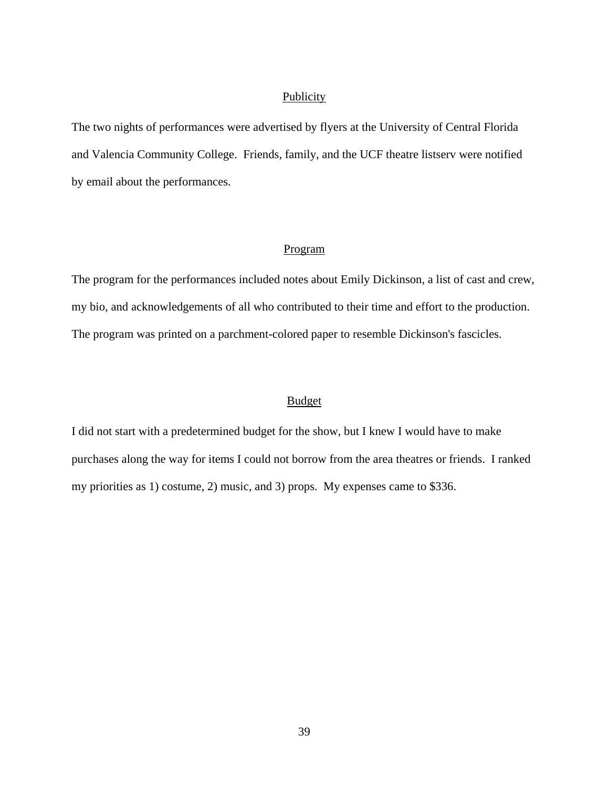#### **Publicity**

The two nights of performances were advertised by flyers at the University of Central Florida and Valencia Community College. Friends, family, and the UCF theatre listserv were notified by email about the performances.

#### Program

The program for the performances included notes about Emily Dickinson, a list of cast and crew, my bio, and acknowledgements of all who contributed to their time and effort to the production. The program was printed on a parchment-colored paper to resemble Dickinson's fascicles.

# Budget

I did not start with a predetermined budget for the show, but I knew I would have to make purchases along the way for items I could not borrow from the area theatres or friends. I ranked my priorities as 1) costume, 2) music, and 3) props. My expenses came to \$336.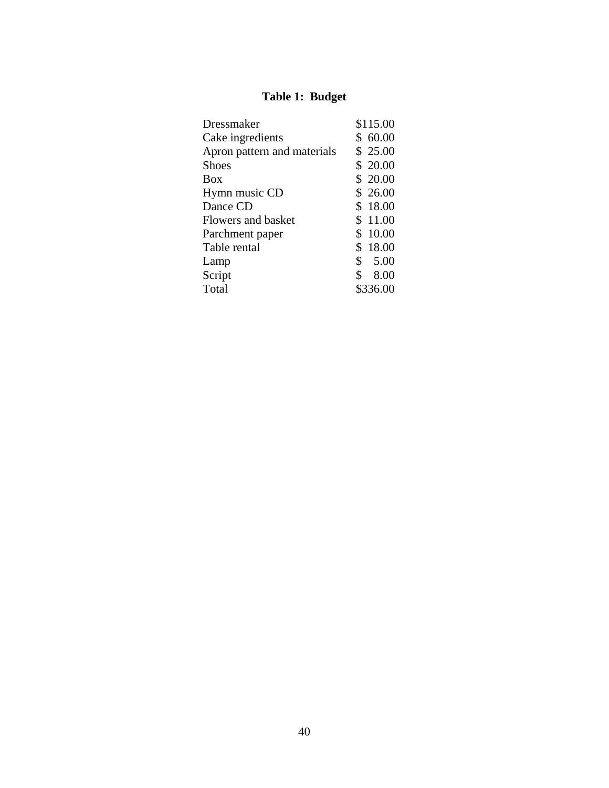# **Table 1: Budget**

| Dressmaker                  | \$115.00   |
|-----------------------------|------------|
| Cake ingredients            | \$60.00    |
| Apron pattern and materials | \$25.00    |
| <b>Shoes</b>                | \$20.00    |
| <b>Box</b>                  | \$20.00    |
| Hymn music CD               | \$26.00    |
| Dance CD                    | \$18.00    |
| Flowers and basket          | \$11.00    |
| Parchment paper             | \$10.00    |
| Table rental                | \$18.00    |
| Lamp                        | \$<br>5.00 |
| Script                      | \$<br>8.00 |
| Total                       | \$336.00   |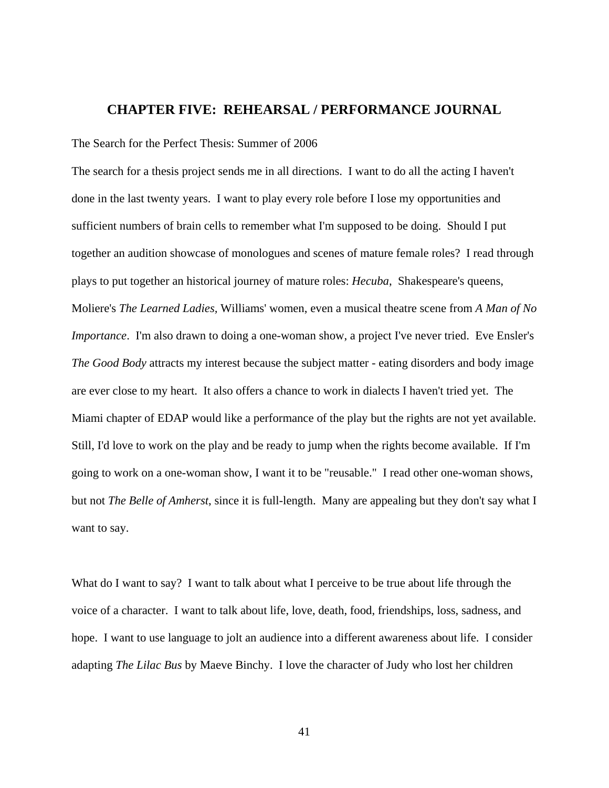# **CHAPTER FIVE: REHEARSAL / PERFORMANCE JOURNAL**

The Search for the Perfect Thesis: Summer of 2006

The search for a thesis project sends me in all directions. I want to do all the acting I haven't done in the last twenty years. I want to play every role before I lose my opportunities and sufficient numbers of brain cells to remember what I'm supposed to be doing. Should I put together an audition showcase of monologues and scenes of mature female roles? I read through plays to put together an historical journey of mature roles: *Hecuba*, Shakespeare's queens, Moliere's *The Learned Ladies,* Williams' women, even a musical theatre scene from *A Man of No Importance*. I'm also drawn to doing a one-woman show, a project I've never tried. Eve Ensler's *The Good Body* attracts my interest because the subject matter - eating disorders and body image are ever close to my heart. It also offers a chance to work in dialects I haven't tried yet. The Miami chapter of EDAP would like a performance of the play but the rights are not yet available. Still, I'd love to work on the play and be ready to jump when the rights become available. If I'm going to work on a one-woman show, I want it to be "reusable." I read other one-woman shows, but not *The Belle of Amherst*, since it is full-length. Many are appealing but they don't say what I want to say.

What do I want to say? I want to talk about what I perceive to be true about life through the voice of a character. I want to talk about life, love, death, food, friendships, loss, sadness, and hope. I want to use language to jolt an audience into a different awareness about life. I consider adapting *The Lilac Bus* by Maeve Binchy. I love the character of Judy who lost her children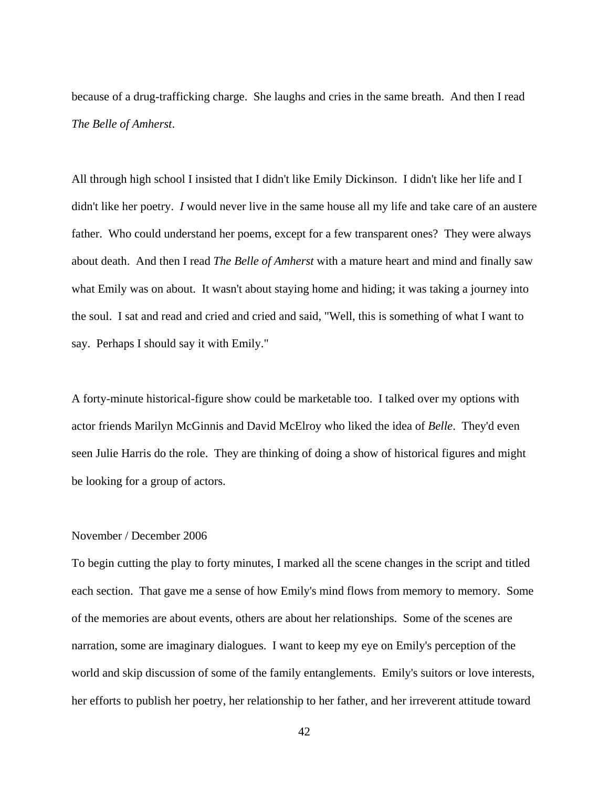because of a drug-trafficking charge. She laughs and cries in the same breath. And then I read *The Belle of Amherst*.

All through high school I insisted that I didn't like Emily Dickinson. I didn't like her life and I didn't like her poetry. *I* would never live in the same house all my life and take care of an austere father. Who could understand her poems, except for a few transparent ones? They were always about death. And then I read *The Belle of Amherst* with a mature heart and mind and finally saw what Emily was on about. It wasn't about staying home and hiding; it was taking a journey into the soul. I sat and read and cried and cried and said, "Well, this is something of what I want to say. Perhaps I should say it with Emily."

A forty-minute historical-figure show could be marketable too. I talked over my options with actor friends Marilyn McGinnis and David McElroy who liked the idea of *Belle*. They'd even seen Julie Harris do the role. They are thinking of doing a show of historical figures and might be looking for a group of actors.

## November / December 2006

To begin cutting the play to forty minutes, I marked all the scene changes in the script and titled each section. That gave me a sense of how Emily's mind flows from memory to memory. Some of the memories are about events, others are about her relationships. Some of the scenes are narration, some are imaginary dialogues. I want to keep my eye on Emily's perception of the world and skip discussion of some of the family entanglements. Emily's suitors or love interests, her efforts to publish her poetry, her relationship to her father, and her irreverent attitude toward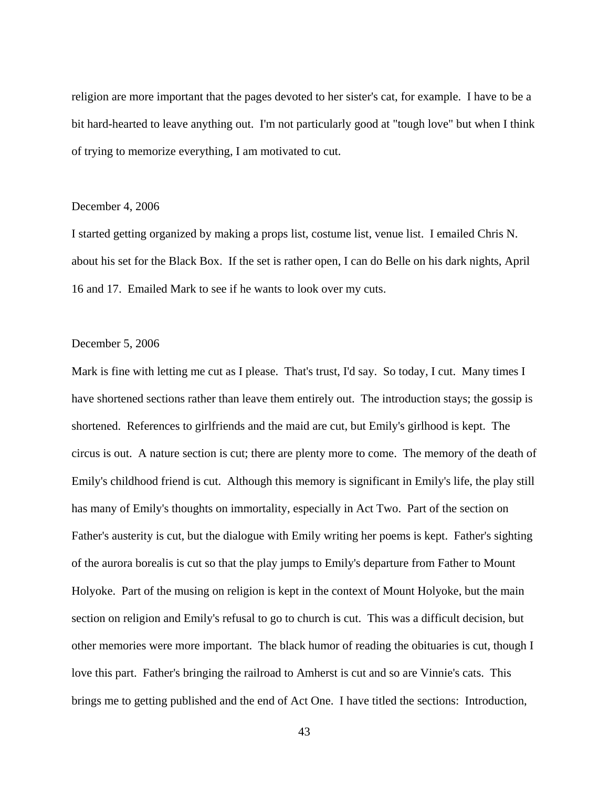religion are more important that the pages devoted to her sister's cat, for example. I have to be a bit hard-hearted to leave anything out. I'm not particularly good at "tough love" but when I think of trying to memorize everything, I am motivated to cut.

#### December 4, 2006

I started getting organized by making a props list, costume list, venue list. I emailed Chris N. about his set for the Black Box. If the set is rather open, I can do Belle on his dark nights, April 16 and 17. Emailed Mark to see if he wants to look over my cuts.

## December 5, 2006

Mark is fine with letting me cut as I please. That's trust, I'd say. So today, I cut. Many times I have shortened sections rather than leave them entirely out. The introduction stays; the gossip is shortened. References to girlfriends and the maid are cut, but Emily's girlhood is kept. The circus is out. A nature section is cut; there are plenty more to come. The memory of the death of Emily's childhood friend is cut. Although this memory is significant in Emily's life, the play still has many of Emily's thoughts on immortality, especially in Act Two. Part of the section on Father's austerity is cut, but the dialogue with Emily writing her poems is kept. Father's sighting of the aurora borealis is cut so that the play jumps to Emily's departure from Father to Mount Holyoke. Part of the musing on religion is kept in the context of Mount Holyoke, but the main section on religion and Emily's refusal to go to church is cut. This was a difficult decision, but other memories were more important. The black humor of reading the obituaries is cut, though I love this part. Father's bringing the railroad to Amherst is cut and so are Vinnie's cats. This brings me to getting published and the end of Act One. I have titled the sections: Introduction,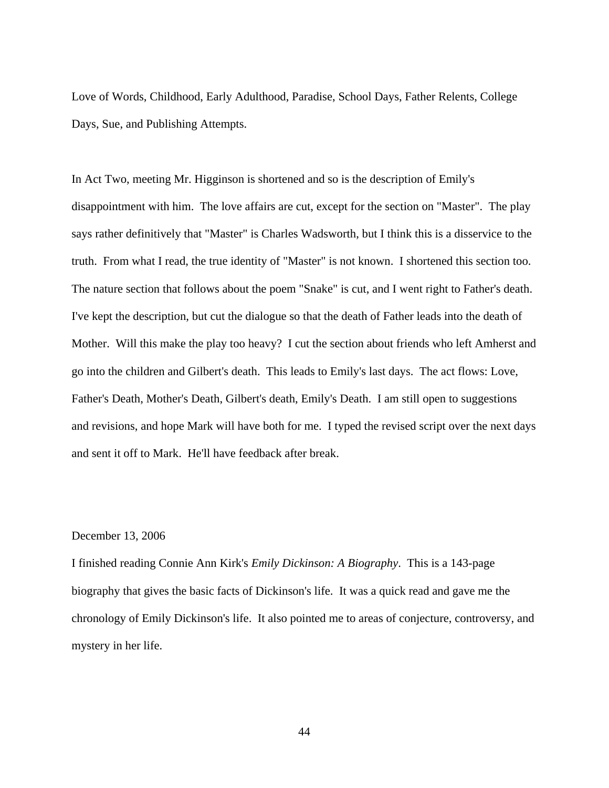Love of Words, Childhood, Early Adulthood, Paradise, School Days, Father Relents, College Days, Sue, and Publishing Attempts.

In Act Two, meeting Mr. Higginson is shortened and so is the description of Emily's disappointment with him. The love affairs are cut, except for the section on "Master". The play says rather definitively that "Master" is Charles Wadsworth, but I think this is a disservice to the truth. From what I read, the true identity of "Master" is not known. I shortened this section too. The nature section that follows about the poem "Snake" is cut, and I went right to Father's death. I've kept the description, but cut the dialogue so that the death of Father leads into the death of Mother. Will this make the play too heavy? I cut the section about friends who left Amherst and go into the children and Gilbert's death. This leads to Emily's last days. The act flows: Love, Father's Death, Mother's Death, Gilbert's death, Emily's Death. I am still open to suggestions and revisions, and hope Mark will have both for me. I typed the revised script over the next days and sent it off to Mark. He'll have feedback after break.

# December 13, 2006

I finished reading Connie Ann Kirk's *Emily Dickinson: A Biography*. This is a 143-page biography that gives the basic facts of Dickinson's life. It was a quick read and gave me the chronology of Emily Dickinson's life. It also pointed me to areas of conjecture, controversy, and mystery in her life.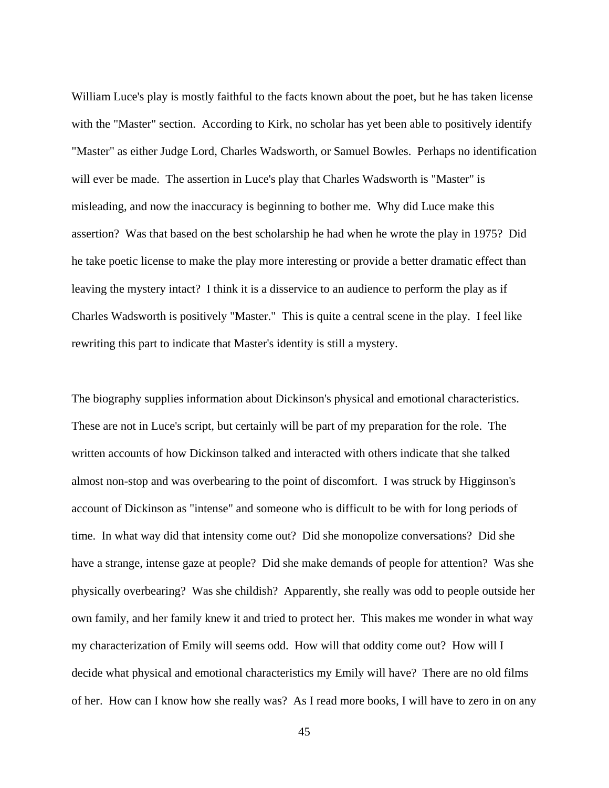William Luce's play is mostly faithful to the facts known about the poet, but he has taken license with the "Master" section. According to Kirk, no scholar has yet been able to positively identify "Master" as either Judge Lord, Charles Wadsworth, or Samuel Bowles. Perhaps no identification will ever be made. The assertion in Luce's play that Charles Wadsworth is "Master" is misleading, and now the inaccuracy is beginning to bother me. Why did Luce make this assertion? Was that based on the best scholarship he had when he wrote the play in 1975? Did he take poetic license to make the play more interesting or provide a better dramatic effect than leaving the mystery intact? I think it is a disservice to an audience to perform the play as if Charles Wadsworth is positively "Master." This is quite a central scene in the play. I feel like rewriting this part to indicate that Master's identity is still a mystery.

The biography supplies information about Dickinson's physical and emotional characteristics. These are not in Luce's script, but certainly will be part of my preparation for the role. The written accounts of how Dickinson talked and interacted with others indicate that she talked almost non-stop and was overbearing to the point of discomfort. I was struck by Higginson's account of Dickinson as "intense" and someone who is difficult to be with for long periods of time. In what way did that intensity come out? Did she monopolize conversations? Did she have a strange, intense gaze at people? Did she make demands of people for attention? Was she physically overbearing? Was she childish? Apparently, she really was odd to people outside her own family, and her family knew it and tried to protect her. This makes me wonder in what way my characterization of Emily will seems odd. How will that oddity come out? How will I decide what physical and emotional characteristics my Emily will have? There are no old films of her. How can I know how she really was? As I read more books, I will have to zero in on any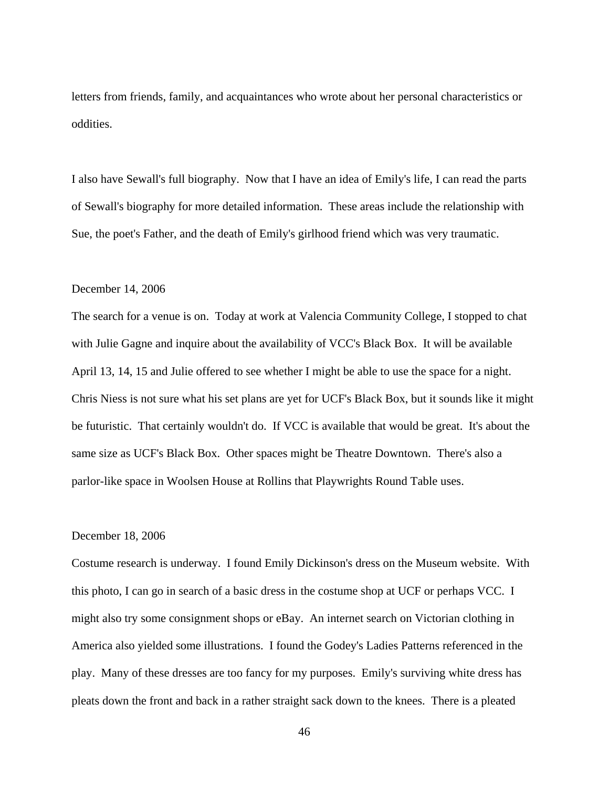letters from friends, family, and acquaintances who wrote about her personal characteristics or oddities.

I also have Sewall's full biography. Now that I have an idea of Emily's life, I can read the parts of Sewall's biography for more detailed information. These areas include the relationship with Sue, the poet's Father, and the death of Emily's girlhood friend which was very traumatic.

#### December 14, 2006

The search for a venue is on. Today at work at Valencia Community College, I stopped to chat with Julie Gagne and inquire about the availability of VCC's Black Box. It will be available April 13, 14, 15 and Julie offered to see whether I might be able to use the space for a night. Chris Niess is not sure what his set plans are yet for UCF's Black Box, but it sounds like it might be futuristic. That certainly wouldn't do. If VCC is available that would be great. It's about the same size as UCF's Black Box. Other spaces might be Theatre Downtown. There's also a parlor-like space in Woolsen House at Rollins that Playwrights Round Table uses.

# December 18, 2006

Costume research is underway. I found Emily Dickinson's dress on the Museum website. With this photo, I can go in search of a basic dress in the costume shop at UCF or perhaps VCC. I might also try some consignment shops or eBay. An internet search on Victorian clothing in America also yielded some illustrations. I found the Godey's Ladies Patterns referenced in the play. Many of these dresses are too fancy for my purposes. Emily's surviving white dress has pleats down the front and back in a rather straight sack down to the knees. There is a pleated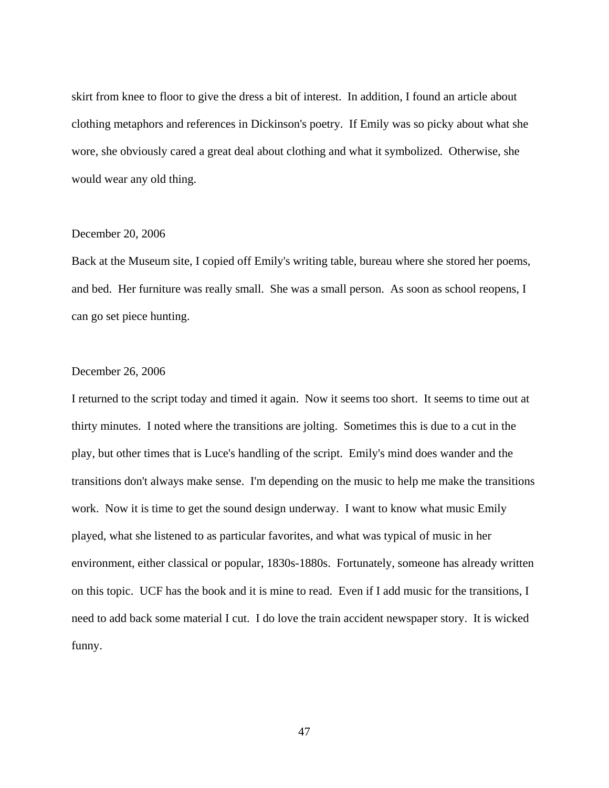skirt from knee to floor to give the dress a bit of interest. In addition, I found an article about clothing metaphors and references in Dickinson's poetry. If Emily was so picky about what she wore, she obviously cared a great deal about clothing and what it symbolized. Otherwise, she would wear any old thing.

#### December 20, 2006

Back at the Museum site, I copied off Emily's writing table, bureau where she stored her poems, and bed. Her furniture was really small. She was a small person. As soon as school reopens, I can go set piece hunting.

## December 26, 2006

I returned to the script today and timed it again. Now it seems too short. It seems to time out at thirty minutes. I noted where the transitions are jolting. Sometimes this is due to a cut in the play, but other times that is Luce's handling of the script. Emily's mind does wander and the transitions don't always make sense. I'm depending on the music to help me make the transitions work. Now it is time to get the sound design underway. I want to know what music Emily played, what she listened to as particular favorites, and what was typical of music in her environment, either classical or popular, 1830s-1880s. Fortunately, someone has already written on this topic. UCF has the book and it is mine to read. Even if I add music for the transitions, I need to add back some material I cut. I do love the train accident newspaper story. It is wicked funny.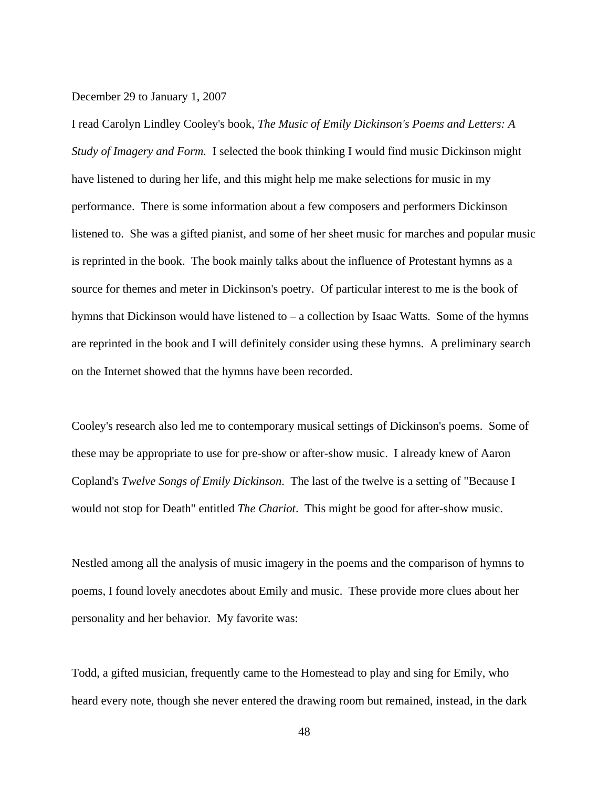#### December 29 to January 1, 2007

I read Carolyn Lindley Cooley's book, *The Music of Emily Dickinson's Poems and Letters: A Study of Imagery and Form.* I selected the book thinking I would find music Dickinson might have listened to during her life, and this might help me make selections for music in my performance. There is some information about a few composers and performers Dickinson listened to. She was a gifted pianist, and some of her sheet music for marches and popular music is reprinted in the book. The book mainly talks about the influence of Protestant hymns as a source for themes and meter in Dickinson's poetry. Of particular interest to me is the book of hymns that Dickinson would have listened to – a collection by Isaac Watts. Some of the hymns are reprinted in the book and I will definitely consider using these hymns. A preliminary search on the Internet showed that the hymns have been recorded.

Cooley's research also led me to contemporary musical settings of Dickinson's poems. Some of these may be appropriate to use for pre-show or after-show music. I already knew of Aaron Copland's *Twelve Songs of Emily Dickinson*. The last of the twelve is a setting of "Because I would not stop for Death" entitled *The Chariot*. This might be good for after-show music.

Nestled among all the analysis of music imagery in the poems and the comparison of hymns to poems, I found lovely anecdotes about Emily and music. These provide more clues about her personality and her behavior. My favorite was:

Todd, a gifted musician, frequently came to the Homestead to play and sing for Emily, who heard every note, though she never entered the drawing room but remained, instead, in the dark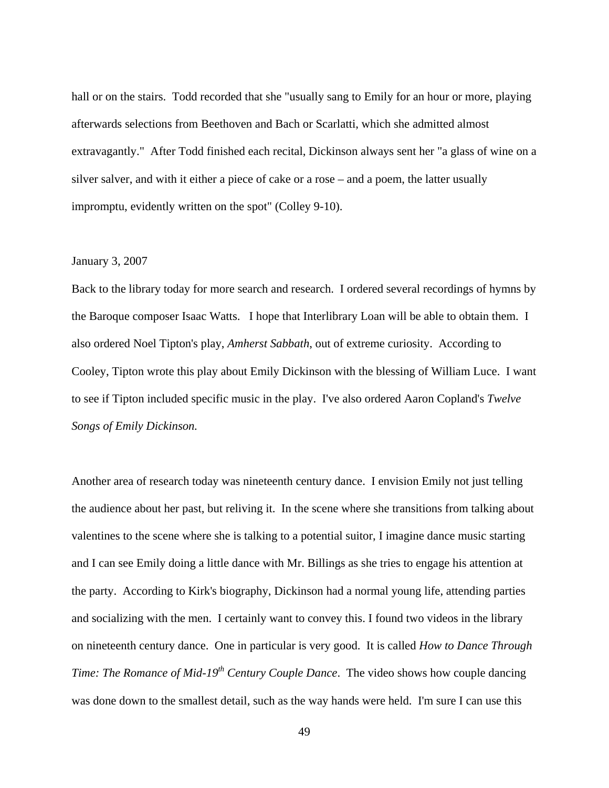hall or on the stairs. Todd recorded that she "usually sang to Emily for an hour or more, playing afterwards selections from Beethoven and Bach or Scarlatti, which she admitted almost extravagantly." After Todd finished each recital, Dickinson always sent her "a glass of wine on a silver salver, and with it either a piece of cake or a rose – and a poem, the latter usually impromptu, evidently written on the spot" (Colley 9-10).

# January 3, 2007

Back to the library today for more search and research. I ordered several recordings of hymns by the Baroque composer Isaac Watts. I hope that Interlibrary Loan will be able to obtain them. I also ordered Noel Tipton's play, *Amherst Sabbath*, out of extreme curiosity. According to Cooley, Tipton wrote this play about Emily Dickinson with the blessing of William Luce. I want to see if Tipton included specific music in the play. I've also ordered Aaron Copland's *Twelve Songs of Emily Dickinson.* 

Another area of research today was nineteenth century dance. I envision Emily not just telling the audience about her past, but reliving it. In the scene where she transitions from talking about valentines to the scene where she is talking to a potential suitor, I imagine dance music starting and I can see Emily doing a little dance with Mr. Billings as she tries to engage his attention at the party. According to Kirk's biography, Dickinson had a normal young life, attending parties and socializing with the men. I certainly want to convey this. I found two videos in the library on nineteenth century dance. One in particular is very good. It is called *How to Dance Through Time: The Romance of Mid-19<sup>th</sup> Century Couple Dance. The video shows how couple dancing* was done down to the smallest detail, such as the way hands were held. I'm sure I can use this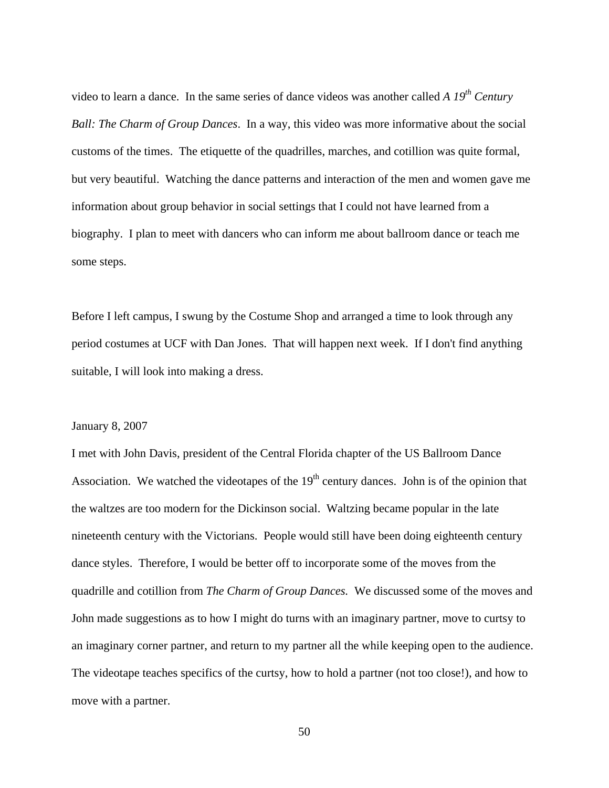video to learn a dance. In the same series of dance videos was another called *A 19<sup>th</sup> Century Ball: The Charm of Group Dances*. In a way, this video was more informative about the social customs of the times. The etiquette of the quadrilles, marches, and cotillion was quite formal, but very beautiful. Watching the dance patterns and interaction of the men and women gave me information about group behavior in social settings that I could not have learned from a biography. I plan to meet with dancers who can inform me about ballroom dance or teach me some steps.

Before I left campus, I swung by the Costume Shop and arranged a time to look through any period costumes at UCF with Dan Jones. That will happen next week. If I don't find anything suitable, I will look into making a dress.

## January 8, 2007

I met with John Davis, president of the Central Florida chapter of the US Ballroom Dance Association. We watched the videotapes of the  $19<sup>th</sup>$  century dances. John is of the opinion that the waltzes are too modern for the Dickinson social. Waltzing became popular in the late nineteenth century with the Victorians. People would still have been doing eighteenth century dance styles. Therefore, I would be better off to incorporate some of the moves from the quadrille and cotillion from *The Charm of Group Dances.* We discussed some of the moves and John made suggestions as to how I might do turns with an imaginary partner, move to curtsy to an imaginary corner partner, and return to my partner all the while keeping open to the audience. The videotape teaches specifics of the curtsy, how to hold a partner (not too close!), and how to move with a partner.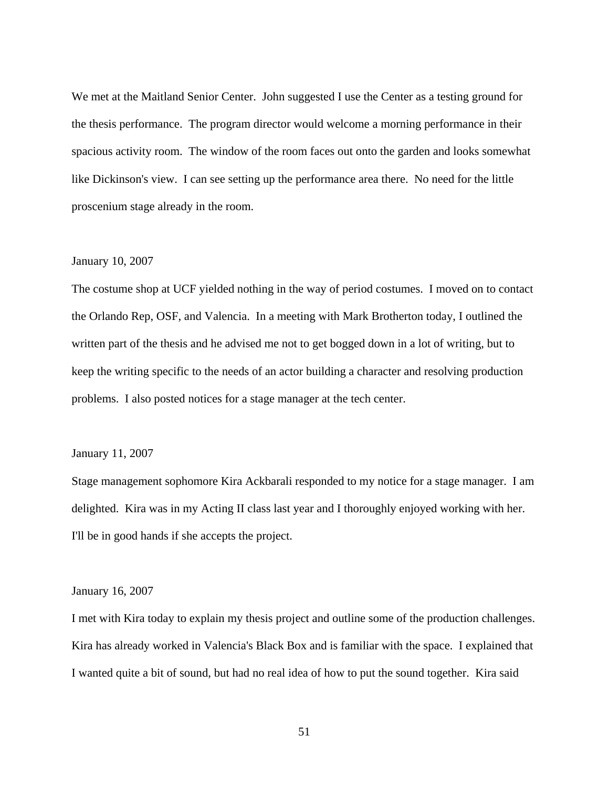We met at the Maitland Senior Center. John suggested I use the Center as a testing ground for the thesis performance. The program director would welcome a morning performance in their spacious activity room. The window of the room faces out onto the garden and looks somewhat like Dickinson's view. I can see setting up the performance area there. No need for the little proscenium stage already in the room.

## January 10, 2007

The costume shop at UCF yielded nothing in the way of period costumes. I moved on to contact the Orlando Rep, OSF, and Valencia. In a meeting with Mark Brotherton today, I outlined the written part of the thesis and he advised me not to get bogged down in a lot of writing, but to keep the writing specific to the needs of an actor building a character and resolving production problems. I also posted notices for a stage manager at the tech center.

## January 11, 2007

Stage management sophomore Kira Ackbarali responded to my notice for a stage manager. I am delighted. Kira was in my Acting II class last year and I thoroughly enjoyed working with her. I'll be in good hands if she accepts the project.

#### January 16, 2007

I met with Kira today to explain my thesis project and outline some of the production challenges. Kira has already worked in Valencia's Black Box and is familiar with the space. I explained that I wanted quite a bit of sound, but had no real idea of how to put the sound together. Kira said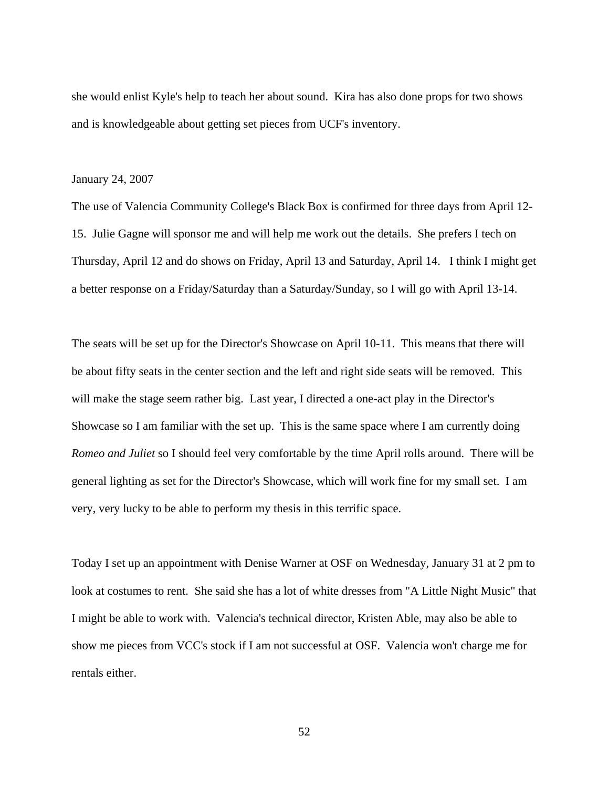she would enlist Kyle's help to teach her about sound. Kira has also done props for two shows and is knowledgeable about getting set pieces from UCF's inventory.

#### January 24, 2007

The use of Valencia Community College's Black Box is confirmed for three days from April 12- 15. Julie Gagne will sponsor me and will help me work out the details. She prefers I tech on Thursday, April 12 and do shows on Friday, April 13 and Saturday, April 14. I think I might get a better response on a Friday/Saturday than a Saturday/Sunday, so I will go with April 13-14.

The seats will be set up for the Director's Showcase on April 10-11. This means that there will be about fifty seats in the center section and the left and right side seats will be removed. This will make the stage seem rather big. Last year, I directed a one-act play in the Director's Showcase so I am familiar with the set up. This is the same space where I am currently doing *Romeo and Juliet* so I should feel very comfortable by the time April rolls around. There will be general lighting as set for the Director's Showcase, which will work fine for my small set. I am very, very lucky to be able to perform my thesis in this terrific space.

Today I set up an appointment with Denise Warner at OSF on Wednesday, January 31 at 2 pm to look at costumes to rent. She said she has a lot of white dresses from "A Little Night Music" that I might be able to work with. Valencia's technical director, Kristen Able, may also be able to show me pieces from VCC's stock if I am not successful at OSF. Valencia won't charge me for rentals either.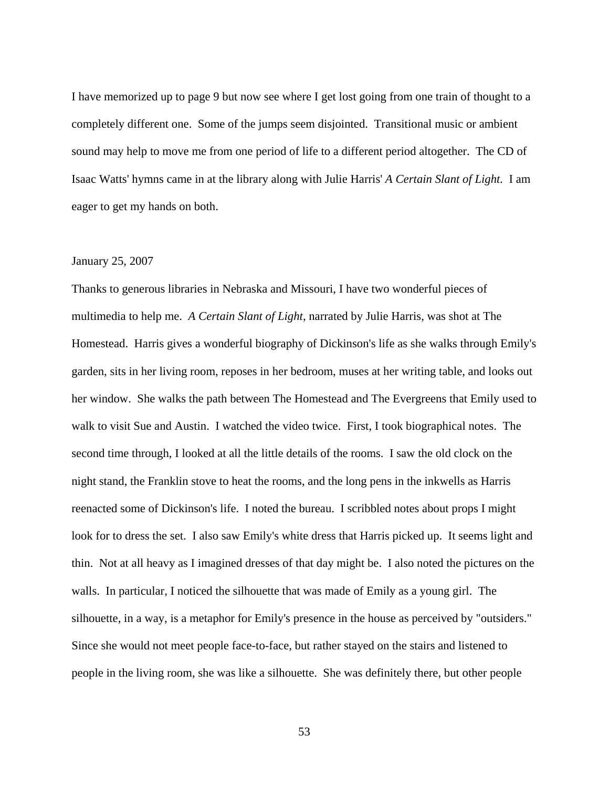I have memorized up to page 9 but now see where I get lost going from one train of thought to a completely different one. Some of the jumps seem disjointed. Transitional music or ambient sound may help to move me from one period of life to a different period altogether. The CD of Isaac Watts' hymns came in at the library along with Julie Harris' *A Certain Slant of Light.* I am eager to get my hands on both.

## January 25, 2007

Thanks to generous libraries in Nebraska and Missouri, I have two wonderful pieces of multimedia to help me. *A Certain Slant of Light*, narrated by Julie Harris, was shot at The Homestead. Harris gives a wonderful biography of Dickinson's life as she walks through Emily's garden, sits in her living room, reposes in her bedroom, muses at her writing table, and looks out her window. She walks the path between The Homestead and The Evergreens that Emily used to walk to visit Sue and Austin. I watched the video twice. First, I took biographical notes. The second time through, I looked at all the little details of the rooms. I saw the old clock on the night stand, the Franklin stove to heat the rooms, and the long pens in the inkwells as Harris reenacted some of Dickinson's life. I noted the bureau. I scribbled notes about props I might look for to dress the set. I also saw Emily's white dress that Harris picked up. It seems light and thin. Not at all heavy as I imagined dresses of that day might be. I also noted the pictures on the walls. In particular, I noticed the silhouette that was made of Emily as a young girl. The silhouette, in a way, is a metaphor for Emily's presence in the house as perceived by "outsiders." Since she would not meet people face-to-face, but rather stayed on the stairs and listened to people in the living room, she was like a silhouette. She was definitely there, but other people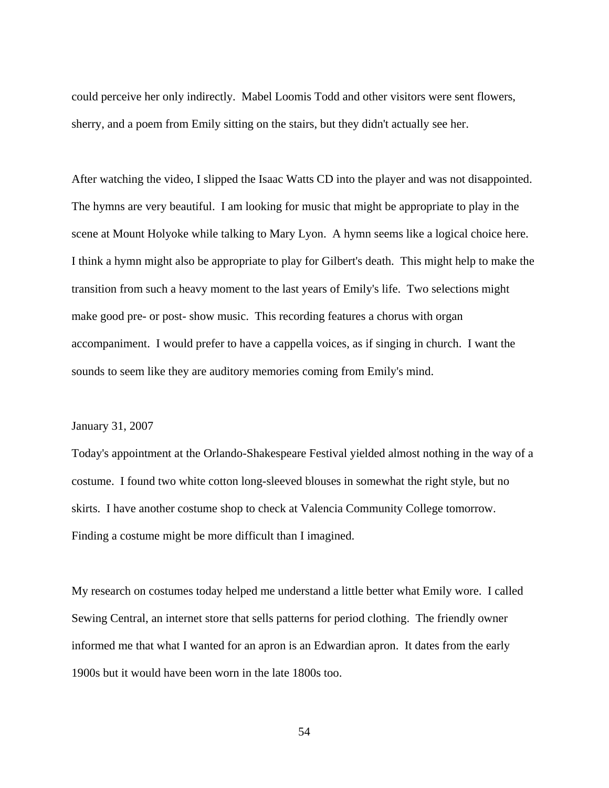could perceive her only indirectly. Mabel Loomis Todd and other visitors were sent flowers, sherry, and a poem from Emily sitting on the stairs, but they didn't actually see her.

After watching the video, I slipped the Isaac Watts CD into the player and was not disappointed. The hymns are very beautiful. I am looking for music that might be appropriate to play in the scene at Mount Holyoke while talking to Mary Lyon. A hymn seems like a logical choice here. I think a hymn might also be appropriate to play for Gilbert's death. This might help to make the transition from such a heavy moment to the last years of Emily's life. Two selections might make good pre- or post- show music. This recording features a chorus with organ accompaniment. I would prefer to have a cappella voices, as if singing in church. I want the sounds to seem like they are auditory memories coming from Emily's mind.

# January 31, 2007

Today's appointment at the Orlando-Shakespeare Festival yielded almost nothing in the way of a costume. I found two white cotton long-sleeved blouses in somewhat the right style, but no skirts. I have another costume shop to check at Valencia Community College tomorrow. Finding a costume might be more difficult than I imagined.

My research on costumes today helped me understand a little better what Emily wore. I called Sewing Central, an internet store that sells patterns for period clothing. The friendly owner informed me that what I wanted for an apron is an Edwardian apron. It dates from the early 1900s but it would have been worn in the late 1800s too.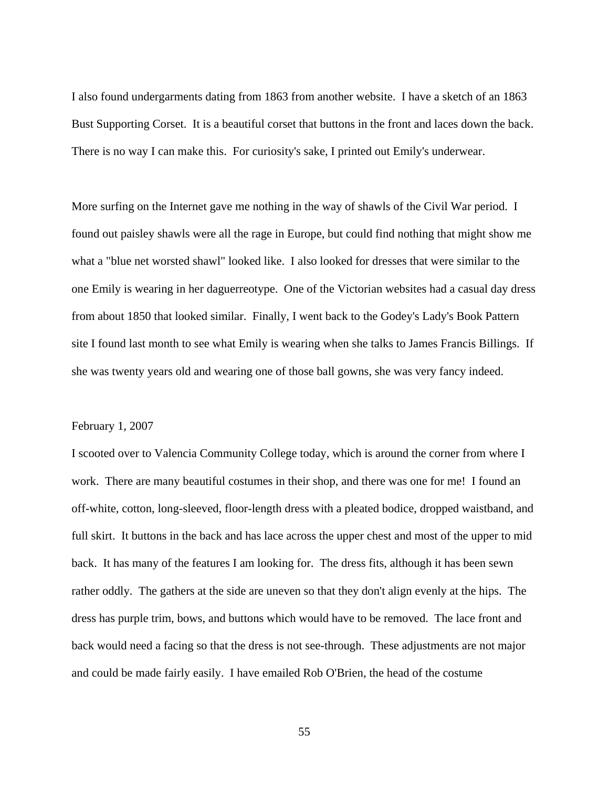I also found undergarments dating from 1863 from another website. I have a sketch of an 1863 Bust Supporting Corset. It is a beautiful corset that buttons in the front and laces down the back. There is no way I can make this. For curiosity's sake, I printed out Emily's underwear.

More surfing on the Internet gave me nothing in the way of shawls of the Civil War period. I found out paisley shawls were all the rage in Europe, but could find nothing that might show me what a "blue net worsted shawl" looked like. I also looked for dresses that were similar to the one Emily is wearing in her daguerreotype. One of the Victorian websites had a casual day dress from about 1850 that looked similar. Finally, I went back to the Godey's Lady's Book Pattern site I found last month to see what Emily is wearing when she talks to James Francis Billings. If she was twenty years old and wearing one of those ball gowns, she was very fancy indeed.

## February 1, 2007

I scooted over to Valencia Community College today, which is around the corner from where I work. There are many beautiful costumes in their shop, and there was one for me! I found an off-white, cotton, long-sleeved, floor-length dress with a pleated bodice, dropped waistband, and full skirt. It buttons in the back and has lace across the upper chest and most of the upper to mid back. It has many of the features I am looking for. The dress fits, although it has been sewn rather oddly. The gathers at the side are uneven so that they don't align evenly at the hips. The dress has purple trim, bows, and buttons which would have to be removed. The lace front and back would need a facing so that the dress is not see-through. These adjustments are not major and could be made fairly easily. I have emailed Rob O'Brien, the head of the costume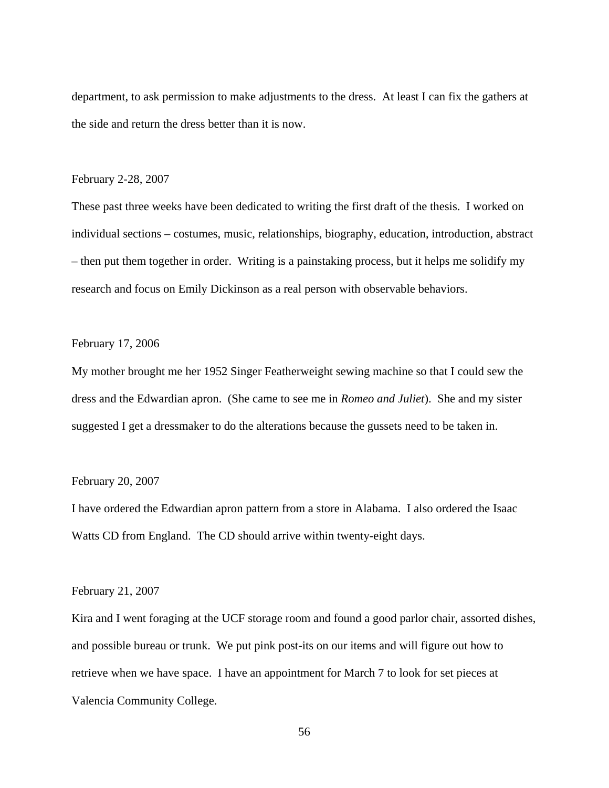department, to ask permission to make adjustments to the dress. At least I can fix the gathers at the side and return the dress better than it is now.

#### February 2-28, 2007

These past three weeks have been dedicated to writing the first draft of the thesis. I worked on individual sections – costumes, music, relationships, biography, education, introduction, abstract – then put them together in order. Writing is a painstaking process, but it helps me solidify my research and focus on Emily Dickinson as a real person with observable behaviors.

# February 17, 2006

My mother brought me her 1952 Singer Featherweight sewing machine so that I could sew the dress and the Edwardian apron. (She came to see me in *Romeo and Juliet*). She and my sister suggested I get a dressmaker to do the alterations because the gussets need to be taken in.

#### February 20, 2007

I have ordered the Edwardian apron pattern from a store in Alabama. I also ordered the Isaac Watts CD from England. The CD should arrive within twenty-eight days.

#### February 21, 2007

Kira and I went foraging at the UCF storage room and found a good parlor chair, assorted dishes, and possible bureau or trunk. We put pink post-its on our items and will figure out how to retrieve when we have space. I have an appointment for March 7 to look for set pieces at Valencia Community College.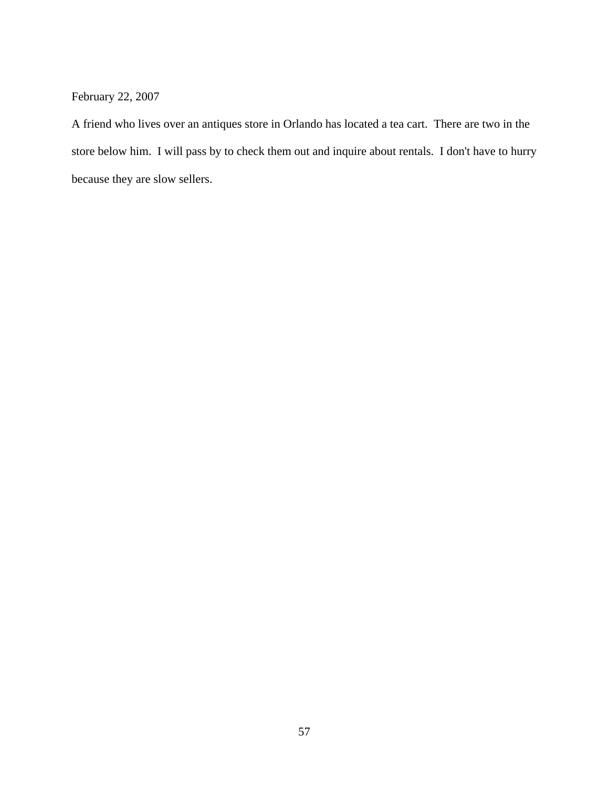February 22, 2007

A friend who lives over an antiques store in Orlando has located a tea cart. There are two in the store below him. I will pass by to check them out and inquire about rentals. I don't have to hurry because they are slow sellers.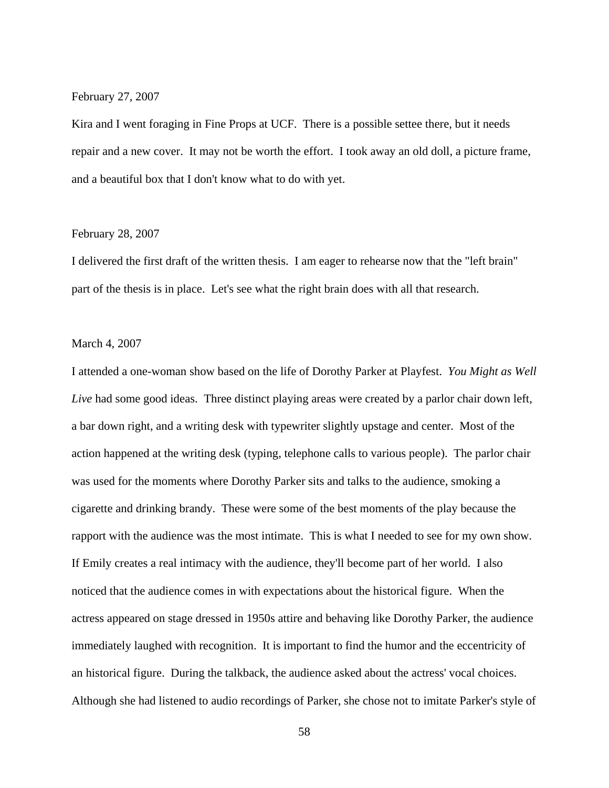#### February 27, 2007

Kira and I went foraging in Fine Props at UCF. There is a possible settee there, but it needs repair and a new cover. It may not be worth the effort. I took away an old doll, a picture frame, and a beautiful box that I don't know what to do with yet.

#### February 28, 2007

I delivered the first draft of the written thesis. I am eager to rehearse now that the "left brain" part of the thesis is in place. Let's see what the right brain does with all that research.

## March 4, 2007

I attended a one-woman show based on the life of Dorothy Parker at Playfest. *You Might as Well Live* had some good ideas. Three distinct playing areas were created by a parlor chair down left, a bar down right, and a writing desk with typewriter slightly upstage and center. Most of the action happened at the writing desk (typing, telephone calls to various people). The parlor chair was used for the moments where Dorothy Parker sits and talks to the audience, smoking a cigarette and drinking brandy. These were some of the best moments of the play because the rapport with the audience was the most intimate. This is what I needed to see for my own show. If Emily creates a real intimacy with the audience, they'll become part of her world. I also noticed that the audience comes in with expectations about the historical figure. When the actress appeared on stage dressed in 1950s attire and behaving like Dorothy Parker, the audience immediately laughed with recognition. It is important to find the humor and the eccentricity of an historical figure. During the talkback, the audience asked about the actress' vocal choices. Although she had listened to audio recordings of Parker, she chose not to imitate Parker's style of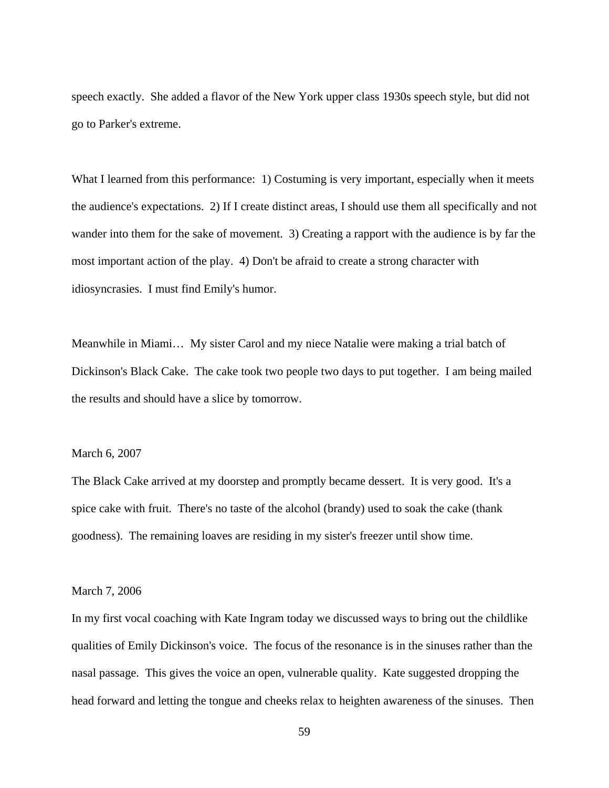speech exactly. She added a flavor of the New York upper class 1930s speech style, but did not go to Parker's extreme.

What I learned from this performance: 1) Costuming is very important, especially when it meets the audience's expectations. 2) If I create distinct areas, I should use them all specifically and not wander into them for the sake of movement. 3) Creating a rapport with the audience is by far the most important action of the play. 4) Don't be afraid to create a strong character with idiosyncrasies. I must find Emily's humor.

Meanwhile in Miami… My sister Carol and my niece Natalie were making a trial batch of Dickinson's Black Cake. The cake took two people two days to put together. I am being mailed the results and should have a slice by tomorrow.

# March 6, 2007

The Black Cake arrived at my doorstep and promptly became dessert. It is very good. It's a spice cake with fruit. There's no taste of the alcohol (brandy) used to soak the cake (thank goodness). The remaining loaves are residing in my sister's freezer until show time.

#### March 7, 2006

In my first vocal coaching with Kate Ingram today we discussed ways to bring out the childlike qualities of Emily Dickinson's voice. The focus of the resonance is in the sinuses rather than the nasal passage. This gives the voice an open, vulnerable quality. Kate suggested dropping the head forward and letting the tongue and cheeks relax to heighten awareness of the sinuses. Then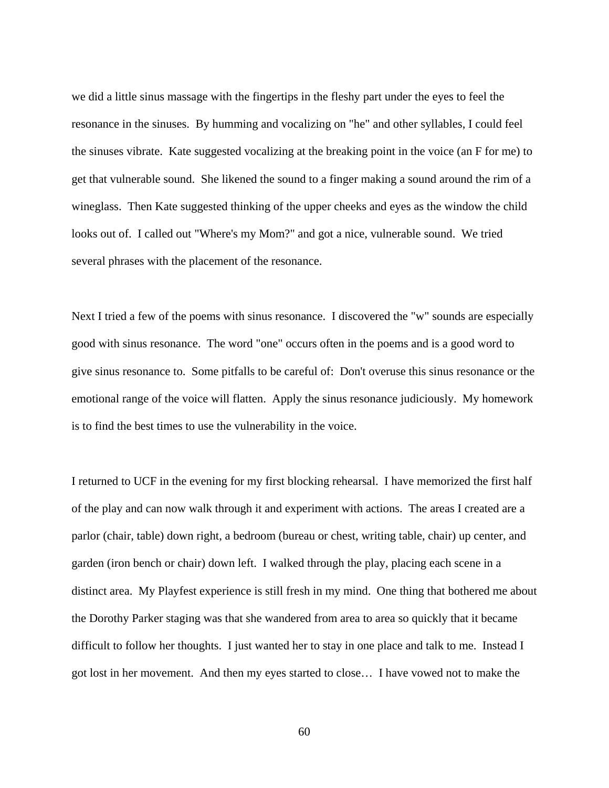we did a little sinus massage with the fingertips in the fleshy part under the eyes to feel the resonance in the sinuses. By humming and vocalizing on "he" and other syllables, I could feel the sinuses vibrate. Kate suggested vocalizing at the breaking point in the voice (an F for me) to get that vulnerable sound. She likened the sound to a finger making a sound around the rim of a wineglass. Then Kate suggested thinking of the upper cheeks and eyes as the window the child looks out of. I called out "Where's my Mom?" and got a nice, vulnerable sound. We tried several phrases with the placement of the resonance.

Next I tried a few of the poems with sinus resonance. I discovered the "w" sounds are especially good with sinus resonance. The word "one" occurs often in the poems and is a good word to give sinus resonance to. Some pitfalls to be careful of: Don't overuse this sinus resonance or the emotional range of the voice will flatten. Apply the sinus resonance judiciously. My homework is to find the best times to use the vulnerability in the voice.

I returned to UCF in the evening for my first blocking rehearsal. I have memorized the first half of the play and can now walk through it and experiment with actions. The areas I created are a parlor (chair, table) down right, a bedroom (bureau or chest, writing table, chair) up center, and garden (iron bench or chair) down left. I walked through the play, placing each scene in a distinct area. My Playfest experience is still fresh in my mind. One thing that bothered me about the Dorothy Parker staging was that she wandered from area to area so quickly that it became difficult to follow her thoughts. I just wanted her to stay in one place and talk to me. Instead I got lost in her movement. And then my eyes started to close… I have vowed not to make the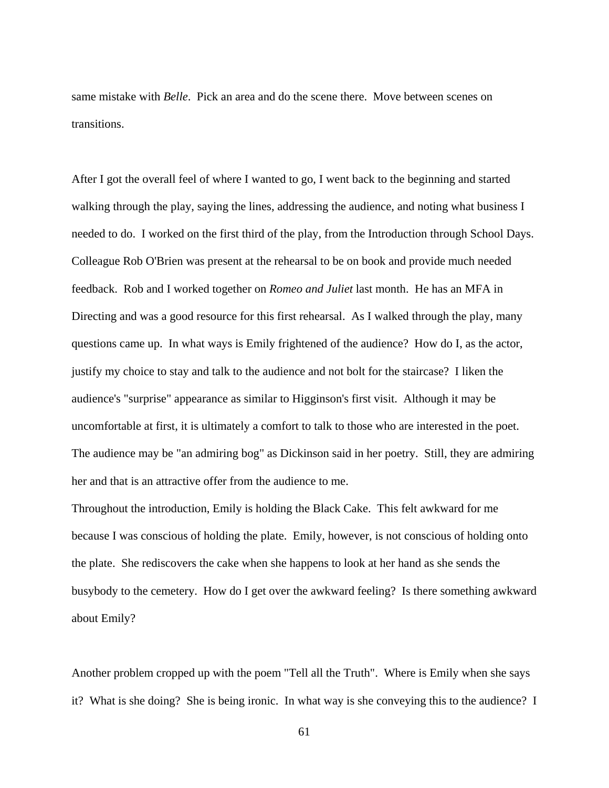same mistake with *Belle*. Pick an area and do the scene there. Move between scenes on transitions.

After I got the overall feel of where I wanted to go, I went back to the beginning and started walking through the play, saying the lines, addressing the audience, and noting what business I needed to do. I worked on the first third of the play, from the Introduction through School Days. Colleague Rob O'Brien was present at the rehearsal to be on book and provide much needed feedback. Rob and I worked together on *Romeo and Juliet* last month. He has an MFA in Directing and was a good resource for this first rehearsal. As I walked through the play, many questions came up. In what ways is Emily frightened of the audience? How do I, as the actor, justify my choice to stay and talk to the audience and not bolt for the staircase? I liken the audience's "surprise" appearance as similar to Higginson's first visit. Although it may be uncomfortable at first, it is ultimately a comfort to talk to those who are interested in the poet. The audience may be "an admiring bog" as Dickinson said in her poetry. Still, they are admiring her and that is an attractive offer from the audience to me.

Throughout the introduction, Emily is holding the Black Cake. This felt awkward for me because I was conscious of holding the plate. Emily, however, is not conscious of holding onto the plate. She rediscovers the cake when she happens to look at her hand as she sends the busybody to the cemetery. How do I get over the awkward feeling? Is there something awkward about Emily?

Another problem cropped up with the poem "Tell all the Truth". Where is Emily when she says it? What is she doing? She is being ironic. In what way is she conveying this to the audience? I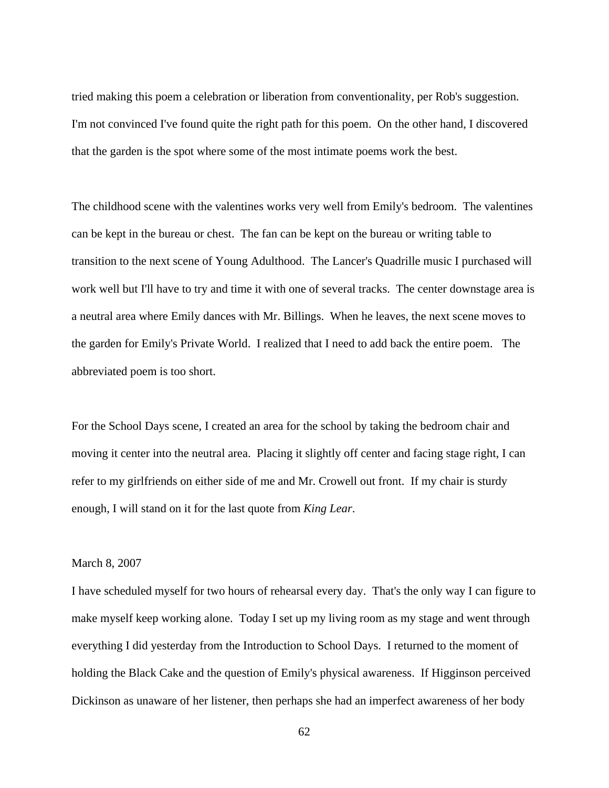tried making this poem a celebration or liberation from conventionality, per Rob's suggestion. I'm not convinced I've found quite the right path for this poem. On the other hand, I discovered that the garden is the spot where some of the most intimate poems work the best.

The childhood scene with the valentines works very well from Emily's bedroom. The valentines can be kept in the bureau or chest. The fan can be kept on the bureau or writing table to transition to the next scene of Young Adulthood. The Lancer's Quadrille music I purchased will work well but I'll have to try and time it with one of several tracks. The center downstage area is a neutral area where Emily dances with Mr. Billings. When he leaves, the next scene moves to the garden for Emily's Private World. I realized that I need to add back the entire poem. The abbreviated poem is too short.

For the School Days scene, I created an area for the school by taking the bedroom chair and moving it center into the neutral area. Placing it slightly off center and facing stage right, I can refer to my girlfriends on either side of me and Mr. Crowell out front. If my chair is sturdy enough, I will stand on it for the last quote from *King Lear*.

## March 8, 2007

I have scheduled myself for two hours of rehearsal every day. That's the only way I can figure to make myself keep working alone. Today I set up my living room as my stage and went through everything I did yesterday from the Introduction to School Days. I returned to the moment of holding the Black Cake and the question of Emily's physical awareness. If Higginson perceived Dickinson as unaware of her listener, then perhaps she had an imperfect awareness of her body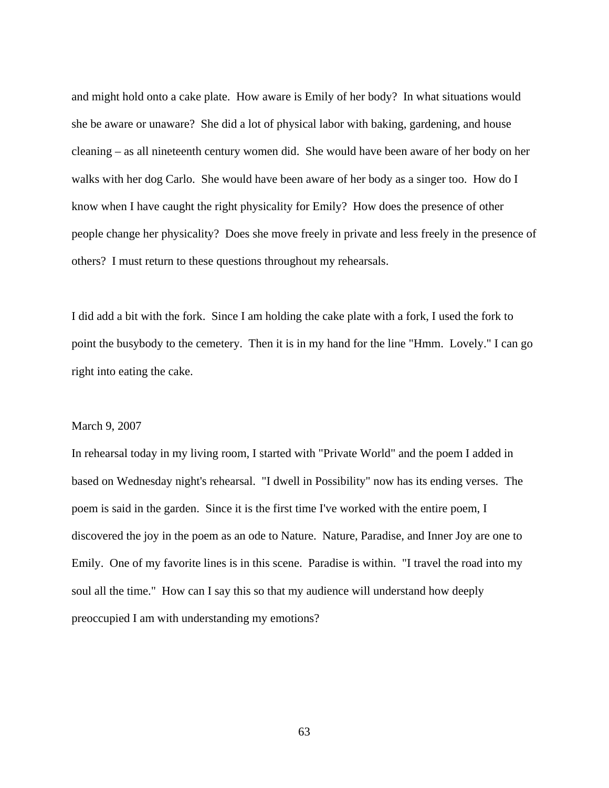and might hold onto a cake plate. How aware is Emily of her body? In what situations would she be aware or unaware? She did a lot of physical labor with baking, gardening, and house cleaning – as all nineteenth century women did. She would have been aware of her body on her walks with her dog Carlo. She would have been aware of her body as a singer too. How do I know when I have caught the right physicality for Emily? How does the presence of other people change her physicality? Does she move freely in private and less freely in the presence of others? I must return to these questions throughout my rehearsals.

I did add a bit with the fork. Since I am holding the cake plate with a fork, I used the fork to point the busybody to the cemetery. Then it is in my hand for the line "Hmm. Lovely." I can go right into eating the cake.

## March 9, 2007

In rehearsal today in my living room, I started with "Private World" and the poem I added in based on Wednesday night's rehearsal. "I dwell in Possibility" now has its ending verses. The poem is said in the garden. Since it is the first time I've worked with the entire poem, I discovered the joy in the poem as an ode to Nature. Nature, Paradise, and Inner Joy are one to Emily. One of my favorite lines is in this scene. Paradise is within. "I travel the road into my soul all the time." How can I say this so that my audience will understand how deeply preoccupied I am with understanding my emotions?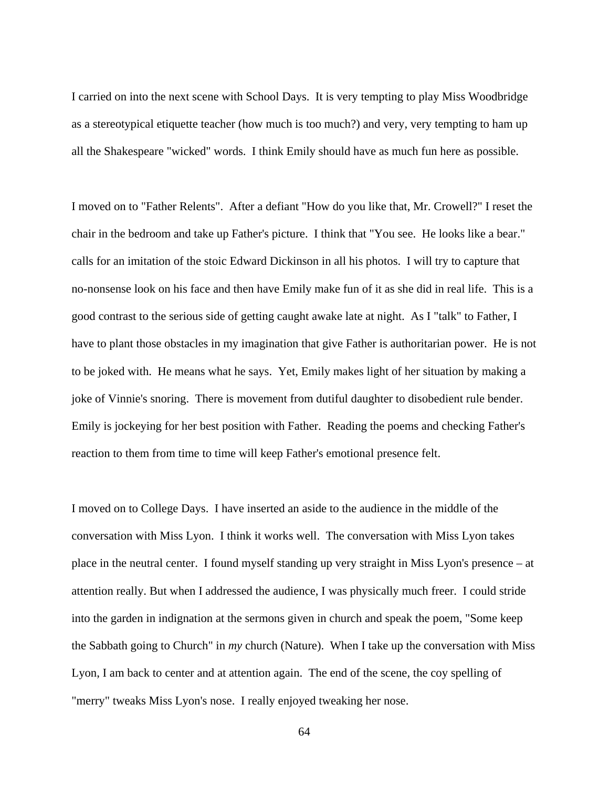I carried on into the next scene with School Days. It is very tempting to play Miss Woodbridge as a stereotypical etiquette teacher (how much is too much?) and very, very tempting to ham up all the Shakespeare "wicked" words. I think Emily should have as much fun here as possible.

I moved on to "Father Relents". After a defiant "How do you like that, Mr. Crowell?" I reset the chair in the bedroom and take up Father's picture. I think that "You see. He looks like a bear." calls for an imitation of the stoic Edward Dickinson in all his photos. I will try to capture that no-nonsense look on his face and then have Emily make fun of it as she did in real life. This is a good contrast to the serious side of getting caught awake late at night. As I "talk" to Father, I have to plant those obstacles in my imagination that give Father is authoritarian power. He is not to be joked with. He means what he says. Yet, Emily makes light of her situation by making a joke of Vinnie's snoring. There is movement from dutiful daughter to disobedient rule bender. Emily is jockeying for her best position with Father. Reading the poems and checking Father's reaction to them from time to time will keep Father's emotional presence felt.

I moved on to College Days. I have inserted an aside to the audience in the middle of the conversation with Miss Lyon. I think it works well. The conversation with Miss Lyon takes place in the neutral center. I found myself standing up very straight in Miss Lyon's presence – at attention really. But when I addressed the audience, I was physically much freer. I could stride into the garden in indignation at the sermons given in church and speak the poem, "Some keep the Sabbath going to Church" in *my* church (Nature). When I take up the conversation with Miss Lyon, I am back to center and at attention again. The end of the scene, the coy spelling of "merry" tweaks Miss Lyon's nose. I really enjoyed tweaking her nose.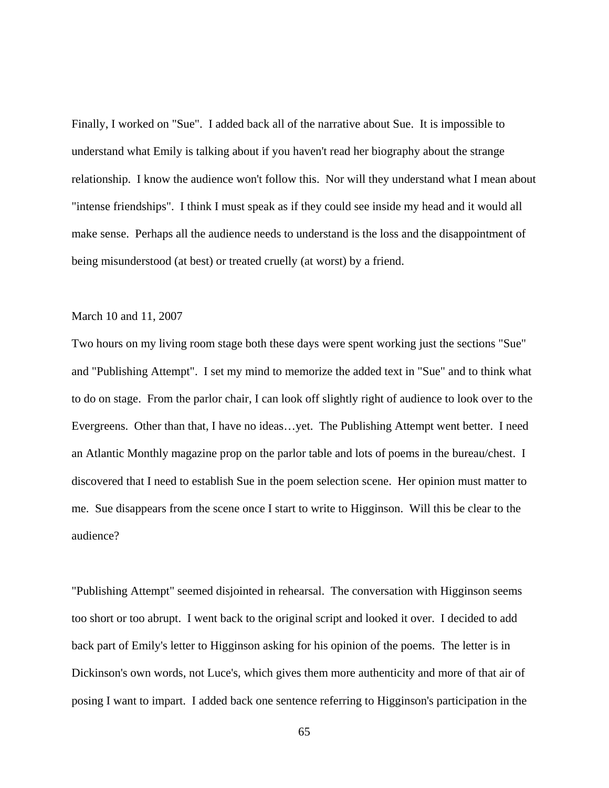Finally, I worked on "Sue". I added back all of the narrative about Sue. It is impossible to understand what Emily is talking about if you haven't read her biography about the strange relationship. I know the audience won't follow this. Nor will they understand what I mean about "intense friendships". I think I must speak as if they could see inside my head and it would all make sense. Perhaps all the audience needs to understand is the loss and the disappointment of being misunderstood (at best) or treated cruelly (at worst) by a friend.

### March 10 and 11, 2007

Two hours on my living room stage both these days were spent working just the sections "Sue" and "Publishing Attempt". I set my mind to memorize the added text in "Sue" and to think what to do on stage. From the parlor chair, I can look off slightly right of audience to look over to the Evergreens. Other than that, I have no ideas…yet. The Publishing Attempt went better. I need an Atlantic Monthly magazine prop on the parlor table and lots of poems in the bureau/chest. I discovered that I need to establish Sue in the poem selection scene. Her opinion must matter to me. Sue disappears from the scene once I start to write to Higginson. Will this be clear to the audience?

"Publishing Attempt" seemed disjointed in rehearsal. The conversation with Higginson seems too short or too abrupt. I went back to the original script and looked it over. I decided to add back part of Emily's letter to Higginson asking for his opinion of the poems. The letter is in Dickinson's own words, not Luce's, which gives them more authenticity and more of that air of posing I want to impart. I added back one sentence referring to Higginson's participation in the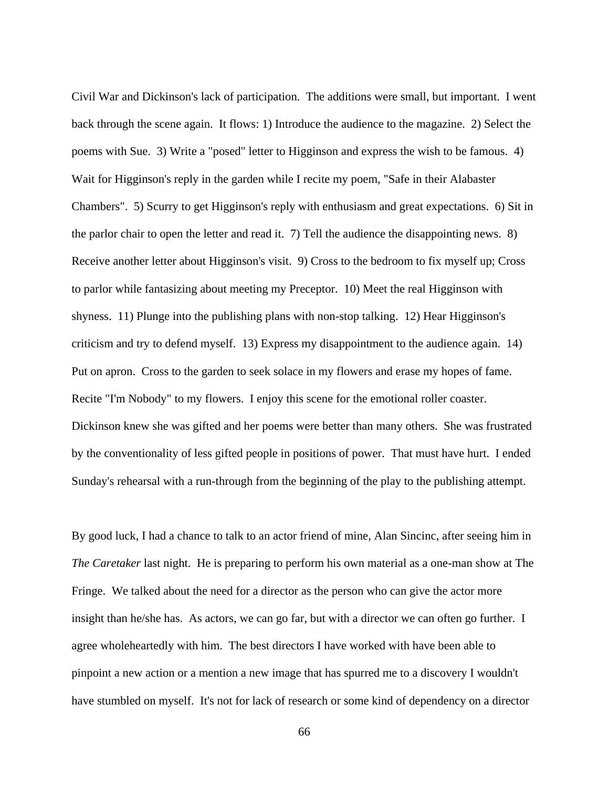Civil War and Dickinson's lack of participation. The additions were small, but important. I went back through the scene again. It flows: 1) Introduce the audience to the magazine. 2) Select the poems with Sue. 3) Write a "posed" letter to Higginson and express the wish to be famous. 4) Wait for Higginson's reply in the garden while I recite my poem, "Safe in their Alabaster Chambers". 5) Scurry to get Higginson's reply with enthusiasm and great expectations. 6) Sit in the parlor chair to open the letter and read it. 7) Tell the audience the disappointing news. 8) Receive another letter about Higginson's visit. 9) Cross to the bedroom to fix myself up; Cross to parlor while fantasizing about meeting my Preceptor. 10) Meet the real Higginson with shyness. 11) Plunge into the publishing plans with non-stop talking. 12) Hear Higginson's criticism and try to defend myself. 13) Express my disappointment to the audience again. 14) Put on apron. Cross to the garden to seek solace in my flowers and erase my hopes of fame. Recite "I'm Nobody" to my flowers. I enjoy this scene for the emotional roller coaster. Dickinson knew she was gifted and her poems were better than many others. She was frustrated by the conventionality of less gifted people in positions of power. That must have hurt. I ended Sunday's rehearsal with a run-through from the beginning of the play to the publishing attempt.

By good luck, I had a chance to talk to an actor friend of mine, Alan Sincinc, after seeing him in *The Caretaker* last night. He is preparing to perform his own material as a one-man show at The Fringe. We talked about the need for a director as the person who can give the actor more insight than he/she has. As actors, we can go far, but with a director we can often go further. I agree wholeheartedly with him. The best directors I have worked with have been able to pinpoint a new action or a mention a new image that has spurred me to a discovery I wouldn't have stumbled on myself. It's not for lack of research or some kind of dependency on a director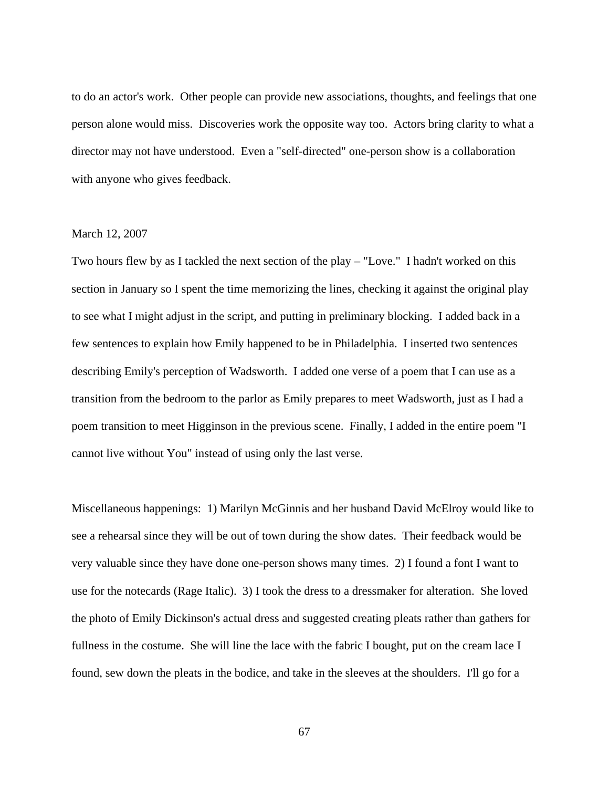to do an actor's work. Other people can provide new associations, thoughts, and feelings that one person alone would miss. Discoveries work the opposite way too. Actors bring clarity to what a director may not have understood. Even a "self-directed" one-person show is a collaboration with anyone who gives feedback.

# March 12, 2007

Two hours flew by as I tackled the next section of the play – "Love." I hadn't worked on this section in January so I spent the time memorizing the lines, checking it against the original play to see what I might adjust in the script, and putting in preliminary blocking. I added back in a few sentences to explain how Emily happened to be in Philadelphia. I inserted two sentences describing Emily's perception of Wadsworth. I added one verse of a poem that I can use as a transition from the bedroom to the parlor as Emily prepares to meet Wadsworth, just as I had a poem transition to meet Higginson in the previous scene. Finally, I added in the entire poem "I cannot live without You" instead of using only the last verse.

Miscellaneous happenings: 1) Marilyn McGinnis and her husband David McElroy would like to see a rehearsal since they will be out of town during the show dates. Their feedback would be very valuable since they have done one-person shows many times. 2) I found a font I want to use for the notecards (Rage Italic). 3) I took the dress to a dressmaker for alteration. She loved the photo of Emily Dickinson's actual dress and suggested creating pleats rather than gathers for fullness in the costume. She will line the lace with the fabric I bought, put on the cream lace I found, sew down the pleats in the bodice, and take in the sleeves at the shoulders. I'll go for a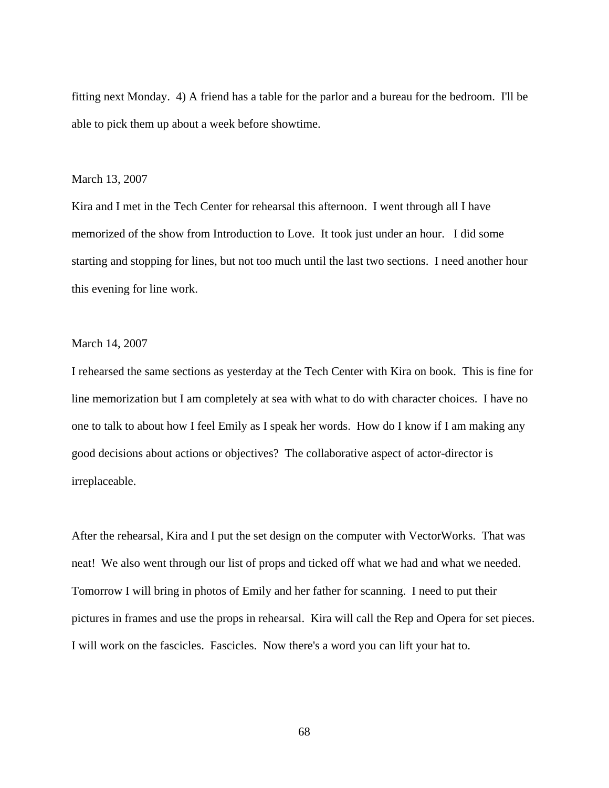fitting next Monday. 4) A friend has a table for the parlor and a bureau for the bedroom. I'll be able to pick them up about a week before showtime.

#### March 13, 2007

Kira and I met in the Tech Center for rehearsal this afternoon. I went through all I have memorized of the show from Introduction to Love. It took just under an hour. I did some starting and stopping for lines, but not too much until the last two sections. I need another hour this evening for line work.

# March 14, 2007

I rehearsed the same sections as yesterday at the Tech Center with Kira on book. This is fine for line memorization but I am completely at sea with what to do with character choices. I have no one to talk to about how I feel Emily as I speak her words. How do I know if I am making any good decisions about actions or objectives? The collaborative aspect of actor-director is irreplaceable.

After the rehearsal, Kira and I put the set design on the computer with VectorWorks. That was neat! We also went through our list of props and ticked off what we had and what we needed. Tomorrow I will bring in photos of Emily and her father for scanning. I need to put their pictures in frames and use the props in rehearsal. Kira will call the Rep and Opera for set pieces. I will work on the fascicles. Fascicles. Now there's a word you can lift your hat to.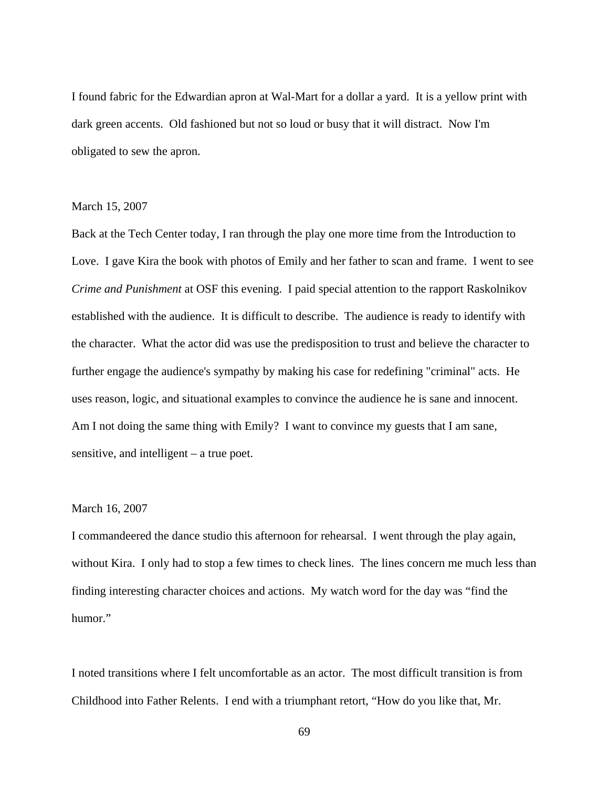I found fabric for the Edwardian apron at Wal-Mart for a dollar a yard. It is a yellow print with dark green accents. Old fashioned but not so loud or busy that it will distract. Now I'm obligated to sew the apron.

### March 15, 2007

Back at the Tech Center today, I ran through the play one more time from the Introduction to Love. I gave Kira the book with photos of Emily and her father to scan and frame. I went to see *Crime and Punishment* at OSF this evening. I paid special attention to the rapport Raskolnikov established with the audience. It is difficult to describe. The audience is ready to identify with the character. What the actor did was use the predisposition to trust and believe the character to further engage the audience's sympathy by making his case for redefining "criminal" acts. He uses reason, logic, and situational examples to convince the audience he is sane and innocent. Am I not doing the same thing with Emily? I want to convince my guests that I am sane, sensitive, and intelligent – a true poet.

# March 16, 2007

I commandeered the dance studio this afternoon for rehearsal. I went through the play again, without Kira. I only had to stop a few times to check lines. The lines concern me much less than finding interesting character choices and actions. My watch word for the day was "find the humor."

I noted transitions where I felt uncomfortable as an actor. The most difficult transition is from Childhood into Father Relents. I end with a triumphant retort, "How do you like that, Mr.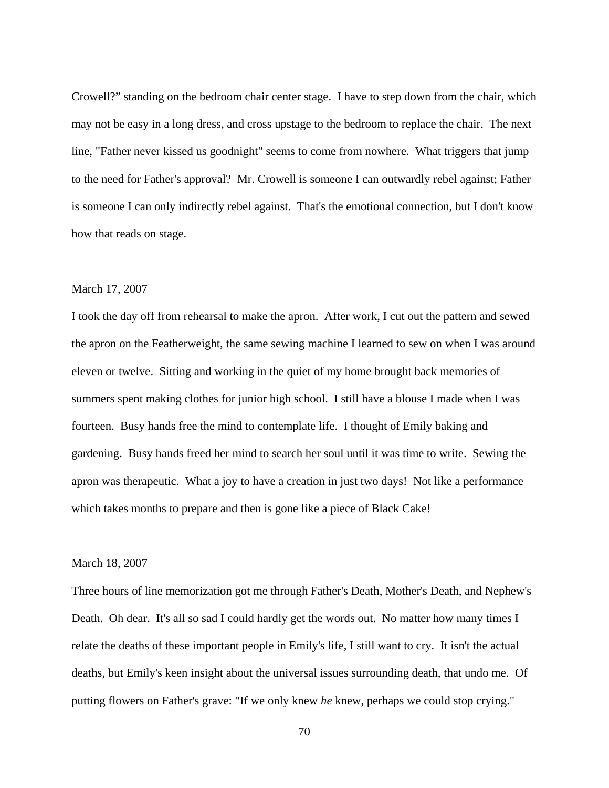Crowell?" standing on the bedroom chair center stage. I have to step down from the chair, which may not be easy in a long dress, and cross upstage to the bedroom to replace the chair. The next line, "Father never kissed us goodnight" seems to come from nowhere. What triggers that jump to the need for Father's approval? Mr. Crowell is someone I can outwardly rebel against; Father is someone I can only indirectly rebel against. That's the emotional connection, but I don't know how that reads on stage.

### March 17, 2007

I took the day off from rehearsal to make the apron. After work, I cut out the pattern and sewed the apron on the Featherweight, the same sewing machine I learned to sew on when I was around eleven or twelve. Sitting and working in the quiet of my home brought back memories of summers spent making clothes for junior high school. I still have a blouse I made when I was fourteen. Busy hands free the mind to contemplate life. I thought of Emily baking and gardening. Busy hands freed her mind to search her soul until it was time to write. Sewing the apron was therapeutic. What a joy to have a creation in just two days! Not like a performance which takes months to prepare and then is gone like a piece of Black Cake!

# March 18, 2007

Three hours of line memorization got me through Father's Death, Mother's Death, and Nephew's Death. Oh dear. It's all so sad I could hardly get the words out. No matter how many times I relate the deaths of these important people in Emily's life, I still want to cry. It isn't the actual deaths, but Emily's keen insight about the universal issues surrounding death, that undo me. Of putting flowers on Father's grave: "If we only knew *he* knew, perhaps we could stop crying."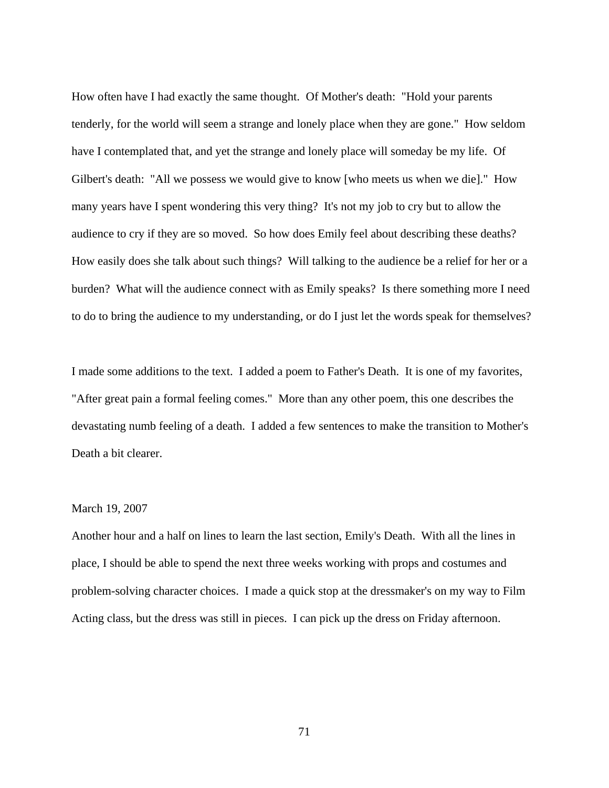How often have I had exactly the same thought. Of Mother's death: "Hold your parents tenderly, for the world will seem a strange and lonely place when they are gone." How seldom have I contemplated that, and yet the strange and lonely place will someday be my life. Of Gilbert's death: "All we possess we would give to know [who meets us when we die]." How many years have I spent wondering this very thing? It's not my job to cry but to allow the audience to cry if they are so moved. So how does Emily feel about describing these deaths? How easily does she talk about such things? Will talking to the audience be a relief for her or a burden? What will the audience connect with as Emily speaks? Is there something more I need to do to bring the audience to my understanding, or do I just let the words speak for themselves?

I made some additions to the text. I added a poem to Father's Death. It is one of my favorites, "After great pain a formal feeling comes." More than any other poem, this one describes the devastating numb feeling of a death. I added a few sentences to make the transition to Mother's Death a bit clearer.

# March 19, 2007

Another hour and a half on lines to learn the last section, Emily's Death. With all the lines in place, I should be able to spend the next three weeks working with props and costumes and problem-solving character choices. I made a quick stop at the dressmaker's on my way to Film Acting class, but the dress was still in pieces. I can pick up the dress on Friday afternoon.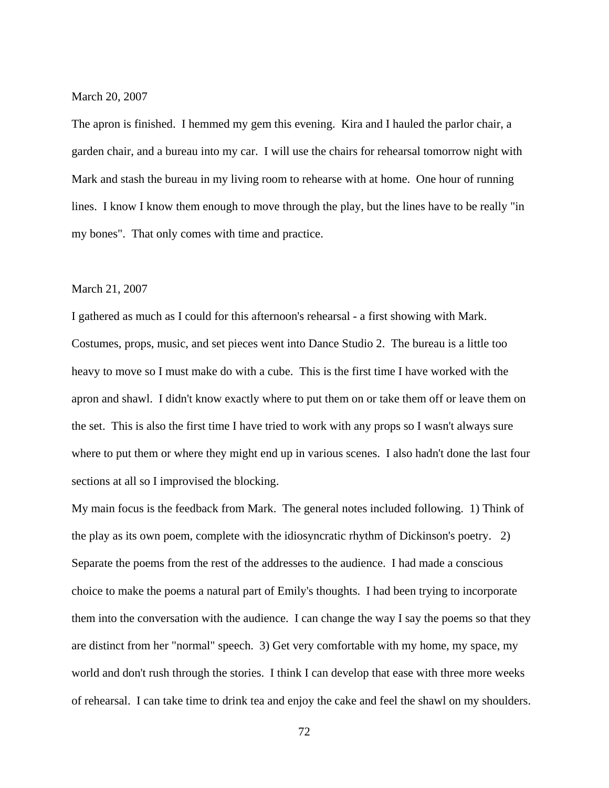March 20, 2007

The apron is finished. I hemmed my gem this evening. Kira and I hauled the parlor chair, a garden chair, and a bureau into my car. I will use the chairs for rehearsal tomorrow night with Mark and stash the bureau in my living room to rehearse with at home. One hour of running lines. I know I know them enough to move through the play, but the lines have to be really "in my bones". That only comes with time and practice.

### March 21, 2007

I gathered as much as I could for this afternoon's rehearsal - a first showing with Mark. Costumes, props, music, and set pieces went into Dance Studio 2. The bureau is a little too heavy to move so I must make do with a cube. This is the first time I have worked with the apron and shawl. I didn't know exactly where to put them on or take them off or leave them on the set. This is also the first time I have tried to work with any props so I wasn't always sure where to put them or where they might end up in various scenes. I also hadn't done the last four sections at all so I improvised the blocking.

My main focus is the feedback from Mark. The general notes included following. 1) Think of the play as its own poem, complete with the idiosyncratic rhythm of Dickinson's poetry. 2) Separate the poems from the rest of the addresses to the audience. I had made a conscious choice to make the poems a natural part of Emily's thoughts. I had been trying to incorporate them into the conversation with the audience. I can change the way I say the poems so that they are distinct from her "normal" speech. 3) Get very comfortable with my home, my space, my world and don't rush through the stories. I think I can develop that ease with three more weeks of rehearsal. I can take time to drink tea and enjoy the cake and feel the shawl on my shoulders.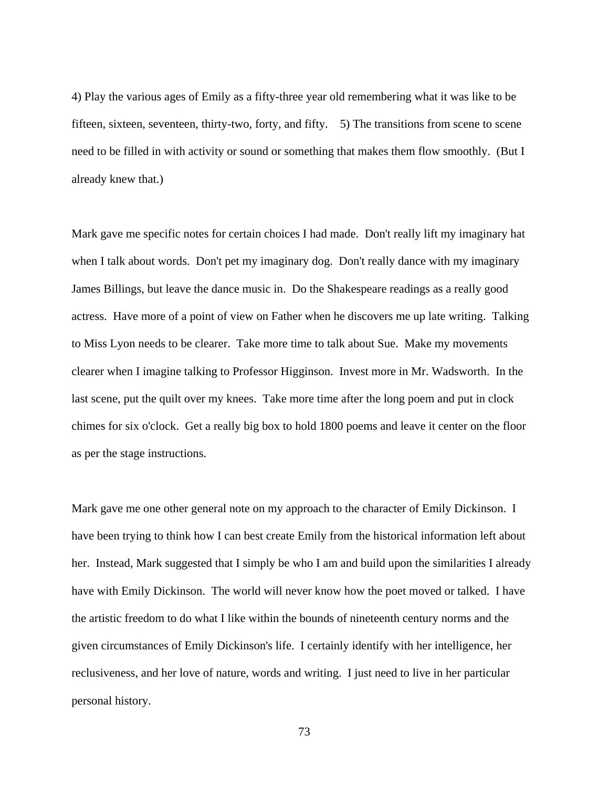4) Play the various ages of Emily as a fifty-three year old remembering what it was like to be fifteen, sixteen, seventeen, thirty-two, forty, and fifty. 5) The transitions from scene to scene need to be filled in with activity or sound or something that makes them flow smoothly. (But I already knew that.)

Mark gave me specific notes for certain choices I had made. Don't really lift my imaginary hat when I talk about words. Don't pet my imaginary dog. Don't really dance with my imaginary James Billings, but leave the dance music in. Do the Shakespeare readings as a really good actress. Have more of a point of view on Father when he discovers me up late writing. Talking to Miss Lyon needs to be clearer. Take more time to talk about Sue. Make my movements clearer when I imagine talking to Professor Higginson. Invest more in Mr. Wadsworth. In the last scene, put the quilt over my knees. Take more time after the long poem and put in clock chimes for six o'clock. Get a really big box to hold 1800 poems and leave it center on the floor as per the stage instructions.

Mark gave me one other general note on my approach to the character of Emily Dickinson. I have been trying to think how I can best create Emily from the historical information left about her. Instead, Mark suggested that I simply be who I am and build upon the similarities I already have with Emily Dickinson. The world will never know how the poet moved or talked. I have the artistic freedom to do what I like within the bounds of nineteenth century norms and the given circumstances of Emily Dickinson's life. I certainly identify with her intelligence, her reclusiveness, and her love of nature, words and writing. I just need to live in her particular personal history.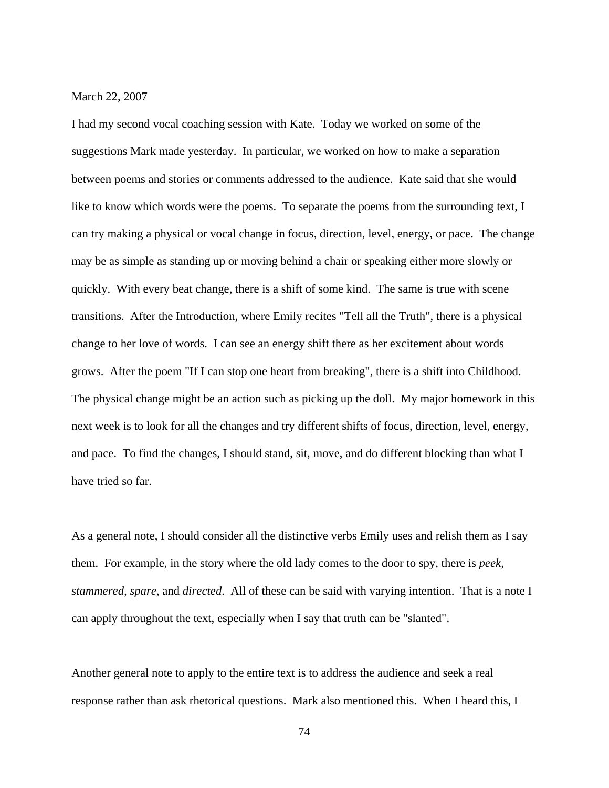### March 22, 2007

I had my second vocal coaching session with Kate. Today we worked on some of the suggestions Mark made yesterday. In particular, we worked on how to make a separation between poems and stories or comments addressed to the audience. Kate said that she would like to know which words were the poems. To separate the poems from the surrounding text, I can try making a physical or vocal change in focus, direction, level, energy, or pace. The change may be as simple as standing up or moving behind a chair or speaking either more slowly or quickly. With every beat change, there is a shift of some kind. The same is true with scene transitions. After the Introduction, where Emily recites "Tell all the Truth", there is a physical change to her love of words. I can see an energy shift there as her excitement about words grows. After the poem "If I can stop one heart from breaking", there is a shift into Childhood. The physical change might be an action such as picking up the doll. My major homework in this next week is to look for all the changes and try different shifts of focus, direction, level, energy, and pace. To find the changes, I should stand, sit, move, and do different blocking than what I have tried so far.

As a general note, I should consider all the distinctive verbs Emily uses and relish them as I say them. For example, in the story where the old lady comes to the door to spy, there is *peek, stammered, spare,* and *directed*. All of these can be said with varying intention. That is a note I can apply throughout the text, especially when I say that truth can be "slanted".

Another general note to apply to the entire text is to address the audience and seek a real response rather than ask rhetorical questions. Mark also mentioned this. When I heard this, I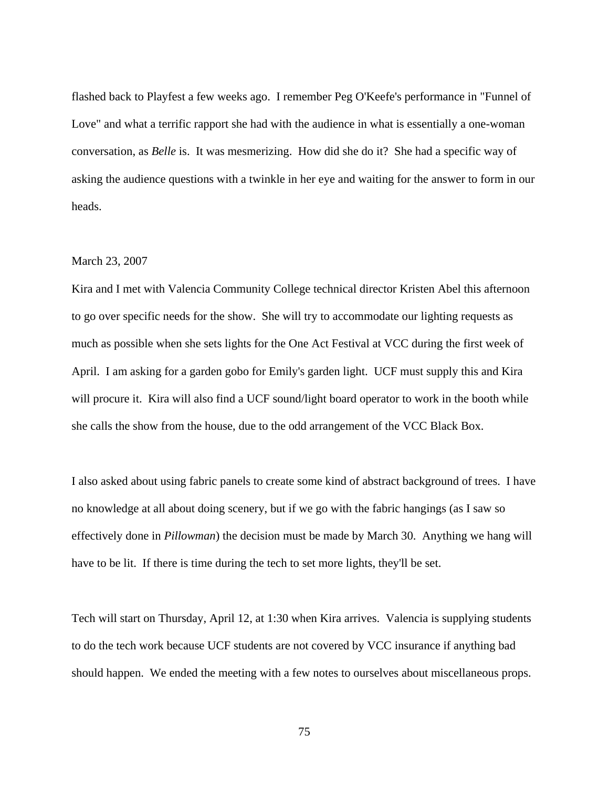flashed back to Playfest a few weeks ago. I remember Peg O'Keefe's performance in "Funnel of Love" and what a terrific rapport she had with the audience in what is essentially a one-woman conversation, as *Belle* is. It was mesmerizing. How did she do it? She had a specific way of asking the audience questions with a twinkle in her eye and waiting for the answer to form in our heads.

# March 23, 2007

Kira and I met with Valencia Community College technical director Kristen Abel this afternoon to go over specific needs for the show. She will try to accommodate our lighting requests as much as possible when she sets lights for the One Act Festival at VCC during the first week of April. I am asking for a garden gobo for Emily's garden light. UCF must supply this and Kira will procure it. Kira will also find a UCF sound/light board operator to work in the booth while she calls the show from the house, due to the odd arrangement of the VCC Black Box.

I also asked about using fabric panels to create some kind of abstract background of trees. I have no knowledge at all about doing scenery, but if we go with the fabric hangings (as I saw so effectively done in *Pillowman*) the decision must be made by March 30. Anything we hang will have to be lit. If there is time during the tech to set more lights, they'll be set.

Tech will start on Thursday, April 12, at 1:30 when Kira arrives. Valencia is supplying students to do the tech work because UCF students are not covered by VCC insurance if anything bad should happen. We ended the meeting with a few notes to ourselves about miscellaneous props.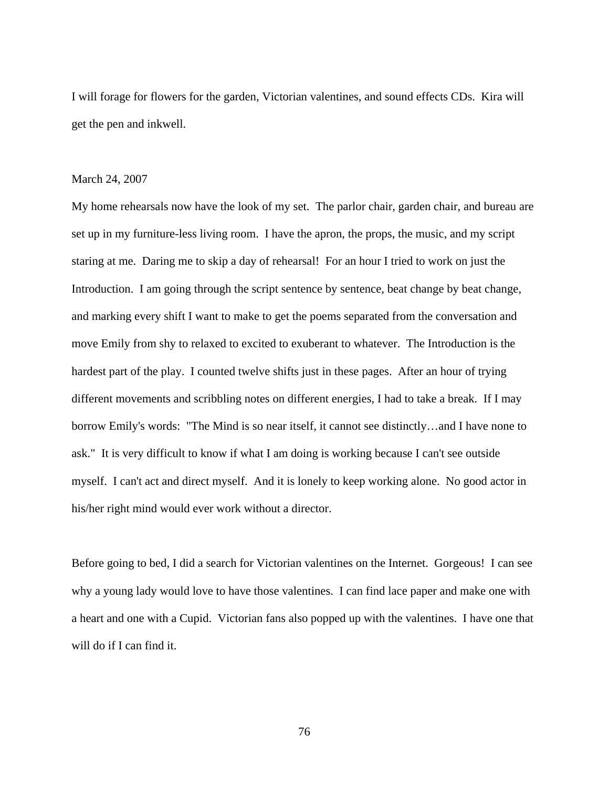I will forage for flowers for the garden, Victorian valentines, and sound effects CDs. Kira will get the pen and inkwell.

### March 24, 2007

My home rehearsals now have the look of my set. The parlor chair, garden chair, and bureau are set up in my furniture-less living room. I have the apron, the props, the music, and my script staring at me. Daring me to skip a day of rehearsal! For an hour I tried to work on just the Introduction. I am going through the script sentence by sentence, beat change by beat change, and marking every shift I want to make to get the poems separated from the conversation and move Emily from shy to relaxed to excited to exuberant to whatever. The Introduction is the hardest part of the play. I counted twelve shifts just in these pages. After an hour of trying different movements and scribbling notes on different energies, I had to take a break. If I may borrow Emily's words: "The Mind is so near itself, it cannot see distinctly…and I have none to ask." It is very difficult to know if what I am doing is working because I can't see outside myself. I can't act and direct myself. And it is lonely to keep working alone. No good actor in his/her right mind would ever work without a director.

Before going to bed, I did a search for Victorian valentines on the Internet. Gorgeous! I can see why a young lady would love to have those valentines. I can find lace paper and make one with a heart and one with a Cupid. Victorian fans also popped up with the valentines. I have one that will do if I can find it.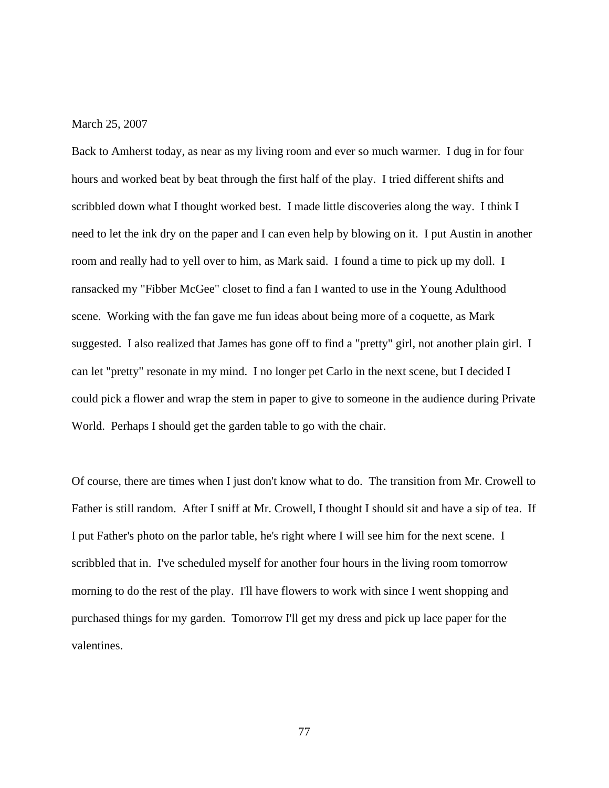## March 25, 2007

Back to Amherst today, as near as my living room and ever so much warmer. I dug in for four hours and worked beat by beat through the first half of the play. I tried different shifts and scribbled down what I thought worked best. I made little discoveries along the way. I think I need to let the ink dry on the paper and I can even help by blowing on it. I put Austin in another room and really had to yell over to him, as Mark said. I found a time to pick up my doll. I ransacked my "Fibber McGee" closet to find a fan I wanted to use in the Young Adulthood scene. Working with the fan gave me fun ideas about being more of a coquette, as Mark suggested. I also realized that James has gone off to find a "pretty" girl, not another plain girl. I can let "pretty" resonate in my mind. I no longer pet Carlo in the next scene, but I decided I could pick a flower and wrap the stem in paper to give to someone in the audience during Private World. Perhaps I should get the garden table to go with the chair.

Of course, there are times when I just don't know what to do. The transition from Mr. Crowell to Father is still random. After I sniff at Mr. Crowell, I thought I should sit and have a sip of tea. If I put Father's photo on the parlor table, he's right where I will see him for the next scene. I scribbled that in. I've scheduled myself for another four hours in the living room tomorrow morning to do the rest of the play. I'll have flowers to work with since I went shopping and purchased things for my garden. Tomorrow I'll get my dress and pick up lace paper for the valentines.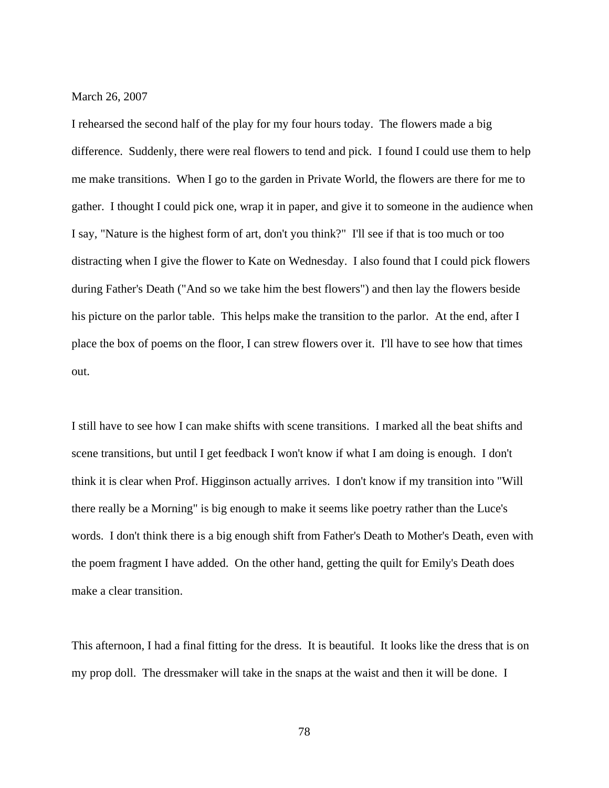March 26, 2007

I rehearsed the second half of the play for my four hours today. The flowers made a big difference. Suddenly, there were real flowers to tend and pick. I found I could use them to help me make transitions. When I go to the garden in Private World, the flowers are there for me to gather. I thought I could pick one, wrap it in paper, and give it to someone in the audience when I say, "Nature is the highest form of art, don't you think?" I'll see if that is too much or too distracting when I give the flower to Kate on Wednesday. I also found that I could pick flowers during Father's Death ("And so we take him the best flowers") and then lay the flowers beside his picture on the parlor table. This helps make the transition to the parlor. At the end, after I place the box of poems on the floor, I can strew flowers over it. I'll have to see how that times out.

I still have to see how I can make shifts with scene transitions. I marked all the beat shifts and scene transitions, but until I get feedback I won't know if what I am doing is enough. I don't think it is clear when Prof. Higginson actually arrives. I don't know if my transition into "Will there really be a Morning" is big enough to make it seems like poetry rather than the Luce's words. I don't think there is a big enough shift from Father's Death to Mother's Death, even with the poem fragment I have added. On the other hand, getting the quilt for Emily's Death does make a clear transition.

This afternoon, I had a final fitting for the dress. It is beautiful. It looks like the dress that is on my prop doll. The dressmaker will take in the snaps at the waist and then it will be done. I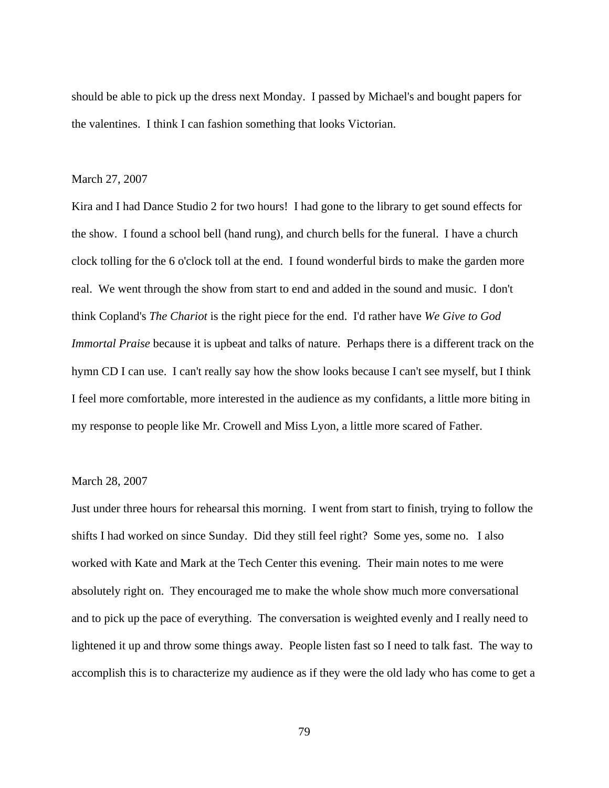should be able to pick up the dress next Monday. I passed by Michael's and bought papers for the valentines. I think I can fashion something that looks Victorian.

### March 27, 2007

Kira and I had Dance Studio 2 for two hours! I had gone to the library to get sound effects for the show. I found a school bell (hand rung), and church bells for the funeral. I have a church clock tolling for the 6 o'clock toll at the end. I found wonderful birds to make the garden more real. We went through the show from start to end and added in the sound and music. I don't think Copland's *The Chariot* is the right piece for the end. I'd rather have *We Give to God Immortal Praise* because it is upbeat and talks of nature. Perhaps there is a different track on the hymn CD I can use. I can't really say how the show looks because I can't see myself, but I think I feel more comfortable, more interested in the audience as my confidants, a little more biting in my response to people like Mr. Crowell and Miss Lyon, a little more scared of Father.

# March 28, 2007

Just under three hours for rehearsal this morning. I went from start to finish, trying to follow the shifts I had worked on since Sunday. Did they still feel right? Some yes, some no. I also worked with Kate and Mark at the Tech Center this evening. Their main notes to me were absolutely right on. They encouraged me to make the whole show much more conversational and to pick up the pace of everything. The conversation is weighted evenly and I really need to lightened it up and throw some things away. People listen fast so I need to talk fast. The way to accomplish this is to characterize my audience as if they were the old lady who has come to get a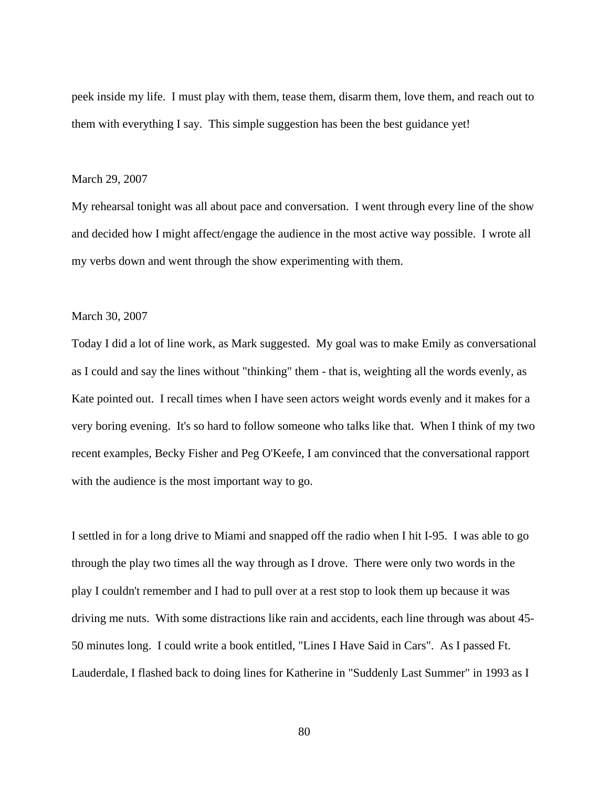peek inside my life. I must play with them, tease them, disarm them, love them, and reach out to them with everything I say. This simple suggestion has been the best guidance yet!

#### March 29, 2007

My rehearsal tonight was all about pace and conversation. I went through every line of the show and decided how I might affect/engage the audience in the most active way possible. I wrote all my verbs down and went through the show experimenting with them.

### March 30, 2007

Today I did a lot of line work, as Mark suggested. My goal was to make Emily as conversational as I could and say the lines without "thinking" them - that is, weighting all the words evenly, as Kate pointed out. I recall times when I have seen actors weight words evenly and it makes for a very boring evening. It's so hard to follow someone who talks like that. When I think of my two recent examples, Becky Fisher and Peg O'Keefe, I am convinced that the conversational rapport with the audience is the most important way to go.

I settled in for a long drive to Miami and snapped off the radio when I hit I-95. I was able to go through the play two times all the way through as I drove. There were only two words in the play I couldn't remember and I had to pull over at a rest stop to look them up because it was driving me nuts. With some distractions like rain and accidents, each line through was about 45- 50 minutes long. I could write a book entitled, "Lines I Have Said in Cars". As I passed Ft. Lauderdale, I flashed back to doing lines for Katherine in "Suddenly Last Summer" in 1993 as I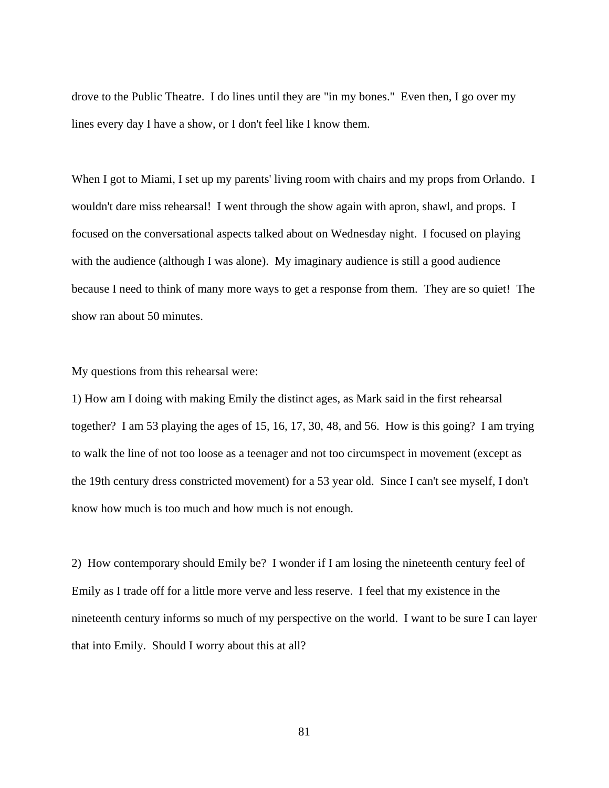drove to the Public Theatre. I do lines until they are "in my bones." Even then, I go over my lines every day I have a show, or I don't feel like I know them.

When I got to Miami, I set up my parents' living room with chairs and my props from Orlando. I wouldn't dare miss rehearsal! I went through the show again with apron, shawl, and props. I focused on the conversational aspects talked about on Wednesday night. I focused on playing with the audience (although I was alone). My imaginary audience is still a good audience because I need to think of many more ways to get a response from them. They are so quiet! The show ran about 50 minutes.

My questions from this rehearsal were:

1) How am I doing with making Emily the distinct ages, as Mark said in the first rehearsal together? I am 53 playing the ages of 15, 16, 17, 30, 48, and 56. How is this going? I am trying to walk the line of not too loose as a teenager and not too circumspect in movement (except as the 19th century dress constricted movement) for a 53 year old. Since I can't see myself, I don't know how much is too much and how much is not enough.

2) How contemporary should Emily be? I wonder if I am losing the nineteenth century feel of Emily as I trade off for a little more verve and less reserve. I feel that my existence in the nineteenth century informs so much of my perspective on the world. I want to be sure I can layer that into Emily. Should I worry about this at all?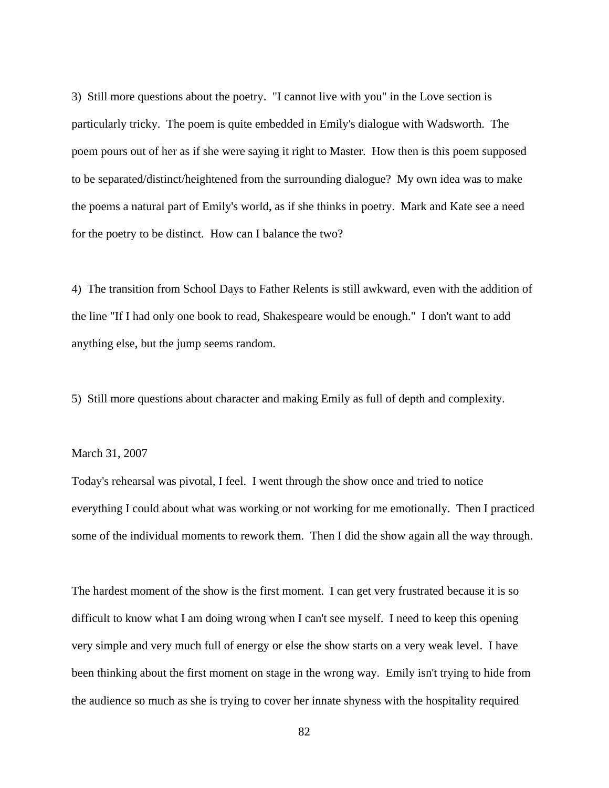3) Still more questions about the poetry. "I cannot live with you" in the Love section is particularly tricky. The poem is quite embedded in Emily's dialogue with Wadsworth. The poem pours out of her as if she were saying it right to Master. How then is this poem supposed to be separated/distinct/heightened from the surrounding dialogue? My own idea was to make the poems a natural part of Emily's world, as if she thinks in poetry. Mark and Kate see a need for the poetry to be distinct. How can I balance the two?

4) The transition from School Days to Father Relents is still awkward, even with the addition of the line "If I had only one book to read, Shakespeare would be enough." I don't want to add anything else, but the jump seems random.

5) Still more questions about character and making Emily as full of depth and complexity.

## March 31, 2007

Today's rehearsal was pivotal, I feel. I went through the show once and tried to notice everything I could about what was working or not working for me emotionally. Then I practiced some of the individual moments to rework them. Then I did the show again all the way through.

The hardest moment of the show is the first moment. I can get very frustrated because it is so difficult to know what I am doing wrong when I can't see myself. I need to keep this opening very simple and very much full of energy or else the show starts on a very weak level. I have been thinking about the first moment on stage in the wrong way. Emily isn't trying to hide from the audience so much as she is trying to cover her innate shyness with the hospitality required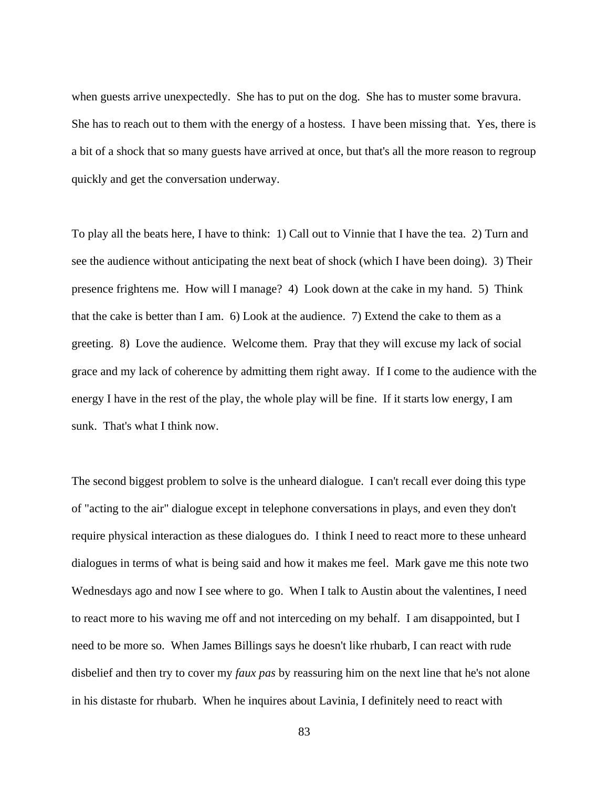when guests arrive unexpectedly. She has to put on the dog. She has to muster some bravura. She has to reach out to them with the energy of a hostess. I have been missing that. Yes, there is a bit of a shock that so many guests have arrived at once, but that's all the more reason to regroup quickly and get the conversation underway.

To play all the beats here, I have to think: 1) Call out to Vinnie that I have the tea. 2) Turn and see the audience without anticipating the next beat of shock (which I have been doing). 3) Their presence frightens me. How will I manage? 4) Look down at the cake in my hand. 5) Think that the cake is better than I am. 6) Look at the audience. 7) Extend the cake to them as a greeting. 8) Love the audience. Welcome them. Pray that they will excuse my lack of social grace and my lack of coherence by admitting them right away. If I come to the audience with the energy I have in the rest of the play, the whole play will be fine. If it starts low energy, I am sunk. That's what I think now.

The second biggest problem to solve is the unheard dialogue. I can't recall ever doing this type of "acting to the air" dialogue except in telephone conversations in plays, and even they don't require physical interaction as these dialogues do. I think I need to react more to these unheard dialogues in terms of what is being said and how it makes me feel. Mark gave me this note two Wednesdays ago and now I see where to go. When I talk to Austin about the valentines, I need to react more to his waving me off and not interceding on my behalf. I am disappointed, but I need to be more so. When James Billings says he doesn't like rhubarb, I can react with rude disbelief and then try to cover my *faux pas* by reassuring him on the next line that he's not alone in his distaste for rhubarb. When he inquires about Lavinia, I definitely need to react with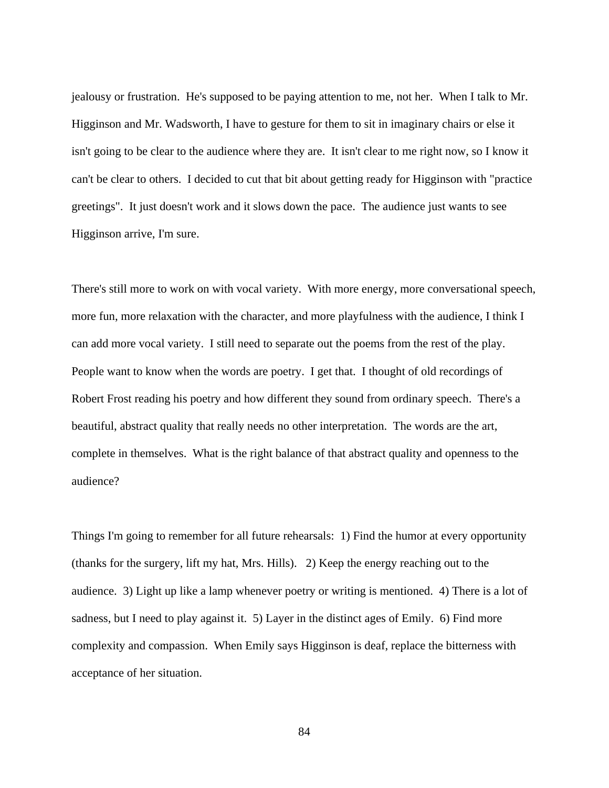jealousy or frustration. He's supposed to be paying attention to me, not her. When I talk to Mr. Higginson and Mr. Wadsworth, I have to gesture for them to sit in imaginary chairs or else it isn't going to be clear to the audience where they are. It isn't clear to me right now, so I know it can't be clear to others. I decided to cut that bit about getting ready for Higginson with "practice greetings". It just doesn't work and it slows down the pace. The audience just wants to see Higginson arrive, I'm sure.

There's still more to work on with vocal variety. With more energy, more conversational speech, more fun, more relaxation with the character, and more playfulness with the audience, I think I can add more vocal variety. I still need to separate out the poems from the rest of the play. People want to know when the words are poetry. I get that. I thought of old recordings of Robert Frost reading his poetry and how different they sound from ordinary speech. There's a beautiful, abstract quality that really needs no other interpretation. The words are the art, complete in themselves. What is the right balance of that abstract quality and openness to the audience?

Things I'm going to remember for all future rehearsals: 1) Find the humor at every opportunity (thanks for the surgery, lift my hat, Mrs. Hills). 2) Keep the energy reaching out to the audience. 3) Light up like a lamp whenever poetry or writing is mentioned. 4) There is a lot of sadness, but I need to play against it. 5) Layer in the distinct ages of Emily. 6) Find more complexity and compassion. When Emily says Higginson is deaf, replace the bitterness with acceptance of her situation.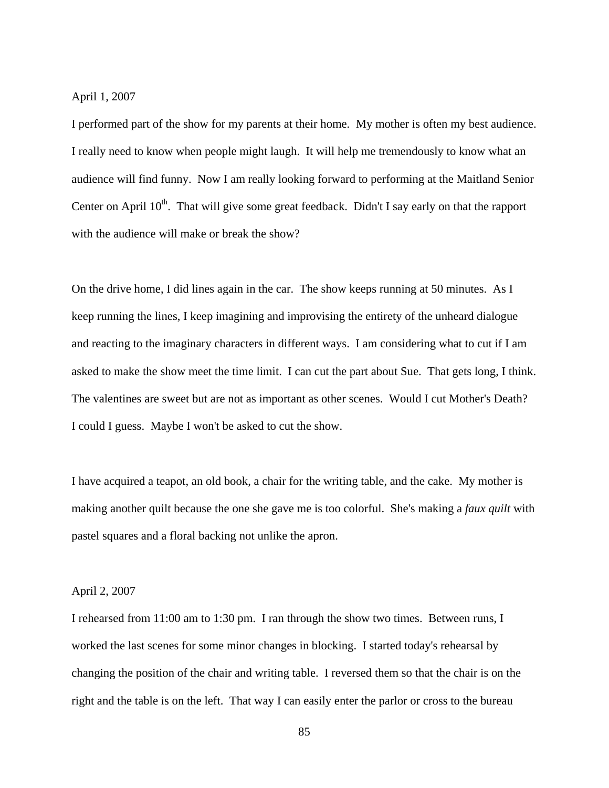April 1, 2007

I performed part of the show for my parents at their home. My mother is often my best audience. I really need to know when people might laugh. It will help me tremendously to know what an audience will find funny. Now I am really looking forward to performing at the Maitland Senior Center on April  $10^{th}$ . That will give some great feedback. Didn't I say early on that the rapport with the audience will make or break the show?

On the drive home, I did lines again in the car. The show keeps running at 50 minutes. As I keep running the lines, I keep imagining and improvising the entirety of the unheard dialogue and reacting to the imaginary characters in different ways. I am considering what to cut if I am asked to make the show meet the time limit. I can cut the part about Sue. That gets long, I think. The valentines are sweet but are not as important as other scenes. Would I cut Mother's Death? I could I guess. Maybe I won't be asked to cut the show.

I have acquired a teapot, an old book, a chair for the writing table, and the cake. My mother is making another quilt because the one she gave me is too colorful. She's making a *faux quilt* with pastel squares and a floral backing not unlike the apron.

## April 2, 2007

I rehearsed from 11:00 am to 1:30 pm. I ran through the show two times. Between runs, I worked the last scenes for some minor changes in blocking. I started today's rehearsal by changing the position of the chair and writing table. I reversed them so that the chair is on the right and the table is on the left. That way I can easily enter the parlor or cross to the bureau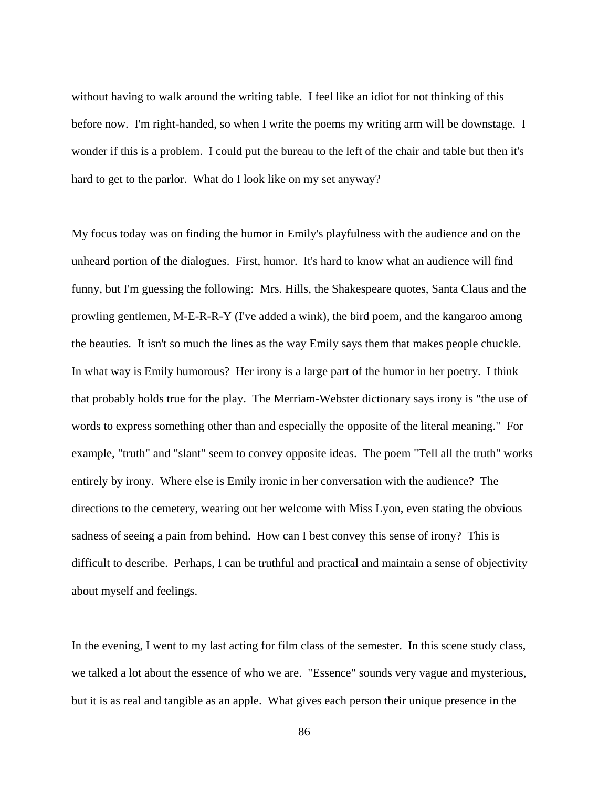without having to walk around the writing table. I feel like an idiot for not thinking of this before now. I'm right-handed, so when I write the poems my writing arm will be downstage. I wonder if this is a problem. I could put the bureau to the left of the chair and table but then it's hard to get to the parlor. What do I look like on my set anyway?

My focus today was on finding the humor in Emily's playfulness with the audience and on the unheard portion of the dialogues. First, humor. It's hard to know what an audience will find funny, but I'm guessing the following: Mrs. Hills, the Shakespeare quotes, Santa Claus and the prowling gentlemen, M-E-R-R-Y (I've added a wink), the bird poem, and the kangaroo among the beauties. It isn't so much the lines as the way Emily says them that makes people chuckle. In what way is Emily humorous? Her irony is a large part of the humor in her poetry. I think that probably holds true for the play. The Merriam-Webster dictionary says irony is "the use of words to express something other than and especially the opposite of the literal meaning." For example, "truth" and "slant" seem to convey opposite ideas. The poem "Tell all the truth" works entirely by irony. Where else is Emily ironic in her conversation with the audience? The directions to the cemetery, wearing out her welcome with Miss Lyon, even stating the obvious sadness of seeing a pain from behind. How can I best convey this sense of irony? This is difficult to describe. Perhaps, I can be truthful and practical and maintain a sense of objectivity about myself and feelings.

In the evening, I went to my last acting for film class of the semester. In this scene study class, we talked a lot about the essence of who we are. "Essence" sounds very vague and mysterious, but it is as real and tangible as an apple. What gives each person their unique presence in the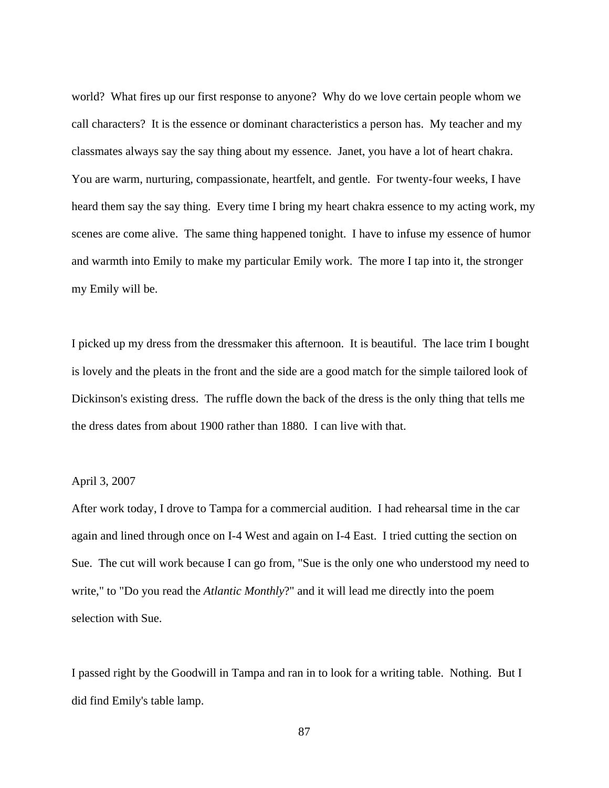world? What fires up our first response to anyone? Why do we love certain people whom we call characters? It is the essence or dominant characteristics a person has. My teacher and my classmates always say the say thing about my essence. Janet, you have a lot of heart chakra. You are warm, nurturing, compassionate, heartfelt, and gentle. For twenty-four weeks, I have heard them say the say thing. Every time I bring my heart chakra essence to my acting work, my scenes are come alive. The same thing happened tonight. I have to infuse my essence of humor and warmth into Emily to make my particular Emily work. The more I tap into it, the stronger my Emily will be.

I picked up my dress from the dressmaker this afternoon. It is beautiful. The lace trim I bought is lovely and the pleats in the front and the side are a good match for the simple tailored look of Dickinson's existing dress. The ruffle down the back of the dress is the only thing that tells me the dress dates from about 1900 rather than 1880. I can live with that.

# April 3, 2007

After work today, I drove to Tampa for a commercial audition. I had rehearsal time in the car again and lined through once on I-4 West and again on I-4 East. I tried cutting the section on Sue. The cut will work because I can go from, "Sue is the only one who understood my need to write," to "Do you read the *Atlantic Monthly*?" and it will lead me directly into the poem selection with Sue.

I passed right by the Goodwill in Tampa and ran in to look for a writing table. Nothing. But I did find Emily's table lamp.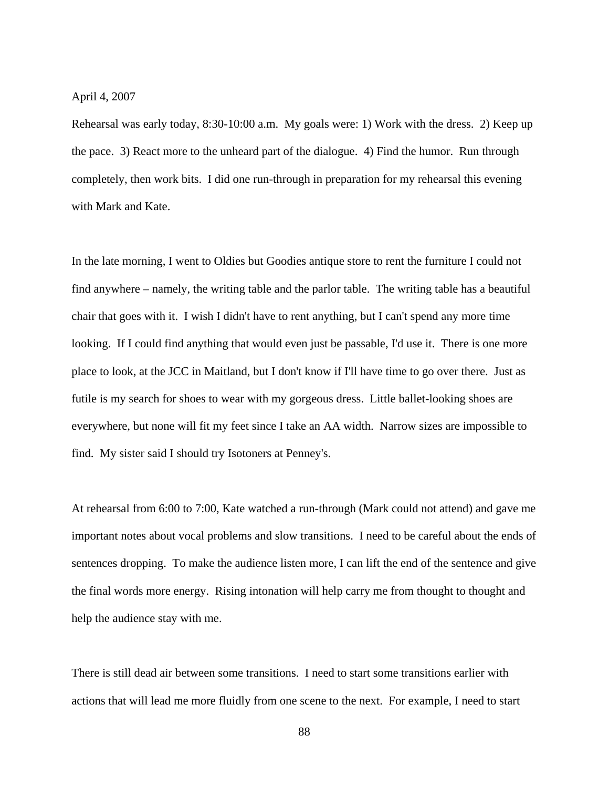April 4, 2007

Rehearsal was early today, 8:30-10:00 a.m. My goals were: 1) Work with the dress. 2) Keep up the pace. 3) React more to the unheard part of the dialogue. 4) Find the humor. Run through completely, then work bits. I did one run-through in preparation for my rehearsal this evening with Mark and Kate.

In the late morning, I went to Oldies but Goodies antique store to rent the furniture I could not find anywhere – namely, the writing table and the parlor table. The writing table has a beautiful chair that goes with it. I wish I didn't have to rent anything, but I can't spend any more time looking. If I could find anything that would even just be passable, I'd use it. There is one more place to look, at the JCC in Maitland, but I don't know if I'll have time to go over there. Just as futile is my search for shoes to wear with my gorgeous dress. Little ballet-looking shoes are everywhere, but none will fit my feet since I take an AA width. Narrow sizes are impossible to find. My sister said I should try Isotoners at Penney's.

At rehearsal from 6:00 to 7:00, Kate watched a run-through (Mark could not attend) and gave me important notes about vocal problems and slow transitions. I need to be careful about the ends of sentences dropping. To make the audience listen more, I can lift the end of the sentence and give the final words more energy. Rising intonation will help carry me from thought to thought and help the audience stay with me.

There is still dead air between some transitions. I need to start some transitions earlier with actions that will lead me more fluidly from one scene to the next. For example, I need to start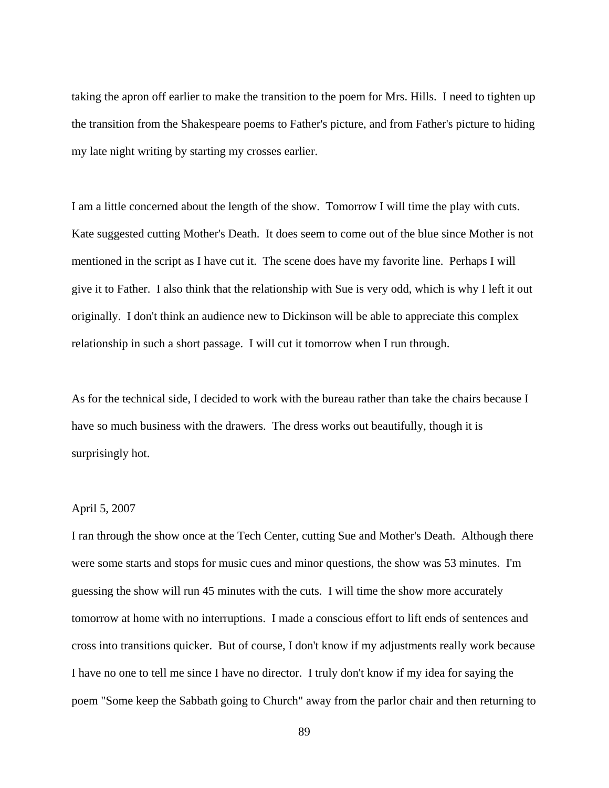taking the apron off earlier to make the transition to the poem for Mrs. Hills. I need to tighten up the transition from the Shakespeare poems to Father's picture, and from Father's picture to hiding my late night writing by starting my crosses earlier.

I am a little concerned about the length of the show. Tomorrow I will time the play with cuts. Kate suggested cutting Mother's Death. It does seem to come out of the blue since Mother is not mentioned in the script as I have cut it. The scene does have my favorite line. Perhaps I will give it to Father. I also think that the relationship with Sue is very odd, which is why I left it out originally. I don't think an audience new to Dickinson will be able to appreciate this complex relationship in such a short passage. I will cut it tomorrow when I run through.

As for the technical side, I decided to work with the bureau rather than take the chairs because I have so much business with the drawers. The dress works out beautifully, though it is surprisingly hot.

# April 5, 2007

I ran through the show once at the Tech Center, cutting Sue and Mother's Death. Although there were some starts and stops for music cues and minor questions, the show was 53 minutes. I'm guessing the show will run 45 minutes with the cuts. I will time the show more accurately tomorrow at home with no interruptions. I made a conscious effort to lift ends of sentences and cross into transitions quicker. But of course, I don't know if my adjustments really work because I have no one to tell me since I have no director. I truly don't know if my idea for saying the poem "Some keep the Sabbath going to Church" away from the parlor chair and then returning to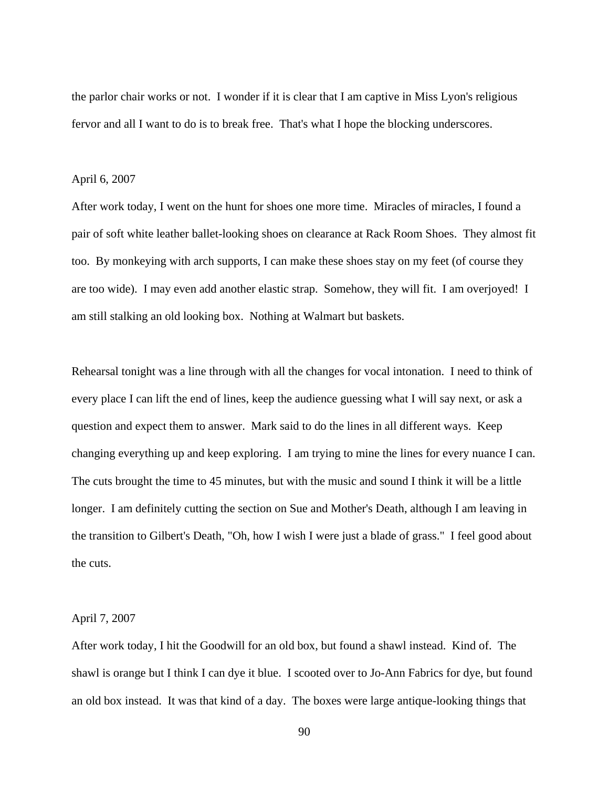the parlor chair works or not. I wonder if it is clear that I am captive in Miss Lyon's religious fervor and all I want to do is to break free. That's what I hope the blocking underscores.

### April 6, 2007

After work today, I went on the hunt for shoes one more time. Miracles of miracles, I found a pair of soft white leather ballet-looking shoes on clearance at Rack Room Shoes. They almost fit too. By monkeying with arch supports, I can make these shoes stay on my feet (of course they are too wide). I may even add another elastic strap. Somehow, they will fit. I am overjoyed! I am still stalking an old looking box. Nothing at Walmart but baskets.

Rehearsal tonight was a line through with all the changes for vocal intonation. I need to think of every place I can lift the end of lines, keep the audience guessing what I will say next, or ask a question and expect them to answer. Mark said to do the lines in all different ways. Keep changing everything up and keep exploring. I am trying to mine the lines for every nuance I can. The cuts brought the time to 45 minutes, but with the music and sound I think it will be a little longer. I am definitely cutting the section on Sue and Mother's Death, although I am leaving in the transition to Gilbert's Death, "Oh, how I wish I were just a blade of grass." I feel good about the cuts.

# April 7, 2007

After work today, I hit the Goodwill for an old box, but found a shawl instead. Kind of. The shawl is orange but I think I can dye it blue. I scooted over to Jo-Ann Fabrics for dye, but found an old box instead. It was that kind of a day. The boxes were large antique-looking things that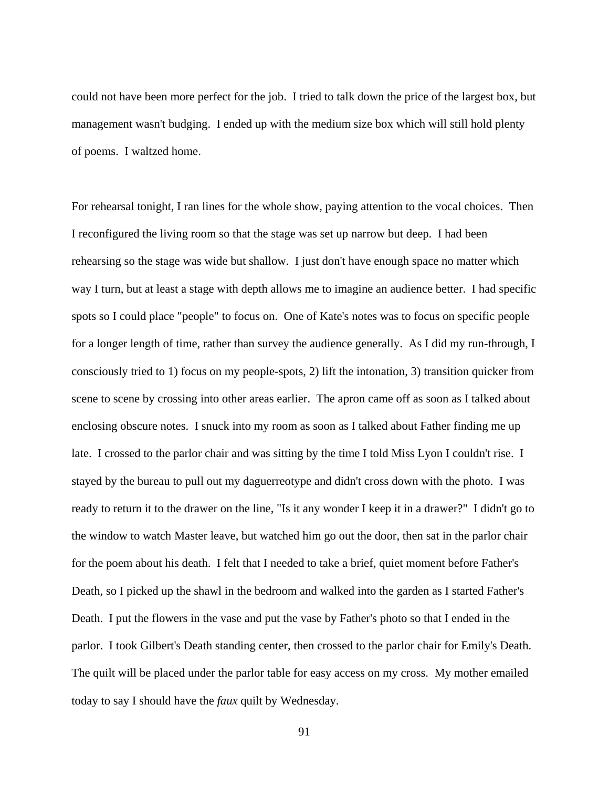could not have been more perfect for the job. I tried to talk down the price of the largest box, but management wasn't budging. I ended up with the medium size box which will still hold plenty of poems. I waltzed home.

For rehearsal tonight, I ran lines for the whole show, paying attention to the vocal choices. Then I reconfigured the living room so that the stage was set up narrow but deep. I had been rehearsing so the stage was wide but shallow. I just don't have enough space no matter which way I turn, but at least a stage with depth allows me to imagine an audience better. I had specific spots so I could place "people" to focus on. One of Kate's notes was to focus on specific people for a longer length of time, rather than survey the audience generally. As I did my run-through, I consciously tried to 1) focus on my people-spots, 2) lift the intonation, 3) transition quicker from scene to scene by crossing into other areas earlier. The apron came off as soon as I talked about enclosing obscure notes. I snuck into my room as soon as I talked about Father finding me up late. I crossed to the parlor chair and was sitting by the time I told Miss Lyon I couldn't rise. I stayed by the bureau to pull out my daguerreotype and didn't cross down with the photo. I was ready to return it to the drawer on the line, "Is it any wonder I keep it in a drawer?" I didn't go to the window to watch Master leave, but watched him go out the door, then sat in the parlor chair for the poem about his death. I felt that I needed to take a brief, quiet moment before Father's Death, so I picked up the shawl in the bedroom and walked into the garden as I started Father's Death. I put the flowers in the vase and put the vase by Father's photo so that I ended in the parlor. I took Gilbert's Death standing center, then crossed to the parlor chair for Emily's Death. The quilt will be placed under the parlor table for easy access on my cross. My mother emailed today to say I should have the *faux* quilt by Wednesday.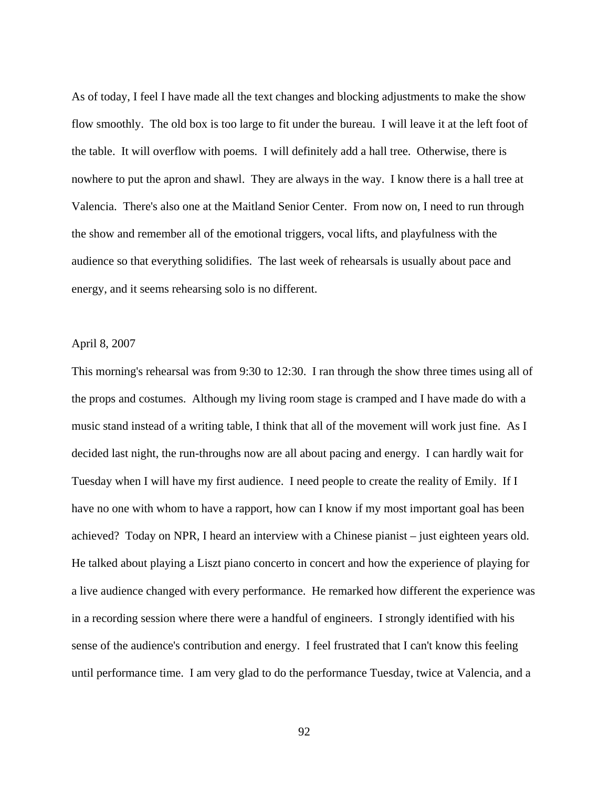As of today, I feel I have made all the text changes and blocking adjustments to make the show flow smoothly. The old box is too large to fit under the bureau. I will leave it at the left foot of the table. It will overflow with poems. I will definitely add a hall tree. Otherwise, there is nowhere to put the apron and shawl. They are always in the way. I know there is a hall tree at Valencia. There's also one at the Maitland Senior Center. From now on, I need to run through the show and remember all of the emotional triggers, vocal lifts, and playfulness with the audience so that everything solidifies. The last week of rehearsals is usually about pace and energy, and it seems rehearsing solo is no different.

# April 8, 2007

This morning's rehearsal was from 9:30 to 12:30. I ran through the show three times using all of the props and costumes. Although my living room stage is cramped and I have made do with a music stand instead of a writing table, I think that all of the movement will work just fine. As I decided last night, the run-throughs now are all about pacing and energy. I can hardly wait for Tuesday when I will have my first audience. I need people to create the reality of Emily. If I have no one with whom to have a rapport, how can I know if my most important goal has been achieved? Today on NPR, I heard an interview with a Chinese pianist – just eighteen years old. He talked about playing a Liszt piano concerto in concert and how the experience of playing for a live audience changed with every performance. He remarked how different the experience was in a recording session where there were a handful of engineers. I strongly identified with his sense of the audience's contribution and energy. I feel frustrated that I can't know this feeling until performance time. I am very glad to do the performance Tuesday, twice at Valencia, and a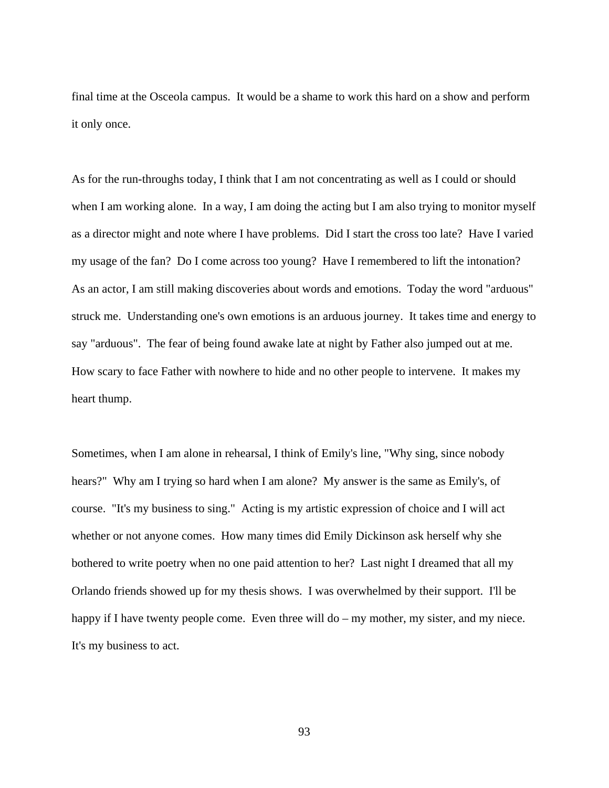final time at the Osceola campus. It would be a shame to work this hard on a show and perform it only once.

As for the run-throughs today, I think that I am not concentrating as well as I could or should when I am working alone. In a way, I am doing the acting but I am also trying to monitor myself as a director might and note where I have problems. Did I start the cross too late? Have I varied my usage of the fan? Do I come across too young? Have I remembered to lift the intonation? As an actor, I am still making discoveries about words and emotions. Today the word "arduous" struck me. Understanding one's own emotions is an arduous journey. It takes time and energy to say "arduous". The fear of being found awake late at night by Father also jumped out at me. How scary to face Father with nowhere to hide and no other people to intervene. It makes my heart thump.

Sometimes, when I am alone in rehearsal, I think of Emily's line, "Why sing, since nobody hears?" Why am I trying so hard when I am alone? My answer is the same as Emily's, of course. "It's my business to sing." Acting is my artistic expression of choice and I will act whether or not anyone comes. How many times did Emily Dickinson ask herself why she bothered to write poetry when no one paid attention to her? Last night I dreamed that all my Orlando friends showed up for my thesis shows. I was overwhelmed by their support. I'll be happy if I have twenty people come. Even three will do – my mother, my sister, and my niece. It's my business to act.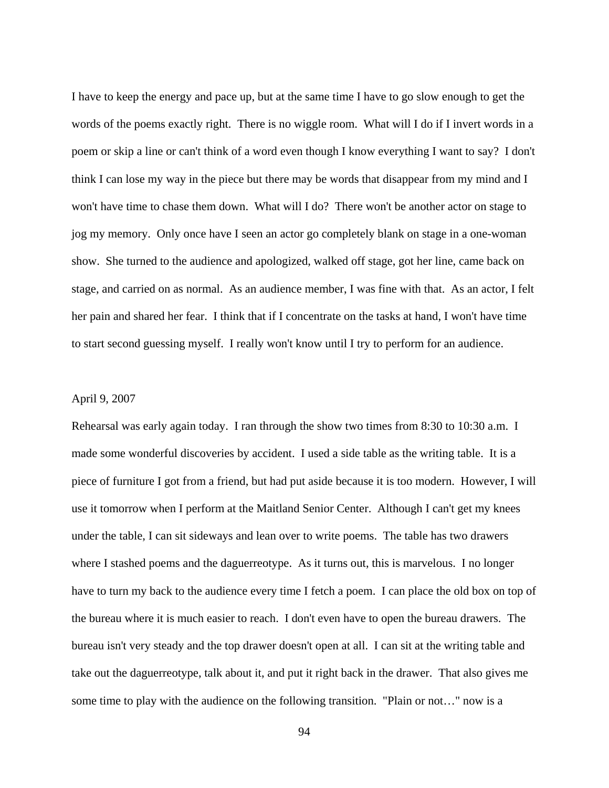I have to keep the energy and pace up, but at the same time I have to go slow enough to get the words of the poems exactly right. There is no wiggle room. What will I do if I invert words in a poem or skip a line or can't think of a word even though I know everything I want to say? I don't think I can lose my way in the piece but there may be words that disappear from my mind and I won't have time to chase them down. What will I do? There won't be another actor on stage to jog my memory. Only once have I seen an actor go completely blank on stage in a one-woman show. She turned to the audience and apologized, walked off stage, got her line, came back on stage, and carried on as normal. As an audience member, I was fine with that. As an actor, I felt her pain and shared her fear. I think that if I concentrate on the tasks at hand, I won't have time to start second guessing myself. I really won't know until I try to perform for an audience.

# April 9, 2007

Rehearsal was early again today. I ran through the show two times from 8:30 to 10:30 a.m. I made some wonderful discoveries by accident. I used a side table as the writing table. It is a piece of furniture I got from a friend, but had put aside because it is too modern. However, I will use it tomorrow when I perform at the Maitland Senior Center. Although I can't get my knees under the table, I can sit sideways and lean over to write poems. The table has two drawers where I stashed poems and the daguerreotype. As it turns out, this is marvelous. I no longer have to turn my back to the audience every time I fetch a poem. I can place the old box on top of the bureau where it is much easier to reach. I don't even have to open the bureau drawers. The bureau isn't very steady and the top drawer doesn't open at all. I can sit at the writing table and take out the daguerreotype, talk about it, and put it right back in the drawer. That also gives me some time to play with the audience on the following transition. "Plain or not…" now is a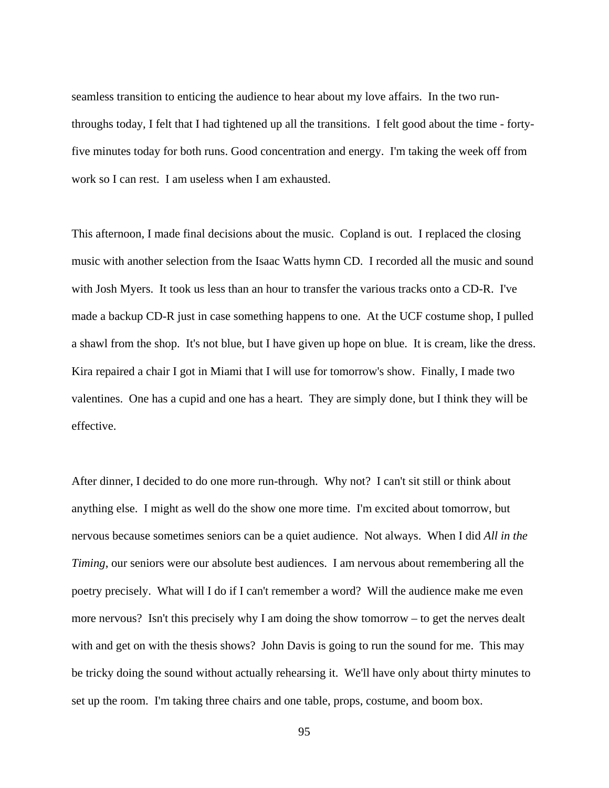seamless transition to enticing the audience to hear about my love affairs. In the two runthroughs today, I felt that I had tightened up all the transitions. I felt good about the time - fortyfive minutes today for both runs. Good concentration and energy. I'm taking the week off from work so I can rest. I am useless when I am exhausted.

This afternoon, I made final decisions about the music. Copland is out. I replaced the closing music with another selection from the Isaac Watts hymn CD. I recorded all the music and sound with Josh Myers. It took us less than an hour to transfer the various tracks onto a CD-R. I've made a backup CD-R just in case something happens to one. At the UCF costume shop, I pulled a shawl from the shop. It's not blue, but I have given up hope on blue. It is cream, like the dress. Kira repaired a chair I got in Miami that I will use for tomorrow's show. Finally, I made two valentines. One has a cupid and one has a heart. They are simply done, but I think they will be effective.

After dinner, I decided to do one more run-through. Why not? I can't sit still or think about anything else. I might as well do the show one more time. I'm excited about tomorrow, but nervous because sometimes seniors can be a quiet audience. Not always. When I did *All in the Timing*, our seniors were our absolute best audiences. I am nervous about remembering all the poetry precisely. What will I do if I can't remember a word? Will the audience make me even more nervous? Isn't this precisely why I am doing the show tomorrow – to get the nerves dealt with and get on with the thesis shows? John Davis is going to run the sound for me. This may be tricky doing the sound without actually rehearsing it. We'll have only about thirty minutes to set up the room. I'm taking three chairs and one table, props, costume, and boom box.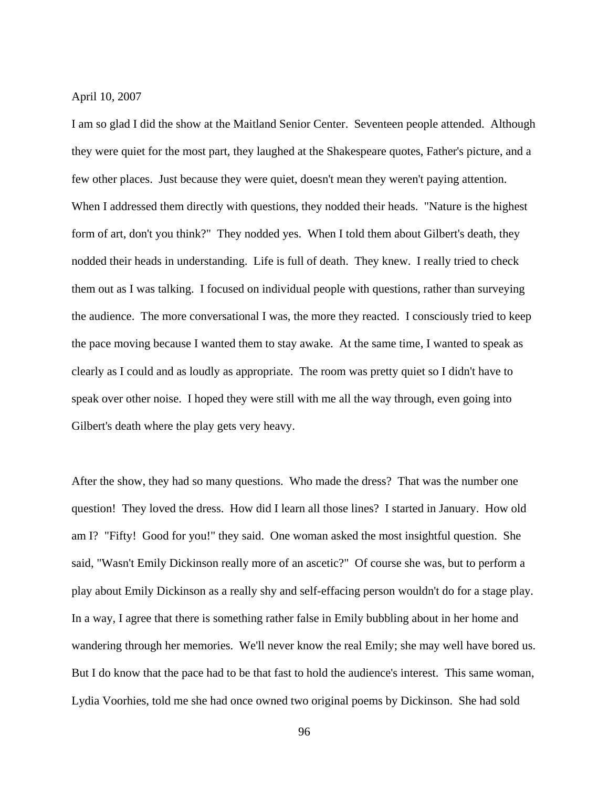April 10, 2007

I am so glad I did the show at the Maitland Senior Center. Seventeen people attended. Although they were quiet for the most part, they laughed at the Shakespeare quotes, Father's picture, and a few other places. Just because they were quiet, doesn't mean they weren't paying attention. When I addressed them directly with questions, they nodded their heads. "Nature is the highest form of art, don't you think?" They nodded yes. When I told them about Gilbert's death, they nodded their heads in understanding. Life is full of death. They knew. I really tried to check them out as I was talking. I focused on individual people with questions, rather than surveying the audience. The more conversational I was, the more they reacted. I consciously tried to keep the pace moving because I wanted them to stay awake. At the same time, I wanted to speak as clearly as I could and as loudly as appropriate. The room was pretty quiet so I didn't have to speak over other noise. I hoped they were still with me all the way through, even going into Gilbert's death where the play gets very heavy.

After the show, they had so many questions. Who made the dress? That was the number one question! They loved the dress. How did I learn all those lines? I started in January. How old am I? "Fifty! Good for you!" they said. One woman asked the most insightful question. She said, "Wasn't Emily Dickinson really more of an ascetic?" Of course she was, but to perform a play about Emily Dickinson as a really shy and self-effacing person wouldn't do for a stage play. In a way, I agree that there is something rather false in Emily bubbling about in her home and wandering through her memories. We'll never know the real Emily; she may well have bored us. But I do know that the pace had to be that fast to hold the audience's interest. This same woman, Lydia Voorhies, told me she had once owned two original poems by Dickinson. She had sold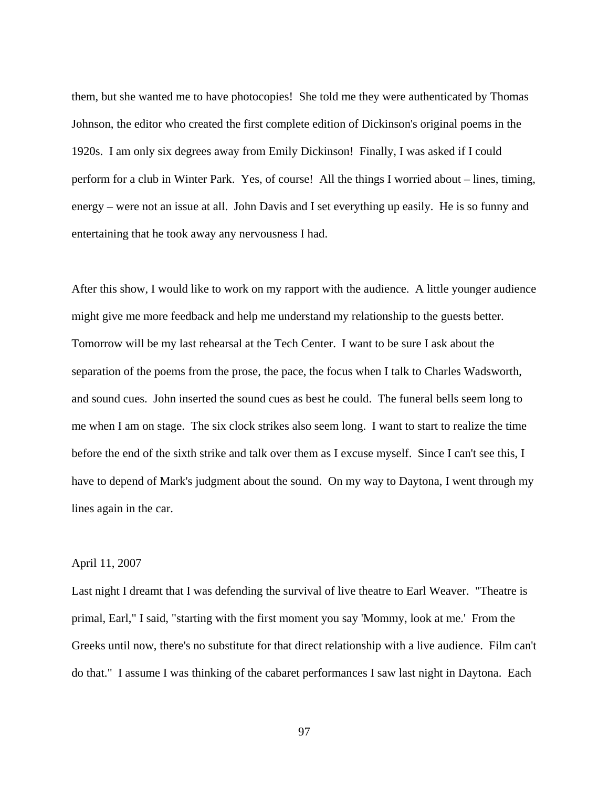them, but she wanted me to have photocopies! She told me they were authenticated by Thomas Johnson, the editor who created the first complete edition of Dickinson's original poems in the 1920s. I am only six degrees away from Emily Dickinson! Finally, I was asked if I could perform for a club in Winter Park. Yes, of course! All the things I worried about – lines, timing, energy – were not an issue at all. John Davis and I set everything up easily. He is so funny and entertaining that he took away any nervousness I had.

After this show, I would like to work on my rapport with the audience. A little younger audience might give me more feedback and help me understand my relationship to the guests better. Tomorrow will be my last rehearsal at the Tech Center. I want to be sure I ask about the separation of the poems from the prose, the pace, the focus when I talk to Charles Wadsworth, and sound cues. John inserted the sound cues as best he could. The funeral bells seem long to me when I am on stage. The six clock strikes also seem long. I want to start to realize the time before the end of the sixth strike and talk over them as I excuse myself. Since I can't see this, I have to depend of Mark's judgment about the sound. On my way to Daytona, I went through my lines again in the car.

# April 11, 2007

Last night I dreamt that I was defending the survival of live theatre to Earl Weaver. "Theatre is primal, Earl," I said, "starting with the first moment you say 'Mommy, look at me.' From the Greeks until now, there's no substitute for that direct relationship with a live audience. Film can't do that." I assume I was thinking of the cabaret performances I saw last night in Daytona. Each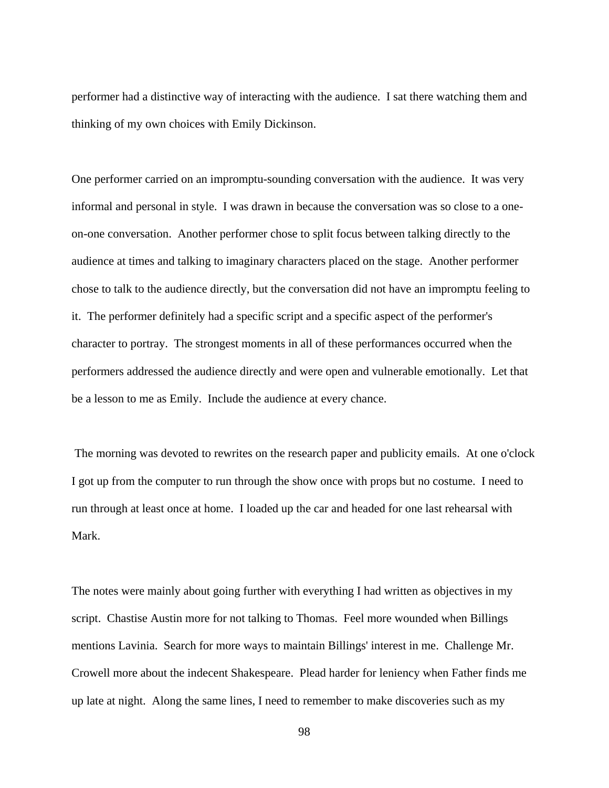performer had a distinctive way of interacting with the audience. I sat there watching them and thinking of my own choices with Emily Dickinson.

One performer carried on an impromptu-sounding conversation with the audience. It was very informal and personal in style. I was drawn in because the conversation was so close to a oneon-one conversation. Another performer chose to split focus between talking directly to the audience at times and talking to imaginary characters placed on the stage. Another performer chose to talk to the audience directly, but the conversation did not have an impromptu feeling to it. The performer definitely had a specific script and a specific aspect of the performer's character to portray. The strongest moments in all of these performances occurred when the performers addressed the audience directly and were open and vulnerable emotionally. Let that be a lesson to me as Emily. Include the audience at every chance.

 The morning was devoted to rewrites on the research paper and publicity emails. At one o'clock I got up from the computer to run through the show once with props but no costume. I need to run through at least once at home. I loaded up the car and headed for one last rehearsal with Mark.

The notes were mainly about going further with everything I had written as objectives in my script. Chastise Austin more for not talking to Thomas. Feel more wounded when Billings mentions Lavinia. Search for more ways to maintain Billings' interest in me. Challenge Mr. Crowell more about the indecent Shakespeare. Plead harder for leniency when Father finds me up late at night. Along the same lines, I need to remember to make discoveries such as my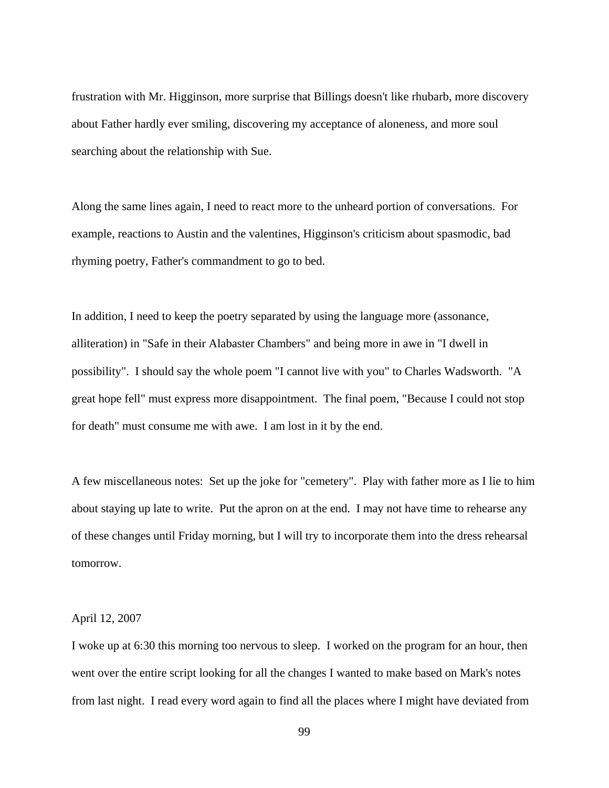frustration with Mr. Higginson, more surprise that Billings doesn't like rhubarb, more discovery about Father hardly ever smiling, discovering my acceptance of aloneness, and more soul searching about the relationship with Sue.

Along the same lines again, I need to react more to the unheard portion of conversations. For example, reactions to Austin and the valentines, Higginson's criticism about spasmodic, bad rhyming poetry, Father's commandment to go to bed.

In addition, I need to keep the poetry separated by using the language more (assonance, alliteration) in "Safe in their Alabaster Chambers" and being more in awe in "I dwell in possibility". I should say the whole poem "I cannot live with you" to Charles Wadsworth. "A great hope fell" must express more disappointment. The final poem, "Because I could not stop for death" must consume me with awe. I am lost in it by the end.

A few miscellaneous notes: Set up the joke for "cemetery". Play with father more as I lie to him about staying up late to write. Put the apron on at the end. I may not have time to rehearse any of these changes until Friday morning, but I will try to incorporate them into the dress rehearsal tomorrow.

## April 12, 2007

I woke up at 6:30 this morning too nervous to sleep. I worked on the program for an hour, then went over the entire script looking for all the changes I wanted to make based on Mark's notes from last night. I read every word again to find all the places where I might have deviated from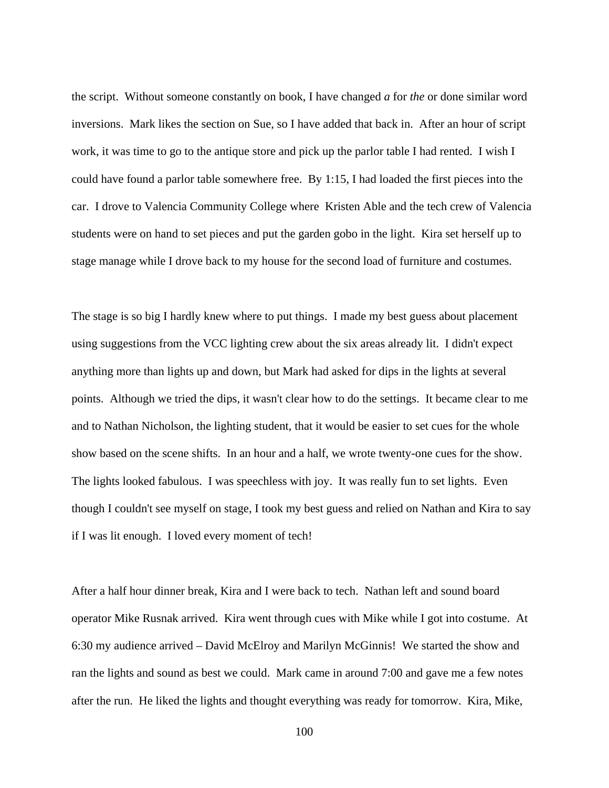the script. Without someone constantly on book, I have changed *a* for *the* or done similar word inversions. Mark likes the section on Sue, so I have added that back in. After an hour of script work, it was time to go to the antique store and pick up the parlor table I had rented. I wish I could have found a parlor table somewhere free. By 1:15, I had loaded the first pieces into the car. I drove to Valencia Community College where Kristen Able and the tech crew of Valencia students were on hand to set pieces and put the garden gobo in the light. Kira set herself up to stage manage while I drove back to my house for the second load of furniture and costumes.

The stage is so big I hardly knew where to put things. I made my best guess about placement using suggestions from the VCC lighting crew about the six areas already lit. I didn't expect anything more than lights up and down, but Mark had asked for dips in the lights at several points. Although we tried the dips, it wasn't clear how to do the settings. It became clear to me and to Nathan Nicholson, the lighting student, that it would be easier to set cues for the whole show based on the scene shifts. In an hour and a half, we wrote twenty-one cues for the show. The lights looked fabulous. I was speechless with joy. It was really fun to set lights. Even though I couldn't see myself on stage, I took my best guess and relied on Nathan and Kira to say if I was lit enough. I loved every moment of tech!

After a half hour dinner break, Kira and I were back to tech. Nathan left and sound board operator Mike Rusnak arrived. Kira went through cues with Mike while I got into costume. At 6:30 my audience arrived – David McElroy and Marilyn McGinnis! We started the show and ran the lights and sound as best we could. Mark came in around 7:00 and gave me a few notes after the run. He liked the lights and thought everything was ready for tomorrow. Kira, Mike,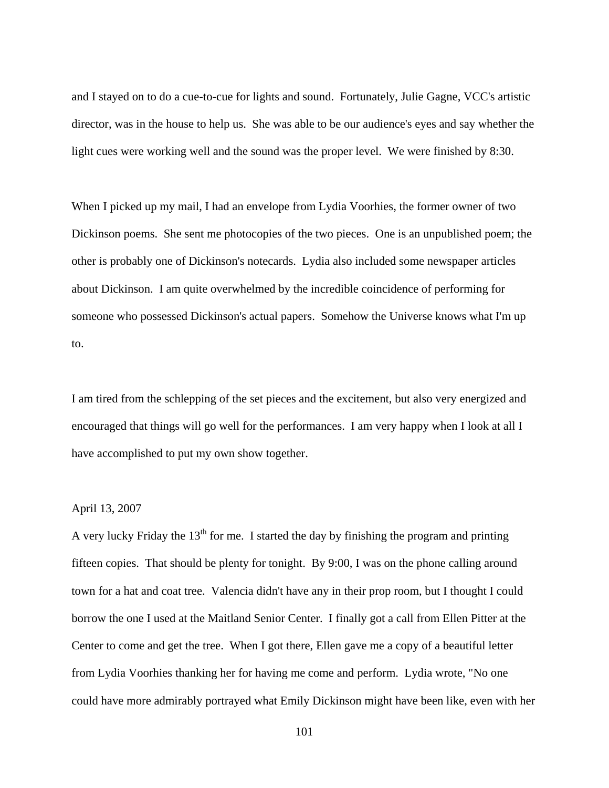and I stayed on to do a cue-to-cue for lights and sound. Fortunately, Julie Gagne, VCC's artistic director, was in the house to help us. She was able to be our audience's eyes and say whether the light cues were working well and the sound was the proper level. We were finished by 8:30.

When I picked up my mail, I had an envelope from Lydia Voorhies, the former owner of two Dickinson poems. She sent me photocopies of the two pieces. One is an unpublished poem; the other is probably one of Dickinson's notecards. Lydia also included some newspaper articles about Dickinson. I am quite overwhelmed by the incredible coincidence of performing for someone who possessed Dickinson's actual papers. Somehow the Universe knows what I'm up to.

I am tired from the schlepping of the set pieces and the excitement, but also very energized and encouraged that things will go well for the performances. I am very happy when I look at all I have accomplished to put my own show together.

### April 13, 2007

A very lucky Friday the  $13<sup>th</sup>$  for me. I started the day by finishing the program and printing fifteen copies. That should be plenty for tonight. By 9:00, I was on the phone calling around town for a hat and coat tree. Valencia didn't have any in their prop room, but I thought I could borrow the one I used at the Maitland Senior Center. I finally got a call from Ellen Pitter at the Center to come and get the tree. When I got there, Ellen gave me a copy of a beautiful letter from Lydia Voorhies thanking her for having me come and perform. Lydia wrote, "No one could have more admirably portrayed what Emily Dickinson might have been like, even with her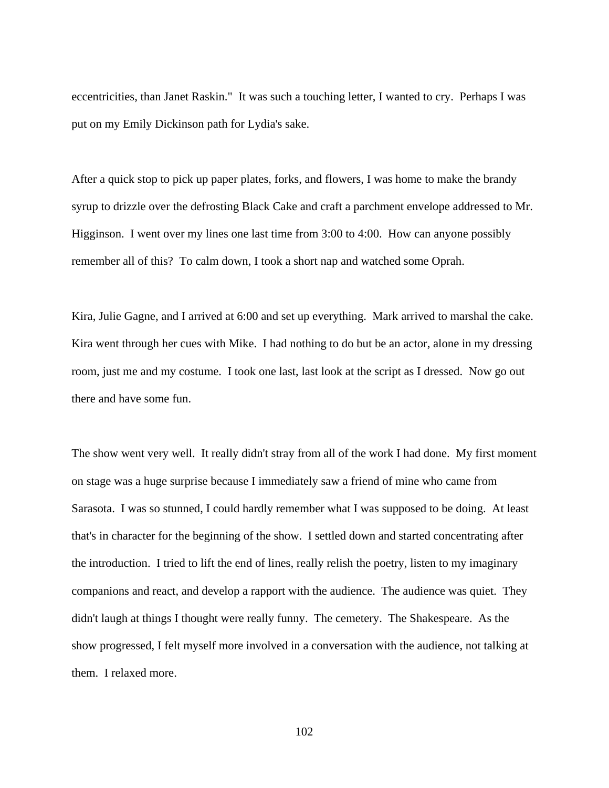eccentricities, than Janet Raskin." It was such a touching letter, I wanted to cry. Perhaps I was put on my Emily Dickinson path for Lydia's sake.

After a quick stop to pick up paper plates, forks, and flowers, I was home to make the brandy syrup to drizzle over the defrosting Black Cake and craft a parchment envelope addressed to Mr. Higginson. I went over my lines one last time from 3:00 to 4:00. How can anyone possibly remember all of this? To calm down, I took a short nap and watched some Oprah.

Kira, Julie Gagne, and I arrived at 6:00 and set up everything. Mark arrived to marshal the cake. Kira went through her cues with Mike. I had nothing to do but be an actor, alone in my dressing room, just me and my costume. I took one last, last look at the script as I dressed. Now go out there and have some fun.

The show went very well. It really didn't stray from all of the work I had done. My first moment on stage was a huge surprise because I immediately saw a friend of mine who came from Sarasota. I was so stunned, I could hardly remember what I was supposed to be doing. At least that's in character for the beginning of the show. I settled down and started concentrating after the introduction. I tried to lift the end of lines, really relish the poetry, listen to my imaginary companions and react, and develop a rapport with the audience. The audience was quiet. They didn't laugh at things I thought were really funny. The cemetery. The Shakespeare. As the show progressed, I felt myself more involved in a conversation with the audience, not talking at them. I relaxed more.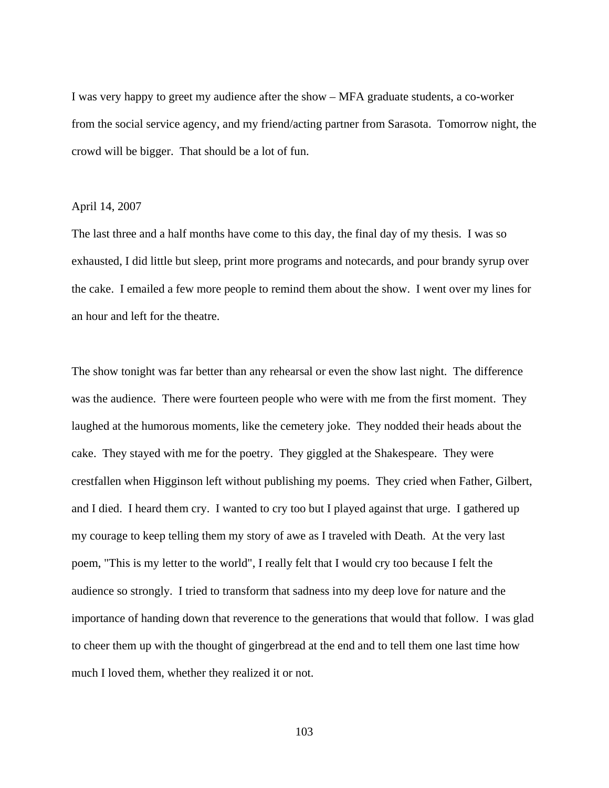I was very happy to greet my audience after the show – MFA graduate students, a co-worker from the social service agency, and my friend/acting partner from Sarasota. Tomorrow night, the crowd will be bigger. That should be a lot of fun.

### April 14, 2007

The last three and a half months have come to this day, the final day of my thesis. I was so exhausted, I did little but sleep, print more programs and notecards, and pour brandy syrup over the cake. I emailed a few more people to remind them about the show. I went over my lines for an hour and left for the theatre.

The show tonight was far better than any rehearsal or even the show last night. The difference was the audience. There were fourteen people who were with me from the first moment. They laughed at the humorous moments, like the cemetery joke. They nodded their heads about the cake. They stayed with me for the poetry. They giggled at the Shakespeare. They were crestfallen when Higginson left without publishing my poems. They cried when Father, Gilbert, and I died. I heard them cry. I wanted to cry too but I played against that urge. I gathered up my courage to keep telling them my story of awe as I traveled with Death. At the very last poem, "This is my letter to the world", I really felt that I would cry too because I felt the audience so strongly. I tried to transform that sadness into my deep love for nature and the importance of handing down that reverence to the generations that would that follow. I was glad to cheer them up with the thought of gingerbread at the end and to tell them one last time how much I loved them, whether they realized it or not.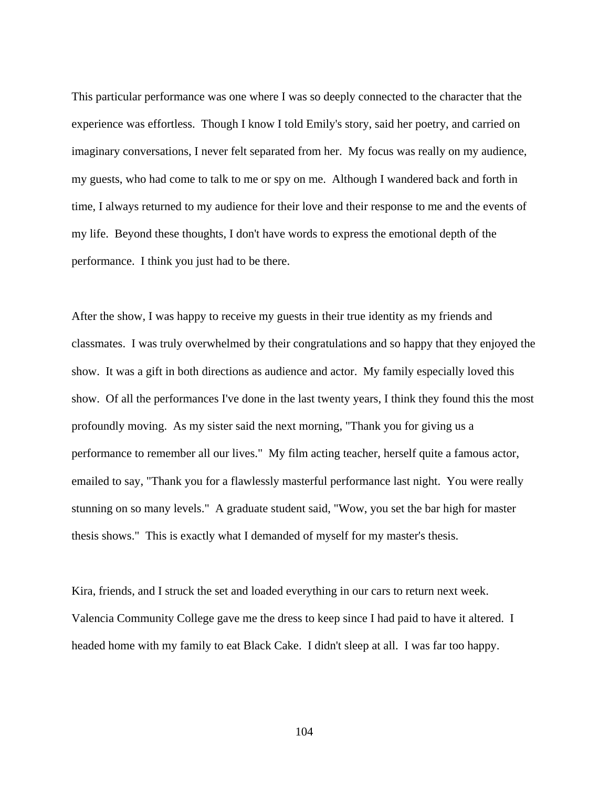This particular performance was one where I was so deeply connected to the character that the experience was effortless. Though I know I told Emily's story, said her poetry, and carried on imaginary conversations, I never felt separated from her. My focus was really on my audience, my guests, who had come to talk to me or spy on me. Although I wandered back and forth in time, I always returned to my audience for their love and their response to me and the events of my life. Beyond these thoughts, I don't have words to express the emotional depth of the performance. I think you just had to be there.

After the show, I was happy to receive my guests in their true identity as my friends and classmates. I was truly overwhelmed by their congratulations and so happy that they enjoyed the show. It was a gift in both directions as audience and actor. My family especially loved this show. Of all the performances I've done in the last twenty years, I think they found this the most profoundly moving. As my sister said the next morning, "Thank you for giving us a performance to remember all our lives." My film acting teacher, herself quite a famous actor, emailed to say, "Thank you for a flawlessly masterful performance last night. You were really stunning on so many levels." A graduate student said, "Wow, you set the bar high for master thesis shows." This is exactly what I demanded of myself for my master's thesis.

Kira, friends, and I struck the set and loaded everything in our cars to return next week. Valencia Community College gave me the dress to keep since I had paid to have it altered. I headed home with my family to eat Black Cake. I didn't sleep at all. I was far too happy.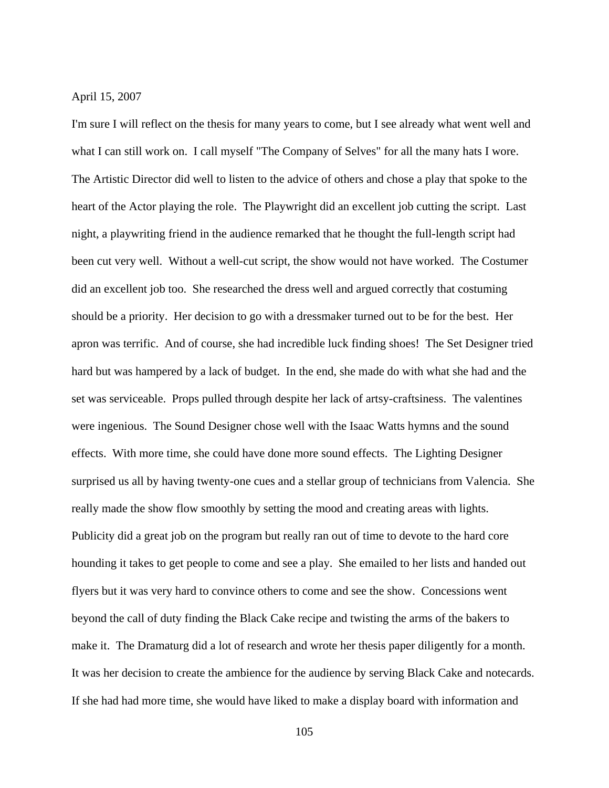April 15, 2007

I'm sure I will reflect on the thesis for many years to come, but I see already what went well and what I can still work on. I call myself "The Company of Selves" for all the many hats I wore. The Artistic Director did well to listen to the advice of others and chose a play that spoke to the heart of the Actor playing the role. The Playwright did an excellent job cutting the script. Last night, a playwriting friend in the audience remarked that he thought the full-length script had been cut very well. Without a well-cut script, the show would not have worked. The Costumer did an excellent job too. She researched the dress well and argued correctly that costuming should be a priority. Her decision to go with a dressmaker turned out to be for the best. Her apron was terrific. And of course, she had incredible luck finding shoes! The Set Designer tried hard but was hampered by a lack of budget. In the end, she made do with what she had and the set was serviceable. Props pulled through despite her lack of artsy-craftsiness. The valentines were ingenious. The Sound Designer chose well with the Isaac Watts hymns and the sound effects. With more time, she could have done more sound effects. The Lighting Designer surprised us all by having twenty-one cues and a stellar group of technicians from Valencia. She really made the show flow smoothly by setting the mood and creating areas with lights. Publicity did a great job on the program but really ran out of time to devote to the hard core hounding it takes to get people to come and see a play. She emailed to her lists and handed out flyers but it was very hard to convince others to come and see the show. Concessions went beyond the call of duty finding the Black Cake recipe and twisting the arms of the bakers to make it. The Dramaturg did a lot of research and wrote her thesis paper diligently for a month. It was her decision to create the ambience for the audience by serving Black Cake and notecards. If she had had more time, she would have liked to make a display board with information and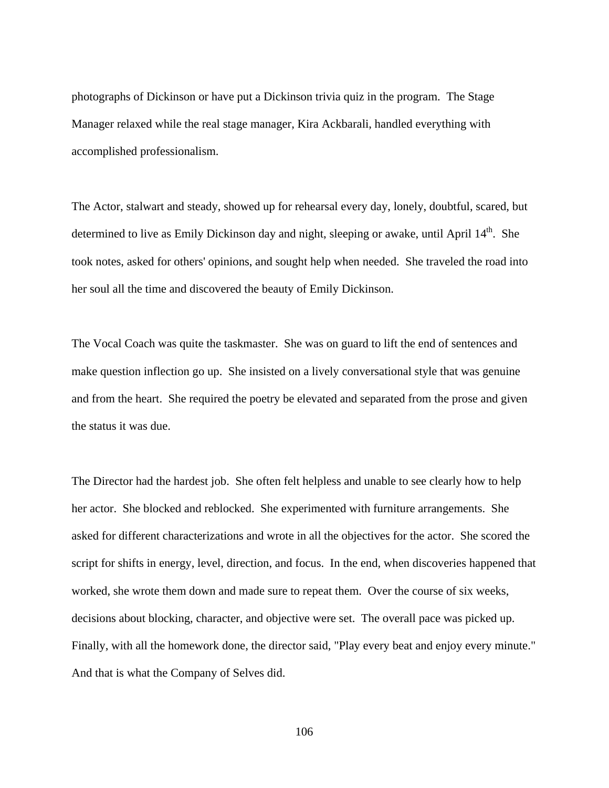photographs of Dickinson or have put a Dickinson trivia quiz in the program. The Stage Manager relaxed while the real stage manager, Kira Ackbarali, handled everything with accomplished professionalism.

The Actor, stalwart and steady, showed up for rehearsal every day, lonely, doubtful, scared, but determined to live as Emily Dickinson day and night, sleeping or awake, until April 14<sup>th</sup>. She took notes, asked for others' opinions, and sought help when needed. She traveled the road into her soul all the time and discovered the beauty of Emily Dickinson.

The Vocal Coach was quite the taskmaster. She was on guard to lift the end of sentences and make question inflection go up. She insisted on a lively conversational style that was genuine and from the heart. She required the poetry be elevated and separated from the prose and given the status it was due.

The Director had the hardest job. She often felt helpless and unable to see clearly how to help her actor. She blocked and reblocked. She experimented with furniture arrangements. She asked for different characterizations and wrote in all the objectives for the actor. She scored the script for shifts in energy, level, direction, and focus. In the end, when discoveries happened that worked, she wrote them down and made sure to repeat them. Over the course of six weeks, decisions about blocking, character, and objective were set. The overall pace was picked up. Finally, with all the homework done, the director said, "Play every beat and enjoy every minute." And that is what the Company of Selves did.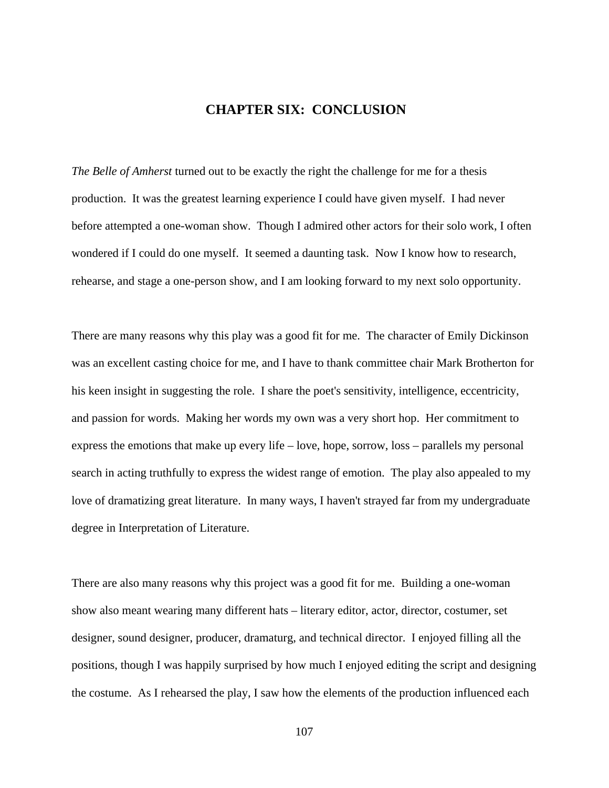## **CHAPTER SIX: CONCLUSION**

*The Belle of Amherst* turned out to be exactly the right the challenge for me for a thesis production. It was the greatest learning experience I could have given myself. I had never before attempted a one-woman show. Though I admired other actors for their solo work, I often wondered if I could do one myself. It seemed a daunting task. Now I know how to research, rehearse, and stage a one-person show, and I am looking forward to my next solo opportunity.

There are many reasons why this play was a good fit for me. The character of Emily Dickinson was an excellent casting choice for me, and I have to thank committee chair Mark Brotherton for his keen insight in suggesting the role. I share the poet's sensitivity, intelligence, eccentricity, and passion for words. Making her words my own was a very short hop. Her commitment to express the emotions that make up every life – love, hope, sorrow, loss – parallels my personal search in acting truthfully to express the widest range of emotion. The play also appealed to my love of dramatizing great literature. In many ways, I haven't strayed far from my undergraduate degree in Interpretation of Literature.

There are also many reasons why this project was a good fit for me. Building a one-woman show also meant wearing many different hats – literary editor, actor, director, costumer, set designer, sound designer, producer, dramaturg, and technical director. I enjoyed filling all the positions, though I was happily surprised by how much I enjoyed editing the script and designing the costume. As I rehearsed the play, I saw how the elements of the production influenced each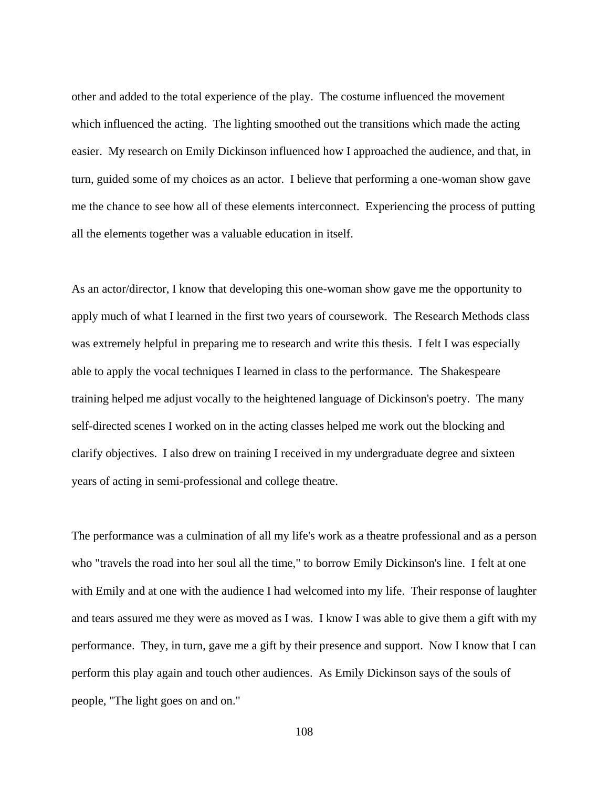other and added to the total experience of the play. The costume influenced the movement which influenced the acting. The lighting smoothed out the transitions which made the acting easier. My research on Emily Dickinson influenced how I approached the audience, and that, in turn, guided some of my choices as an actor. I believe that performing a one-woman show gave me the chance to see how all of these elements interconnect. Experiencing the process of putting all the elements together was a valuable education in itself.

As an actor/director, I know that developing this one-woman show gave me the opportunity to apply much of what I learned in the first two years of coursework. The Research Methods class was extremely helpful in preparing me to research and write this thesis. I felt I was especially able to apply the vocal techniques I learned in class to the performance. The Shakespeare training helped me adjust vocally to the heightened language of Dickinson's poetry. The many self-directed scenes I worked on in the acting classes helped me work out the blocking and clarify objectives. I also drew on training I received in my undergraduate degree and sixteen years of acting in semi-professional and college theatre.

The performance was a culmination of all my life's work as a theatre professional and as a person who "travels the road into her soul all the time," to borrow Emily Dickinson's line. I felt at one with Emily and at one with the audience I had welcomed into my life. Their response of laughter and tears assured me they were as moved as I was. I know I was able to give them a gift with my performance. They, in turn, gave me a gift by their presence and support. Now I know that I can perform this play again and touch other audiences. As Emily Dickinson says of the souls of people, "The light goes on and on."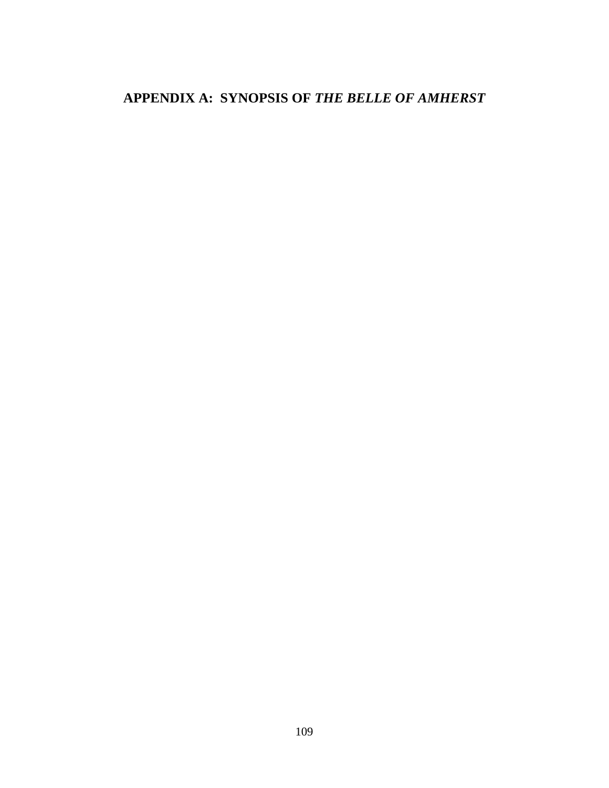# APPENDIX A: SYNOPSIS OF THE BELLE OF AMHERST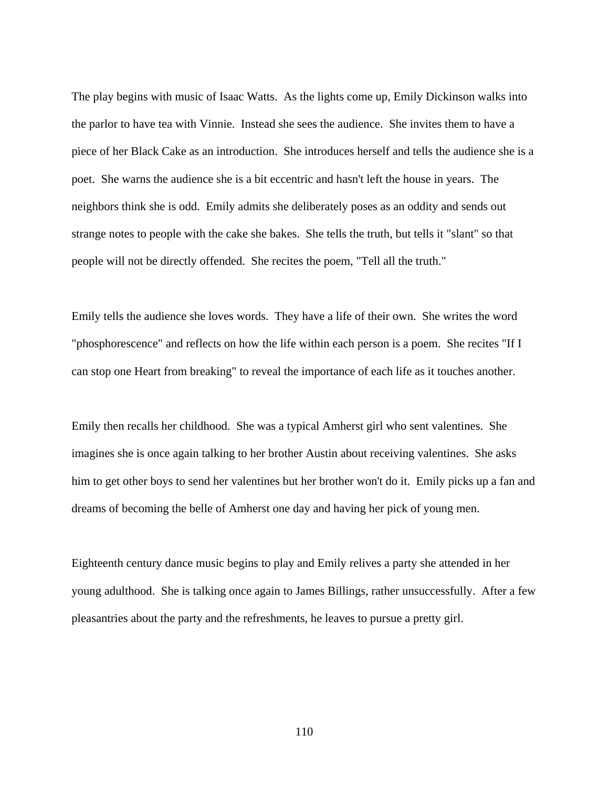The play begins with music of Isaac Watts. As the lights come up, Emily Dickinson walks into the parlor to have tea with Vinnie. Instead she sees the audience. She invites them to have a piece of her Black Cake as an introduction. She introduces herself and tells the audience she is a poet. She warns the audience she is a bit eccentric and hasn't left the house in years. The neighbors think she is odd. Emily admits she deliberately poses as an oddity and sends out strange notes to people with the cake she bakes. She tells the truth, but tells it "slant" so that people will not be directly offended. She recites the poem, "Tell all the truth."

Emily tells the audience she loves words. They have a life of their own. She writes the word "phosphorescence" and reflects on how the life within each person is a poem. She recites "If I can stop one Heart from breaking" to reveal the importance of each life as it touches another.

Emily then recalls her childhood. She was a typical Amherst girl who sent valentines. She imagines she is once again talking to her brother Austin about receiving valentines. She asks him to get other boys to send her valentines but her brother won't do it. Emily picks up a fan and dreams of becoming the belle of Amherst one day and having her pick of young men.

Eighteenth century dance music begins to play and Emily relives a party she attended in her young adulthood. She is talking once again to James Billings, rather unsuccessfully. After a few pleasantries about the party and the refreshments, he leaves to pursue a pretty girl.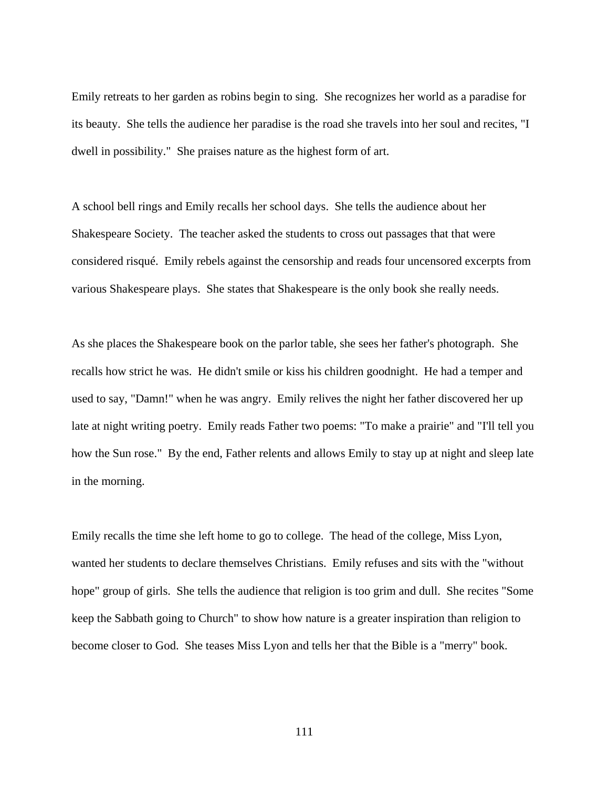Emily retreats to her garden as robins begin to sing. She recognizes her world as a paradise for its beauty. She tells the audience her paradise is the road she travels into her soul and recites, "I dwell in possibility." She praises nature as the highest form of art.

A school bell rings and Emily recalls her school days. She tells the audience about her Shakespeare Society. The teacher asked the students to cross out passages that that were considered risqué. Emily rebels against the censorship and reads four uncensored excerpts from various Shakespeare plays. She states that Shakespeare is the only book she really needs.

As she places the Shakespeare book on the parlor table, she sees her father's photograph. She recalls how strict he was. He didn't smile or kiss his children goodnight. He had a temper and used to say, "Damn!" when he was angry. Emily relives the night her father discovered her up late at night writing poetry. Emily reads Father two poems: "To make a prairie" and "I'll tell you how the Sun rose." By the end, Father relents and allows Emily to stay up at night and sleep late in the morning.

Emily recalls the time she left home to go to college. The head of the college, Miss Lyon, wanted her students to declare themselves Christians. Emily refuses and sits with the "without hope" group of girls. She tells the audience that religion is too grim and dull. She recites "Some keep the Sabbath going to Church" to show how nature is a greater inspiration than religion to become closer to God. She teases Miss Lyon and tells her that the Bible is a "merry" book.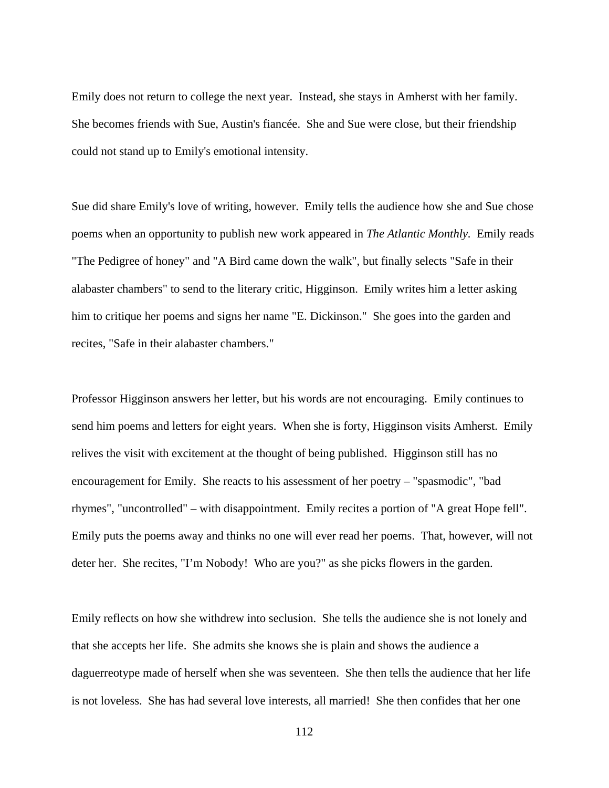Emily does not return to college the next year. Instead, she stays in Amherst with her family. She becomes friends with Sue, Austin's fiancée. She and Sue were close, but their friendship could not stand up to Emily's emotional intensity.

Sue did share Emily's love of writing, however. Emily tells the audience how she and Sue chose poems when an opportunity to publish new work appeared in *The Atlantic Monthly.* Emily reads "The Pedigree of honey" and "A Bird came down the walk", but finally selects "Safe in their alabaster chambers" to send to the literary critic, Higginson. Emily writes him a letter asking him to critique her poems and signs her name "E. Dickinson." She goes into the garden and recites, "Safe in their alabaster chambers."

Professor Higginson answers her letter, but his words are not encouraging. Emily continues to send him poems and letters for eight years. When she is forty, Higginson visits Amherst. Emily relives the visit with excitement at the thought of being published. Higginson still has no encouragement for Emily. She reacts to his assessment of her poetry – "spasmodic", "bad rhymes", "uncontrolled" – with disappointment. Emily recites a portion of "A great Hope fell". Emily puts the poems away and thinks no one will ever read her poems. That, however, will not deter her. She recites, "I'm Nobody! Who are you?" as she picks flowers in the garden.

Emily reflects on how she withdrew into seclusion. She tells the audience she is not lonely and that she accepts her life. She admits she knows she is plain and shows the audience a daguerreotype made of herself when she was seventeen. She then tells the audience that her life is not loveless. She has had several love interests, all married! She then confides that her one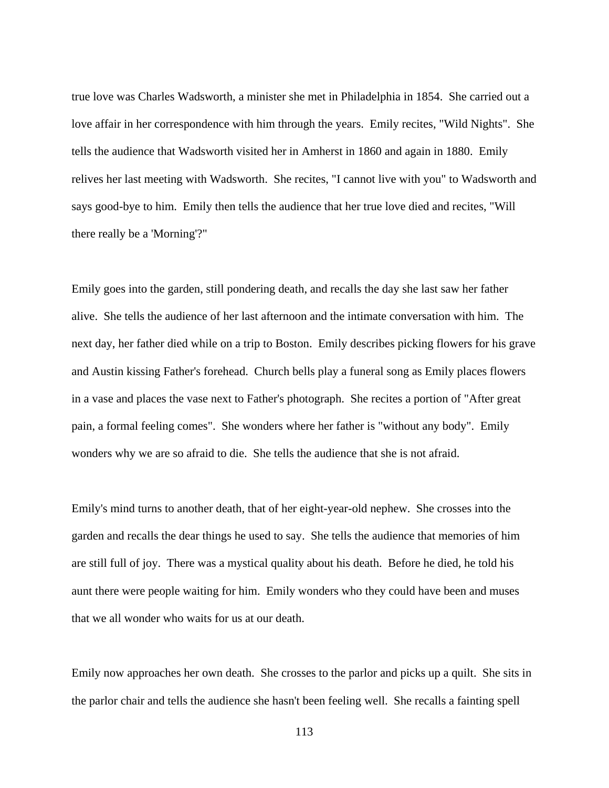true love was Charles Wadsworth, a minister she met in Philadelphia in 1854. She carried out a love affair in her correspondence with him through the years. Emily recites, "Wild Nights". She tells the audience that Wadsworth visited her in Amherst in 1860 and again in 1880. Emily relives her last meeting with Wadsworth. She recites, "I cannot live with you" to Wadsworth and says good-bye to him. Emily then tells the audience that her true love died and recites, "Will there really be a 'Morning'?"

Emily goes into the garden, still pondering death, and recalls the day she last saw her father alive. She tells the audience of her last afternoon and the intimate conversation with him. The next day, her father died while on a trip to Boston. Emily describes picking flowers for his grave and Austin kissing Father's forehead. Church bells play a funeral song as Emily places flowers in a vase and places the vase next to Father's photograph. She recites a portion of "After great pain, a formal feeling comes". She wonders where her father is "without any body". Emily wonders why we are so afraid to die. She tells the audience that she is not afraid.

Emily's mind turns to another death, that of her eight-year-old nephew. She crosses into the garden and recalls the dear things he used to say. She tells the audience that memories of him are still full of joy. There was a mystical quality about his death. Before he died, he told his aunt there were people waiting for him. Emily wonders who they could have been and muses that we all wonder who waits for us at our death.

Emily now approaches her own death. She crosses to the parlor and picks up a quilt. She sits in the parlor chair and tells the audience she hasn't been feeling well. She recalls a fainting spell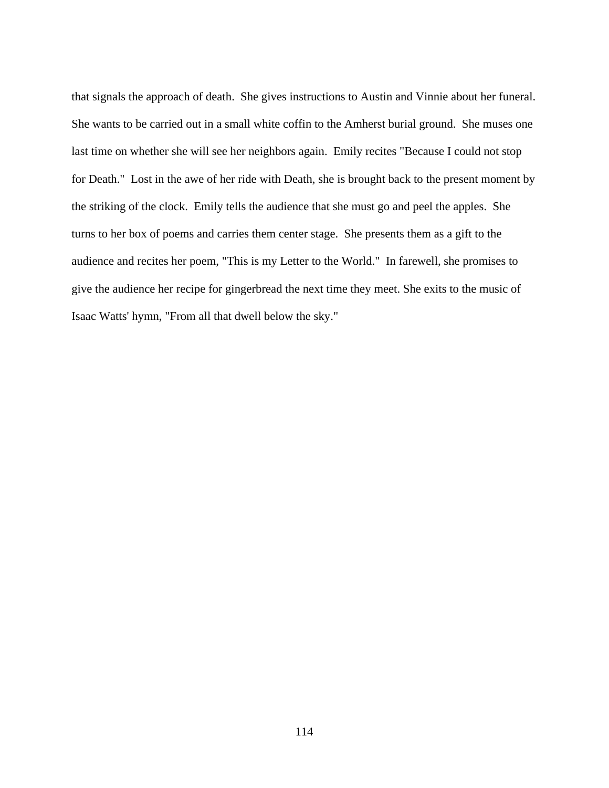that signals the approach of death. She gives instructions to Austin and Vinnie about her funeral. She wants to be carried out in a small white coffin to the Amherst burial ground. She muses one last time on whether she will see her neighbors again. Emily recites "Because I could not stop for Death." Lost in the awe of her ride with Death, she is brought back to the present moment by the striking of the clock. Emily tells the audience that she must go and peel the apples. She turns to her box of poems and carries them center stage. She presents them as a gift to the audience and recites her poem, "This is my Letter to the World." In farewell, she promises to give the audience her recipe for gingerbread the next time they meet. She exits to the music of Isaac Watts' hymn, "From all that dwell below the sky."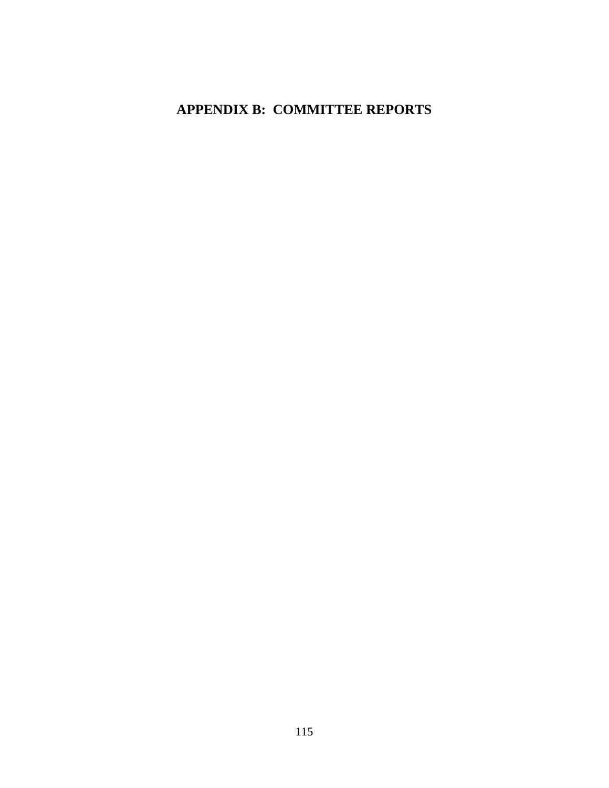## **APPENDIX B: COMMITTEE REPORTS**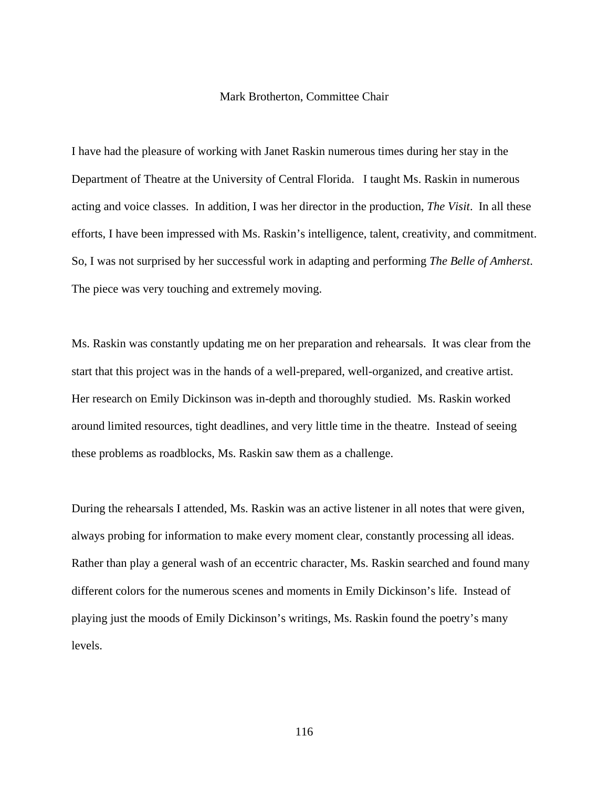### Mark Brotherton, Committee Chair

I have had the pleasure of working with Janet Raskin numerous times during her stay in the Department of Theatre at the University of Central Florida. I taught Ms. Raskin in numerous acting and voice classes. In addition, I was her director in the production, *The Visit*. In all these efforts, I have been impressed with Ms. Raskin's intelligence, talent, creativity, and commitment. So, I was not surprised by her successful work in adapting and performing *The Belle of Amherst*. The piece was very touching and extremely moving.

Ms. Raskin was constantly updating me on her preparation and rehearsals. It was clear from the start that this project was in the hands of a well-prepared, well-organized, and creative artist. Her research on Emily Dickinson was in-depth and thoroughly studied. Ms. Raskin worked around limited resources, tight deadlines, and very little time in the theatre. Instead of seeing these problems as roadblocks, Ms. Raskin saw them as a challenge.

During the rehearsals I attended, Ms. Raskin was an active listener in all notes that were given, always probing for information to make every moment clear, constantly processing all ideas. Rather than play a general wash of an eccentric character, Ms. Raskin searched and found many different colors for the numerous scenes and moments in Emily Dickinson's life. Instead of playing just the moods of Emily Dickinson's writings, Ms. Raskin found the poetry's many levels.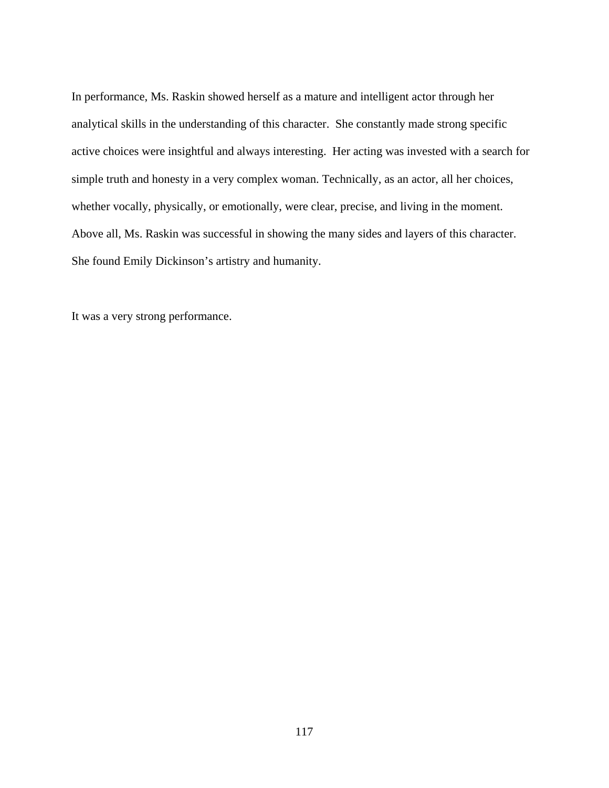In performance, Ms. Raskin showed herself as a mature and intelligent actor through her analytical skills in the understanding of this character. She constantly made strong specific active choices were insightful and always interesting. Her acting was invested with a search for simple truth and honesty in a very complex woman. Technically, as an actor, all her choices, whether vocally, physically, or emotionally, were clear, precise, and living in the moment. Above all, Ms. Raskin was successful in showing the many sides and layers of this character. She found Emily Dickinson's artistry and humanity.

It was a very strong performance.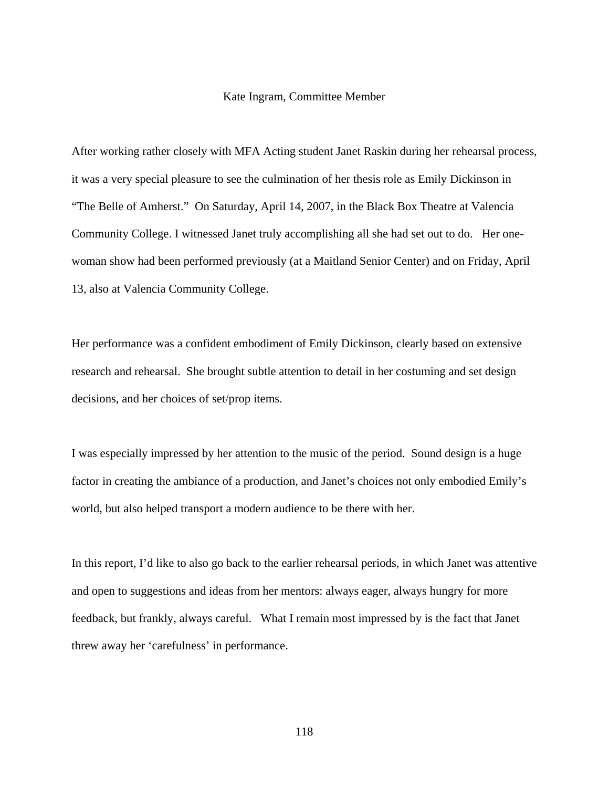### Kate Ingram, Committee Member

After working rather closely with MFA Acting student Janet Raskin during her rehearsal process, it was a very special pleasure to see the culmination of her thesis role as Emily Dickinson in "The Belle of Amherst." On Saturday, April 14, 2007, in the Black Box Theatre at Valencia Community College. I witnessed Janet truly accomplishing all she had set out to do. Her onewoman show had been performed previously (at a Maitland Senior Center) and on Friday, April 13, also at Valencia Community College.

Her performance was a confident embodiment of Emily Dickinson, clearly based on extensive research and rehearsal. She brought subtle attention to detail in her costuming and set design decisions, and her choices of set/prop items.

I was especially impressed by her attention to the music of the period. Sound design is a huge factor in creating the ambiance of a production, and Janet's choices not only embodied Emily's world, but also helped transport a modern audience to be there with her.

In this report, I'd like to also go back to the earlier rehearsal periods, in which Janet was attentive and open to suggestions and ideas from her mentors: always eager, always hungry for more feedback, but frankly, always careful. What I remain most impressed by is the fact that Janet threw away her 'carefulness' in performance.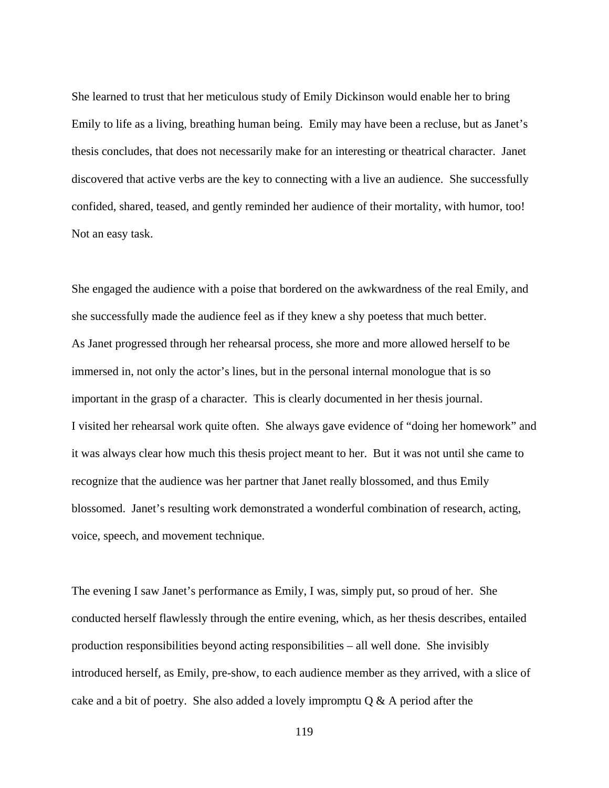She learned to trust that her meticulous study of Emily Dickinson would enable her to bring Emily to life as a living, breathing human being. Emily may have been a recluse, but as Janet's thesis concludes, that does not necessarily make for an interesting or theatrical character. Janet discovered that active verbs are the key to connecting with a live an audience. She successfully confided, shared, teased, and gently reminded her audience of their mortality, with humor, too! Not an easy task.

She engaged the audience with a poise that bordered on the awkwardness of the real Emily, and she successfully made the audience feel as if they knew a shy poetess that much better. As Janet progressed through her rehearsal process, she more and more allowed herself to be immersed in, not only the actor's lines, but in the personal internal monologue that is so important in the grasp of a character. This is clearly documented in her thesis journal. I visited her rehearsal work quite often. She always gave evidence of "doing her homework" and it was always clear how much this thesis project meant to her. But it was not until she came to recognize that the audience was her partner that Janet really blossomed, and thus Emily blossomed. Janet's resulting work demonstrated a wonderful combination of research, acting, voice, speech, and movement technique.

The evening I saw Janet's performance as Emily, I was, simply put, so proud of her. She conducted herself flawlessly through the entire evening, which, as her thesis describes, entailed production responsibilities beyond acting responsibilities – all well done. She invisibly introduced herself, as Emily, pre-show, to each audience member as they arrived, with a slice of cake and a bit of poetry. She also added a lovely impromptu  $Q & A$  period after the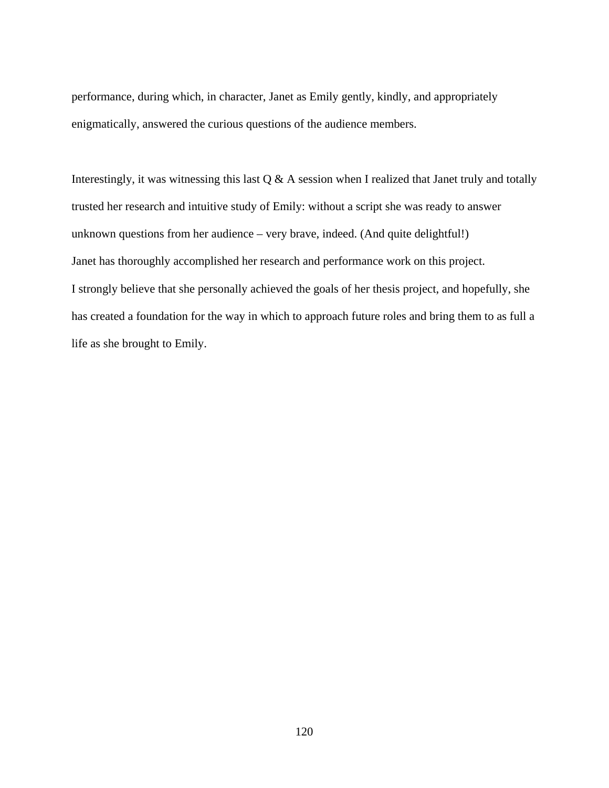performance, during which, in character, Janet as Emily gently, kindly, and appropriately enigmatically, answered the curious questions of the audience members.

Interestingly, it was witnessing this last  $Q & A$  session when I realized that Janet truly and totally trusted her research and intuitive study of Emily: without a script she was ready to answer unknown questions from her audience – very brave, indeed. (And quite delightful!) Janet has thoroughly accomplished her research and performance work on this project. I strongly believe that she personally achieved the goals of her thesis project, and hopefully, she has created a foundation for the way in which to approach future roles and bring them to as full a life as she brought to Emily.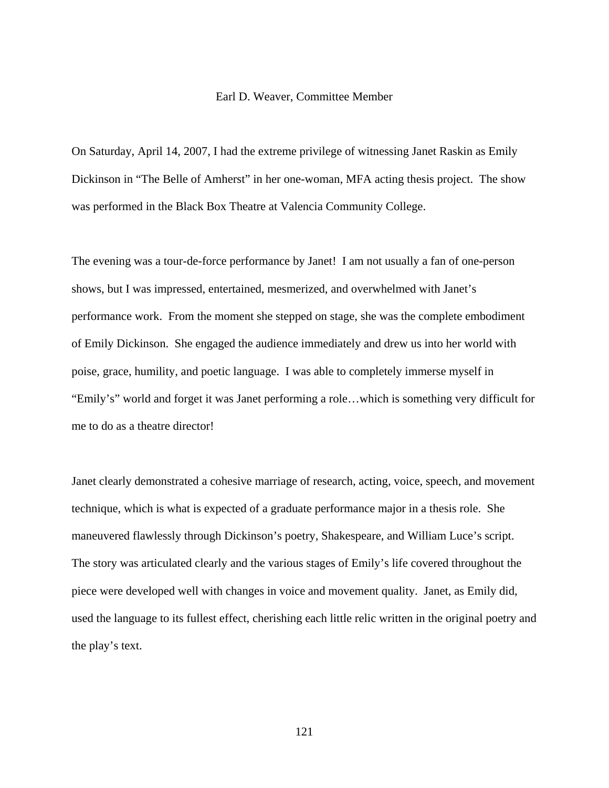### Earl D. Weaver, Committee Member

On Saturday, April 14, 2007, I had the extreme privilege of witnessing Janet Raskin as Emily Dickinson in "The Belle of Amherst" in her one-woman, MFA acting thesis project. The show was performed in the Black Box Theatre at Valencia Community College.

The evening was a tour-de-force performance by Janet! I am not usually a fan of one-person shows, but I was impressed, entertained, mesmerized, and overwhelmed with Janet's performance work. From the moment she stepped on stage, she was the complete embodiment of Emily Dickinson. She engaged the audience immediately and drew us into her world with poise, grace, humility, and poetic language. I was able to completely immerse myself in "Emily's" world and forget it was Janet performing a role…which is something very difficult for me to do as a theatre director!

Janet clearly demonstrated a cohesive marriage of research, acting, voice, speech, and movement technique, which is what is expected of a graduate performance major in a thesis role. She maneuvered flawlessly through Dickinson's poetry, Shakespeare, and William Luce's script. The story was articulated clearly and the various stages of Emily's life covered throughout the piece were developed well with changes in voice and movement quality. Janet, as Emily did, used the language to its fullest effect, cherishing each little relic written in the original poetry and the play's text.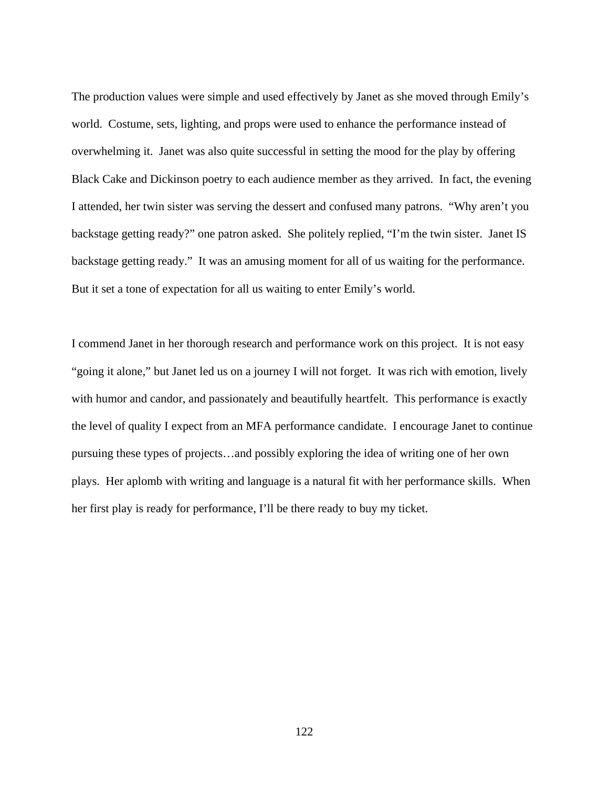The production values were simple and used effectively by Janet as she moved through Emily's world. Costume, sets, lighting, and props were used to enhance the performance instead of overwhelming it. Janet was also quite successful in setting the mood for the play by offering Black Cake and Dickinson poetry to each audience member as they arrived. In fact, the evening I attended, her twin sister was serving the dessert and confused many patrons. "Why aren't you backstage getting ready?" one patron asked. She politely replied, "I'm the twin sister. Janet IS backstage getting ready." It was an amusing moment for all of us waiting for the performance. But it set a tone of expectation for all us waiting to enter Emily's world.

I commend Janet in her thorough research and performance work on this project. It is not easy "going it alone," but Janet led us on a journey I will not forget. It was rich with emotion, lively with humor and candor, and passionately and beautifully heartfelt. This performance is exactly the level of quality I expect from an MFA performance candidate. I encourage Janet to continue pursuing these types of projects…and possibly exploring the idea of writing one of her own plays. Her aplomb with writing and language is a natural fit with her performance skills. When her first play is ready for performance, I'll be there ready to buy my ticket.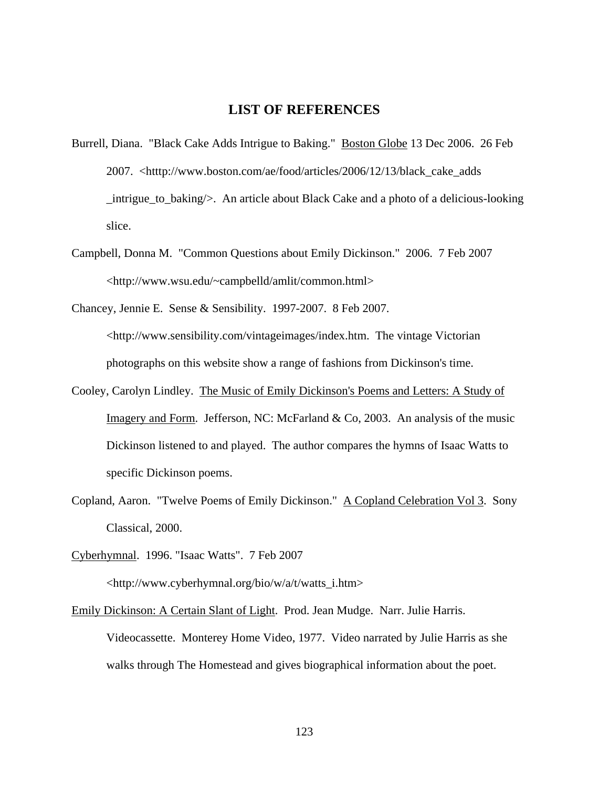## **LIST OF REFERENCES**

- Burrell, Diana. "Black Cake Adds Intrigue to Baking." Boston Globe 13 Dec 2006. 26 Feb 2007. <htttp://www.boston.com/ae/food/articles/2006/12/13/black\_cake\_adds \_intrigue\_to\_baking/>. An article about Black Cake and a photo of a delicious-looking slice.
- Campbell, Donna M. "Common Questions about Emily Dickinson." 2006. 7 Feb 2007 <http://www.wsu.edu/~campbelld/amlit/common.html>
- Chancey, Jennie E. Sense & Sensibility. 1997-2007. 8 Feb 2007. <[http://www.sensibility.com/vintageimages/index.htm.](http://www.sensibility.com/vintageimages/index.htm) The vintage Victorian photographs on this website show a range of fashions from Dickinson's time.
- Cooley, Carolyn Lindley. The Music of Emily Dickinson's Poems and Letters: A Study of Imagery and Form. Jefferson, NC: McFarland & Co, 2003. An analysis of the music Dickinson listened to and played. The author compares the hymns of Isaac Watts to specific Dickinson poems.
- Copland, Aaron. "Twelve Poems of Emily Dickinson." A Copland Celebration Vol 3. Sony Classical, 2000.
- Cyberhymnal. 1996. "Isaac Watts". 7 Feb 2007 <http://www.cyberhymnal.org/bio/w/a/t/watts\_i.htm>
- Emily Dickinson: A Certain Slant of Light. Prod. Jean Mudge. Narr. Julie Harris. Videocassette. Monterey Home Video, 1977. Video narrated by Julie Harris as she walks through The Homestead and gives biographical information about the poet.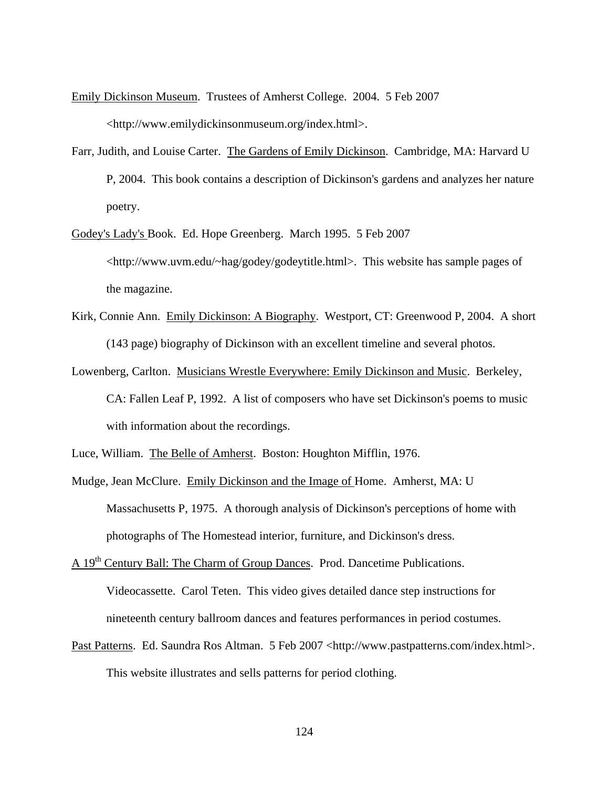- Emily Dickinson Museum. Trustees of Amherst College. 2004. 5 Feb 2007 <[http://www.emilydickinsonmuseum.org/index.html>](http://www.emilydickinsonmuseum.org/index.html).
- Farr, Judith, and Louise Carter. The Gardens of Emily Dickinson. Cambridge, MA: Harvard U P, 2004. This book contains a description of Dickinson's gardens and analyzes her nature poetry.
- Godey's Lady's Book. Ed. Hope Greenberg. March 1995. 5 Feb 2007 <http://www.uvm.edu/~hag/godey/godeytitle.html>. This website has sample pages of the magazine.
- Kirk, Connie Ann. Emily Dickinson: A Biography. Westport, CT: Greenwood P, 2004. A short (143 page) biography of Dickinson with an excellent timeline and several photos.
- Lowenberg, Carlton. Musicians Wrestle Everywhere: Emily Dickinson and Music. Berkeley, CA: Fallen Leaf P, 1992. A list of composers who have set Dickinson's poems to music with information about the recordings.
- Luce, William. The Belle of Amherst. Boston: Houghton Mifflin, 1976.
- Mudge, Jean McClure. Emily Dickinson and the Image of Home. Amherst, MA: U Massachusetts P, 1975. A thorough analysis of Dickinson's perceptions of home with photographs of The Homestead interior, furniture, and Dickinson's dress.
- A 19<sup>th</sup> Century Ball: The Charm of Group Dances. Prod. Dancetime Publications.

Videocassette. Carol Teten. This video gives detailed dance step instructions for nineteenth century ballroom dances and features performances in period costumes.

Past Patterns. Ed. Saundra Ros Altman. 5 Feb 2007 <[http://www.pastpatterns.com/index.html>](http://www.pastpatterns.com/index.html). This website illustrates and sells patterns for period clothing.